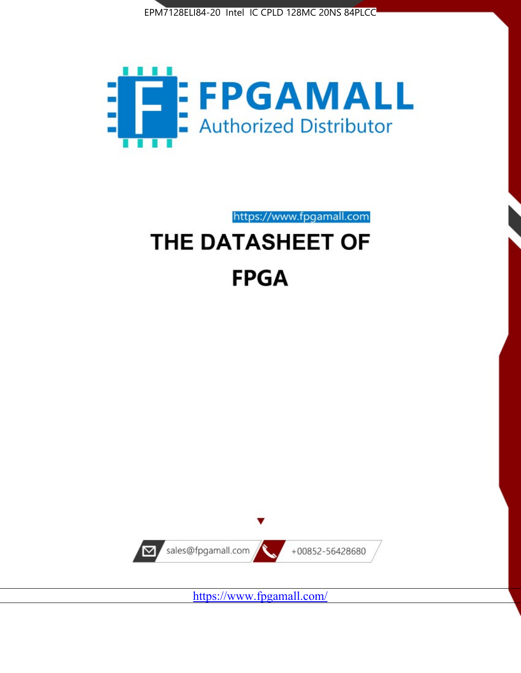



https://www.fpgamall.com

# THE DATASHEET OF **FPGA**



<https://www.fpgamall.com/>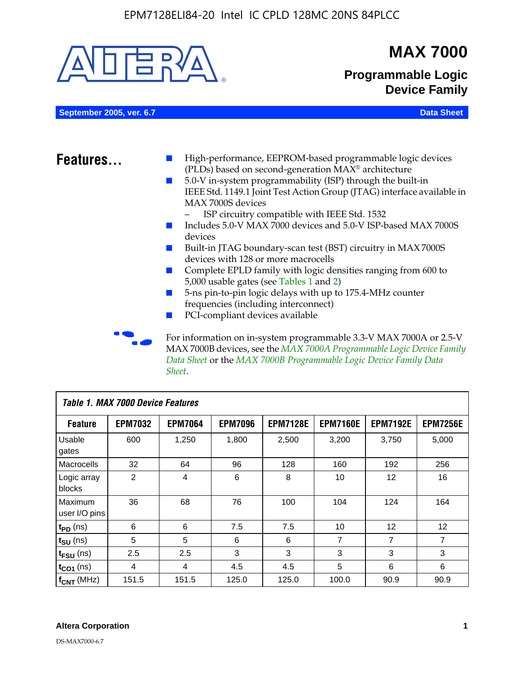

MAX 7000B devices, see the *MAX 7000A Programmable Logic Device Family Data Sheet* or the *MAX 7000B Programmable Logic Device Family Data Sheet*.

| Table 1. MAX 7000 Device Features |                |                |                |                 |                 |                   |                 |
|-----------------------------------|----------------|----------------|----------------|-----------------|-----------------|-------------------|-----------------|
| <b>Feature</b>                    | <b>EPM7032</b> | <b>EPM7064</b> | <b>EPM7096</b> | <b>EPM7128E</b> | <b>EPM7160E</b> | <b>EPM7192E</b>   | <b>EPM7256E</b> |
| Usable<br>gates                   | 600            | 1,250          | 1,800          | 2,500           | 3,200           | 3.750             | 5,000           |
| Macrocells                        | 32             | 64             | 96             | 128             | 160             | 192               | 256             |
| Logic array<br>blocks             | $\overline{2}$ | 4              | 6              | 8               | 10              | 12                | 16              |
| Maximum<br>user I/O pins          | 36             | 68             | 76             | 100             | 104             | 124               | 164             |
| $t_{PD}$ (ns)                     | 6              | 6              | 7.5            | 7.5             | 10              | $12 \overline{ }$ | 12              |
| $t_{SU}$ (ns)                     | 5              | 5              | 6              | 6               | 7               | $\overline{7}$    | $\overline{7}$  |
| $t_{FSU}$ (ns)                    | 2.5            | 2.5            | 3              | 3               | 3               | 3                 | 3               |
| $t_{CO1}$ (ns)                    | 4              | 4              | 4.5            | 4.5             | 5               | 6                 | 6               |
| $f_{CNT}$ (MHz)                   | 151.5          | 151.5          | 125.0          | 125.0           | 100.0           | 90.9              | 90.9            |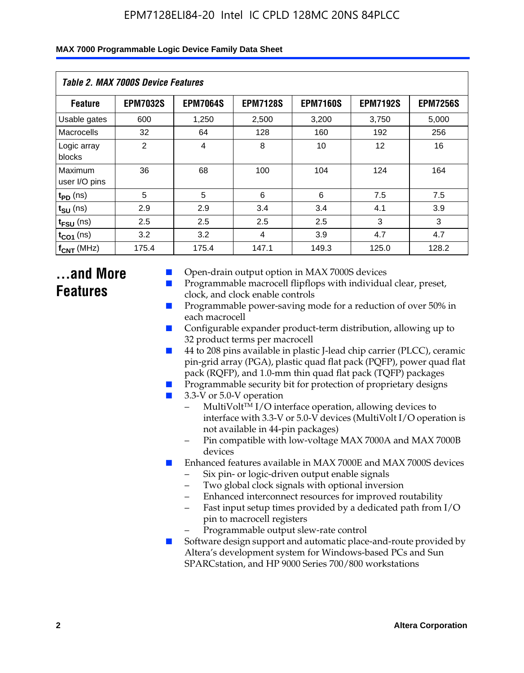| Table 2. MAX 7000S Device Features |                 |                 |                 |                 |                 |                 |  |  |
|------------------------------------|-----------------|-----------------|-----------------|-----------------|-----------------|-----------------|--|--|
| <b>Feature</b>                     | <b>EPM7032S</b> | <b>EPM7064S</b> | <b>EPM7128S</b> | <b>EPM7160S</b> | <b>EPM7192S</b> | <b>EPM7256S</b> |  |  |
| Usable gates                       | 600             | 1,250           | 2,500           | 3,200           | 3,750           | 5,000           |  |  |
| Macrocells                         | 32              | 64              | 128             | 160             | 192             | 256             |  |  |
| Logic array<br>blocks              | 2               | $\overline{4}$  | 8               | 10              | 12              | 16              |  |  |
| Maximum<br>user I/O pins           | 36              | 68              | 100             | 104             | 124             | 164             |  |  |
| $t_{PD}$ (ns)                      | 5               | 5               | 6               | 6               | 7.5             | 7.5             |  |  |
| $t_{\text{SU}}$ (ns)               | 2.9             | 2.9             | 3.4             | 3.4             | 4.1             | 3.9             |  |  |
| $t_{\text{FSU}}$ (ns)              | 2.5             | 2.5             | 2.5             | 2.5             | 3               | 3               |  |  |
| $t_{CO1}$ (ns)                     | 3.2             | 3.2             | 4               | 3.9             | 4.7             | 4.7             |  |  |
| $f_{CNT}$ (MHz)                    | 175.4           | 175.4           | 147.1           | 149.3           | 125.0           | 128.2           |  |  |

# **...and More Features**

- Open-drain output option in MAX 7000S devices
- Programmable macrocell flipflops with individual clear, preset, clock, and clock enable controls
- Programmable power-saving mode for a reduction of over 50% in each macrocell
- Configurable expander product-term distribution, allowing up to 32 product terms per macrocell
- 44 to 208 pins available in plastic J-lead chip carrier (PLCC), ceramic pin-grid array (PGA), plastic quad flat pack (PQFP), power quad flat pack (RQFP), and 1.0-mm thin quad flat pack (TQFP) packages
- Programmable security bit for protection of proprietary designs
- 3.3-V or 5.0-V operation
	- MultiVolt<sup>TM</sup> I/O interface operation, allowing devices to interface with 3.3-V or 5.0-V devices (MultiVolt I/O operation is not available in 44-pin packages)
	- Pin compatible with low-voltage MAX 7000A and MAX 7000B devices
- Enhanced features available in MAX 7000E and MAX 7000S devices
	- Six pin- or logic-driven output enable signals
	- Two global clock signals with optional inversion
	- Enhanced interconnect resources for improved routability
	- Fast input setup times provided by a dedicated path from I/O pin to macrocell registers
	- Programmable output slew-rate control
- Software design support and automatic place-and-route provided by Altera's development system for Windows-based PCs and Sun SPARCstation, and HP 9000 Series 700/800 workstations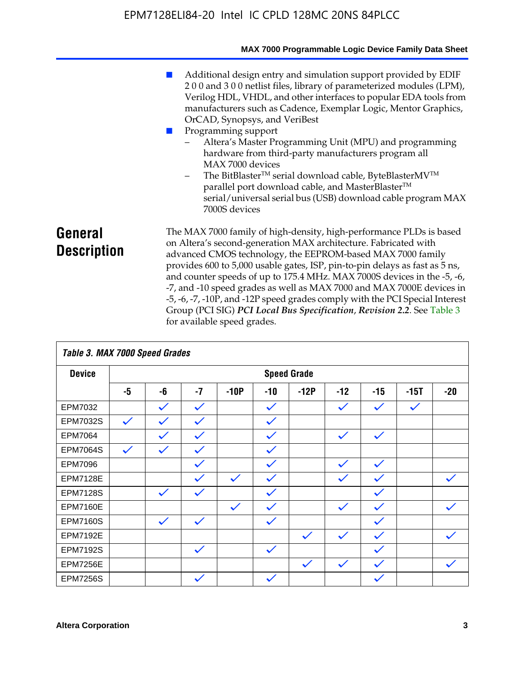|                               | MAX 7000 Programmable Logic Device Family Data Sheet                                                                                                                                                                                                                                                                                                                                                                                                                                                                                                                                                                                                                                                 |
|-------------------------------|------------------------------------------------------------------------------------------------------------------------------------------------------------------------------------------------------------------------------------------------------------------------------------------------------------------------------------------------------------------------------------------------------------------------------------------------------------------------------------------------------------------------------------------------------------------------------------------------------------------------------------------------------------------------------------------------------|
|                               | Additional design entry and simulation support provided by EDIF<br>200 and 300 netlist files, library of parameterized modules (LPM),<br>Verilog HDL, VHDL, and other interfaces to popular EDA tools from<br>manufacturers such as Cadence, Exemplar Logic, Mentor Graphics,<br>OrCAD, Synopsys, and VeriBest<br>Programming support<br>Altera's Master Programming Unit (MPU) and programming<br>hardware from third-party manufacturers program all<br>MAX 7000 devices<br>The BitBlaster™ serial download cable, ByteBlasterMV™<br>$\overline{\phantom{a}}$<br>parallel port download cable, and MasterBlaster™<br>serial/universal serial bus (USB) download cable program MAX<br>7000S devices |
| General<br><b>Description</b> | The MAX 7000 family of high-density, high-performance PLDs is based<br>on Altera's second-generation MAX architecture. Fabricated with<br>advanced CMOS technology, the EEPROM-based MAX 7000 family<br>provides 600 to 5,000 usable gates, ISP, pin-to-pin delays as fast as 5 ns,<br>and counter speeds of up to 175.4 MHz. MAX 7000S devices in the -5, -6,<br>-7, and -10 speed grades as well as MAX 7000 and MAX 7000E devices in<br>-5, -6, -7, -10P, and -12P speed grades comply with the PCI Special Interest<br>Group (PCI SIG) PCI Local Bus Specification, Revision 2.2. See Table 3                                                                                                    |

| Table 3. MAX 7000 Speed Grades |              |              |              |              |              |                    |              |              |              |              |
|--------------------------------|--------------|--------------|--------------|--------------|--------------|--------------------|--------------|--------------|--------------|--------------|
| <b>Device</b>                  |              |              |              |              |              | <b>Speed Grade</b> |              |              |              |              |
|                                | -5           | -6           | $-7$         | $-10P$       | $-10$        | $-12P$             | $-12$        | $-15$        | $-15T$       | $-20$        |
| EPM7032                        |              | $\checkmark$ | $\checkmark$ |              | $\checkmark$ |                    | $\checkmark$ | $\checkmark$ | $\checkmark$ |              |
| EPM7032S                       | $\checkmark$ | $\checkmark$ | $\checkmark$ |              | $\checkmark$ |                    |              |              |              |              |
| <b>EPM7064</b>                 |              | $\checkmark$ | $\checkmark$ |              | $\checkmark$ |                    | $\checkmark$ | $\checkmark$ |              |              |
| <b>EPM7064S</b>                | $\checkmark$ | $\checkmark$ | $\checkmark$ |              | $\checkmark$ |                    |              |              |              |              |
| <b>EPM7096</b>                 |              |              | $\checkmark$ |              | $\checkmark$ |                    | $\checkmark$ | $\checkmark$ |              |              |
| <b>EPM7128E</b>                |              |              | $\checkmark$ | $\checkmark$ | $\checkmark$ |                    | $\checkmark$ | $\checkmark$ |              | $\checkmark$ |
| <b>EPM7128S</b>                |              | $\checkmark$ | $\checkmark$ |              | $\checkmark$ |                    |              | $\checkmark$ |              |              |
| <b>EPM7160E</b>                |              |              |              | $\checkmark$ | $\checkmark$ |                    | $\checkmark$ | $\checkmark$ |              | $\checkmark$ |
| <b>EPM7160S</b>                |              | $\checkmark$ | $\checkmark$ |              | $\checkmark$ |                    |              | $\checkmark$ |              |              |
| <b>EPM7192E</b>                |              |              |              |              |              | $\checkmark$       | $\checkmark$ | $\checkmark$ |              |              |
| <b>EPM7192S</b>                |              |              | $\checkmark$ |              | $\checkmark$ |                    |              | $\checkmark$ |              |              |
| <b>EPM7256E</b>                |              |              |              |              |              | $\checkmark$       | $\checkmark$ | $\checkmark$ |              | $\checkmark$ |
| <b>EPM7256S</b>                |              |              | $\checkmark$ |              | $\checkmark$ |                    |              | $\checkmark$ |              |              |

for available speed grades.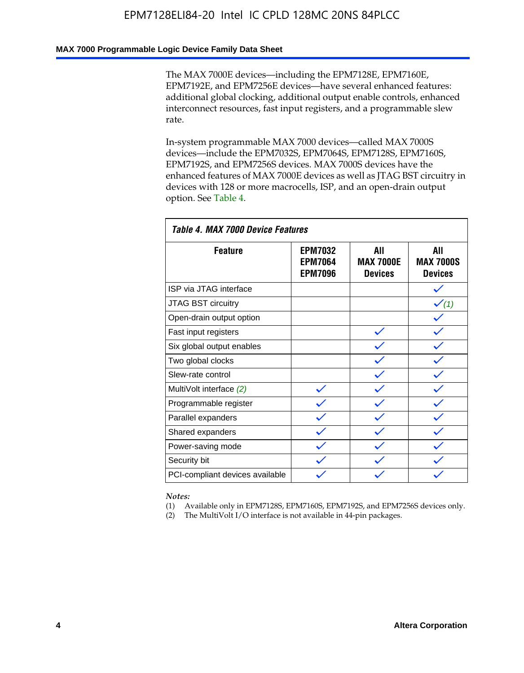#### **MAX 7000 Programmable Logic Device Family Data Sheet**

The MAX 7000E devices—including the EPM7128E, EPM7160E, EPM7192E, and EPM7256E devices—have several enhanced features: additional global clocking, additional output enable controls, enhanced interconnect resources, fast input registers, and a programmable slew rate.

In-system programmable MAX 7000 devices—called MAX 7000S devices—include the EPM7032S, EPM7064S, EPM7128S, EPM7160S, EPM7192S, and EPM7256S devices. MAX 7000S devices have the enhanced features of MAX 7000E devices as well as JTAG BST circuitry in devices with 128 or more macrocells, ISP, and an open-drain output option. See Table 4.

| Table 4. MAX 7000 Device Features |                                                    |                                           |                                           |  |  |  |
|-----------------------------------|----------------------------------------------------|-------------------------------------------|-------------------------------------------|--|--|--|
| <b>Feature</b>                    | <b>EPM7032</b><br><b>EPM7064</b><br><b>EPM7096</b> | All<br><b>MAX 7000E</b><br><b>Devices</b> | All<br><b>MAX 7000S</b><br><b>Devices</b> |  |  |  |
| ISP via JTAG interface            |                                                    |                                           |                                           |  |  |  |
| JTAG BST circuitry                |                                                    |                                           | $\checkmark$ (1)                          |  |  |  |
| Open-drain output option          |                                                    |                                           |                                           |  |  |  |
| Fast input registers              |                                                    |                                           |                                           |  |  |  |
| Six global output enables         |                                                    |                                           |                                           |  |  |  |
| Two global clocks                 |                                                    |                                           |                                           |  |  |  |
| Slew-rate control                 |                                                    |                                           |                                           |  |  |  |
| MultiVolt interface (2)           |                                                    |                                           |                                           |  |  |  |
| Programmable register             |                                                    |                                           |                                           |  |  |  |
| Parallel expanders                |                                                    |                                           |                                           |  |  |  |
| Shared expanders                  |                                                    |                                           |                                           |  |  |  |
| Power-saving mode                 |                                                    |                                           |                                           |  |  |  |
| Security bit                      |                                                    |                                           |                                           |  |  |  |
| PCI-compliant devices available   |                                                    |                                           |                                           |  |  |  |

*Notes:*

(1) Available only in EPM7128S, EPM7160S, EPM7192S, and EPM7256S devices only.

(2) The MultiVolt I/O interface is not available in 44-pin packages.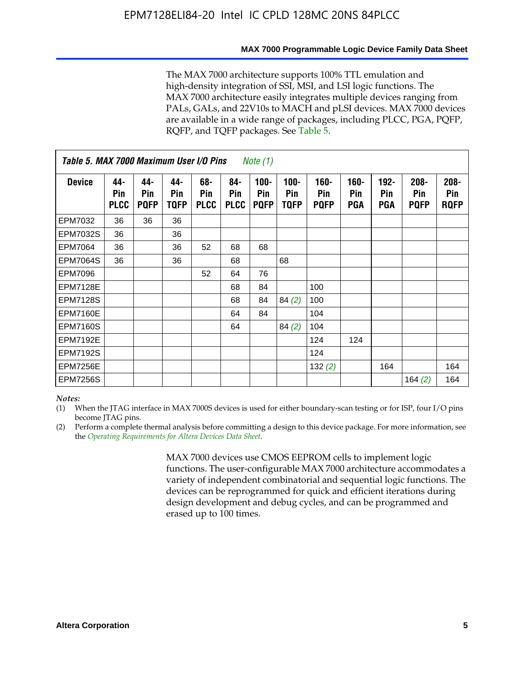#### **MAX 7000 Programmable Logic Device Family Data Sheet**

The MAX 7000 architecture supports 100% TTL emulation and high-density integration of SSI, MSI, and LSI logic functions. The MAX 7000 architecture easily integrates multiple devices ranging from PALs, GALs, and 22V10s to MACH and pLSI devices. MAX 7000 devices are available in a wide range of packages, including PLCC, PGA, PQFP, RQFP, and TQFP packages. See Table 5.

| Table 5. MAX 7000 Maximum User I/O Pins<br><i>Note</i> $(1)$ |                           |                           |                           |                           |                           |                               |                        |                            |                       |                              |                               |                               |
|--------------------------------------------------------------|---------------------------|---------------------------|---------------------------|---------------------------|---------------------------|-------------------------------|------------------------|----------------------------|-----------------------|------------------------------|-------------------------------|-------------------------------|
| <b>Device</b>                                                | 44-<br>Pin<br><b>PLCC</b> | 44-<br>Pin<br><b>PQFP</b> | 44-<br>Pin<br><b>TQFP</b> | 68-<br>Pin<br><b>PLCC</b> | 84-<br>Pin<br><b>PLCC</b> | $100 -$<br>Pin<br><b>PQFP</b> | $100 -$<br>Pin<br>TQFP | 160-<br>Pin<br><b>PQFP</b> | $160 -$<br>Pin<br>PGA | $192 -$<br>Pin<br><b>PGA</b> | $208 -$<br>Pin<br><b>PQFP</b> | $208 -$<br>Pin<br><b>RQFP</b> |
| EPM7032                                                      | 36                        | 36                        | 36                        |                           |                           |                               |                        |                            |                       |                              |                               |                               |
| <b>EPM7032S</b>                                              | 36                        |                           | 36                        |                           |                           |                               |                        |                            |                       |                              |                               |                               |
| <b>EPM7064</b>                                               | 36                        |                           | 36                        | 52                        | 68                        | 68                            |                        |                            |                       |                              |                               |                               |
| <b>EPM7064S</b>                                              | 36                        |                           | 36                        |                           | 68                        |                               | 68                     |                            |                       |                              |                               |                               |
| <b>EPM7096</b>                                               |                           |                           |                           | 52                        | 64                        | 76                            |                        |                            |                       |                              |                               |                               |
| <b>EPM7128E</b>                                              |                           |                           |                           |                           | 68                        | 84                            |                        | 100                        |                       |                              |                               |                               |
| <b>EPM7128S</b>                                              |                           |                           |                           |                           | 68                        | 84                            | 84(2)                  | 100                        |                       |                              |                               |                               |
| <b>EPM7160E</b>                                              |                           |                           |                           |                           | 64                        | 84                            |                        | 104                        |                       |                              |                               |                               |
| EPM7160S                                                     |                           |                           |                           |                           | 64                        |                               | 84(2)                  | 104                        |                       |                              |                               |                               |
| <b>EPM7192E</b>                                              |                           |                           |                           |                           |                           |                               |                        | 124                        | 124                   |                              |                               |                               |
| <b>EPM7192S</b>                                              |                           |                           |                           |                           |                           |                               |                        | 124                        |                       |                              |                               |                               |
| <b>EPM7256E</b>                                              |                           |                           |                           |                           |                           |                               |                        | 132(2)                     |                       | 164                          |                               | 164                           |
| <b>EPM7256S</b>                                              |                           |                           |                           |                           |                           |                               |                        |                            |                       |                              | 164 $(2)$                     | 164                           |

#### *Notes:*

(1) When the JTAG interface in MAX 7000S devices is used for either boundary-scan testing or for ISP, four I/O pins become JTAG pins.

(2) Perform a complete thermal analysis before committing a design to this device package. For more information, see the *Operating Requirements for Altera Devices Data Sheet*.

> MAX 7000 devices use CMOS EEPROM cells to implement logic functions. The user-configurable MAX 7000 architecture accommodates a variety of independent combinatorial and sequential logic functions. The devices can be reprogrammed for quick and efficient iterations during design development and debug cycles, and can be programmed and erased up to 100 times.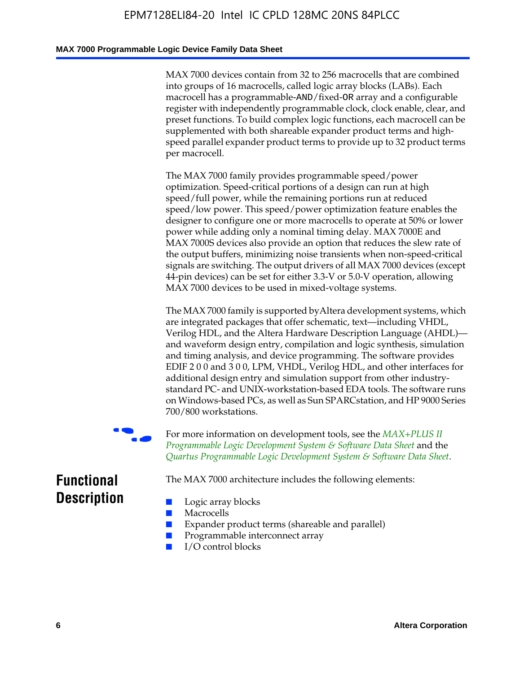#### **MAX 7000 Programmable Logic Device Family Data Sheet**

MAX 7000 devices contain from 32 to 256 macrocells that are combined into groups of 16 macrocells, called logic array blocks (LABs). Each macrocell has a programmable-AND/fixed-OR array and a configurable register with independently programmable clock, clock enable, clear, and preset functions. To build complex logic functions, each macrocell can be supplemented with both shareable expander product terms and highspeed parallel expander product terms to provide up to 32 product terms per macrocell.

The MAX 7000 family provides programmable speed/power optimization. Speed-critical portions of a design can run at high speed/full power, while the remaining portions run at reduced speed/low power. This speed/power optimization feature enables the designer to configure one or more macrocells to operate at 50% or lower power while adding only a nominal timing delay. MAX 7000E and MAX 7000S devices also provide an option that reduces the slew rate of the output buffers, minimizing noise transients when non-speed-critical signals are switching. The output drivers of all MAX 7000 devices (except 44-pin devices) can be set for either 3.3-V or 5.0-V operation, allowing MAX 7000 devices to be used in mixed-voltage systems.

The MAX 7000 family is supported byAltera development systems, which are integrated packages that offer schematic, text—including VHDL, Verilog HDL, and the Altera Hardware Description Language (AHDL) and waveform design entry, compilation and logic synthesis, simulation and timing analysis, and device programming. The [software provides](http://www.altera.com/literature/ds/dsmii.pdf)  [EDIF 2 0 0 and 3 0 0, LPM, VHDL, Verilog HDL, and other in](http://www.altera.com/literature/ds/dsmii.pdf)terfaces for [additional design entry and simulation support from other industry](http://www.altera.com/literature/ds/quartus.pdf)standard PC- and UNIX-workstation-based EDA tools. The software runs on Windows-based PCs, as well as Sun SPARCstation, and HP 9000 Series 700/800 workstations.

For more information on development tools, see the **MAX+PLUS II** *Programmable Logic Development System & Software Data Sheet* and the *Quartus Programmable Logic Development System & Software Data Sheet*.

The MAX 7000 architecture includes the following elements:

# **Functional Description**

- Logic array blocks
- **Macrocells**
- Expander product terms (shareable and parallel)
- Programmable interconnect array
- I/O control blocks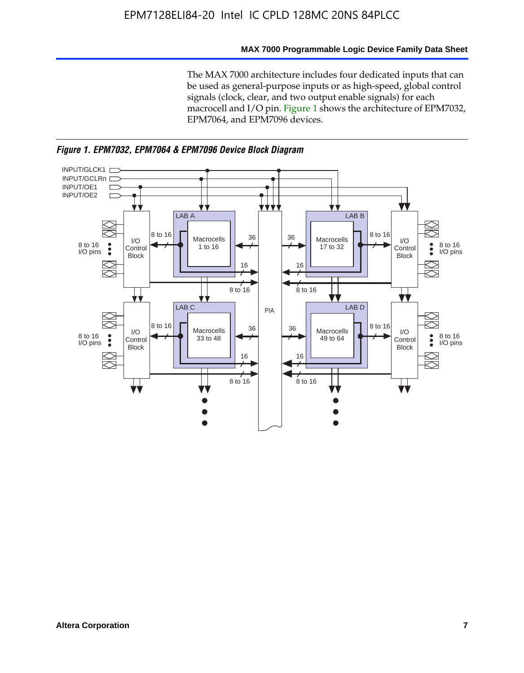#### **MAX 7000 Programmable Logic Device Family Data Sheet**

The MAX 7000 architecture includes four dedicated inputs that can be used as general-purpose inputs or as high-speed, global control signals (clock, clear, and two output enable signals) for each macrocell and I/O pin. Figure 1 shows the architecture of EPM7032, EPM7064, and EPM7096 devices.



*Figure 1. EPM7032, EPM7064 & EPM7096 Device Block Diagram*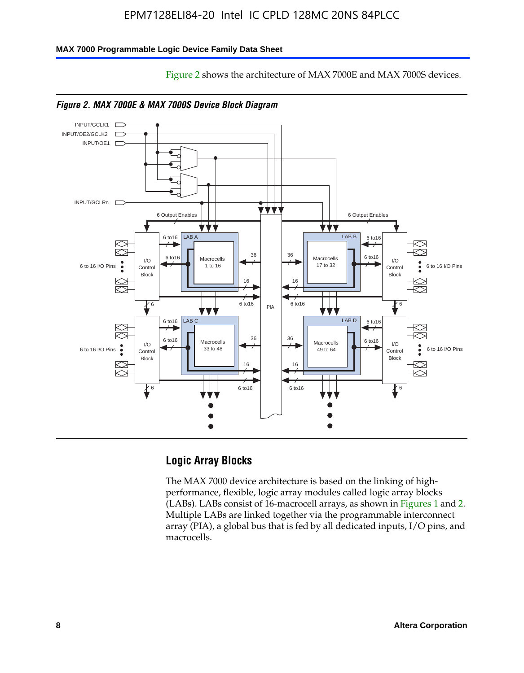Figure 2 shows the architecture of MAX 7000E and MAX 7000S devices.

#### **MAX 7000 Programmable Logic Device Family Data Sheet**







# **Logic Array Blocks**

The MAX 7000 device architecture is based on the linking of highperformance, flexible, logic array modules called logic array blocks (LABs). LABs consist of 16-macrocell arrays, as shown in Figures 1 and 2. Multiple LABs are linked together via the programmable interconnect array (PIA), a global bus that is fed by all dedicated inputs, I/O pins, and macrocells.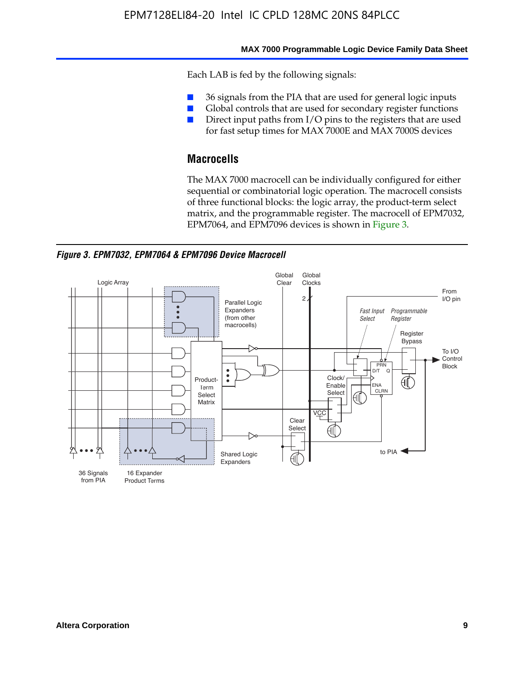#### **MAX 7000 Programmable Logic Device Family Data Sheet**

Each LAB is fed by the following signals:

- 36 signals from the PIA that are used for general logic inputs
- Global controls that are used for secondary register functions
- Direct input paths from I/O pins to the registers that are used for fast setup times for MAX 7000E and MAX 7000S devices

### **Macrocells**

The MAX 7000 macrocell can be individually configured for either sequential or combinatorial logic operation. The macrocell consists of three functional blocks: the logic array, the product-term select matrix, and the programmable register. The macrocell of EPM7032, EPM7064, and EPM7096 devices is shown in Figure 3.

*Figure 3. EPM7032, EPM7064 & EPM7096 Device Macrocell*

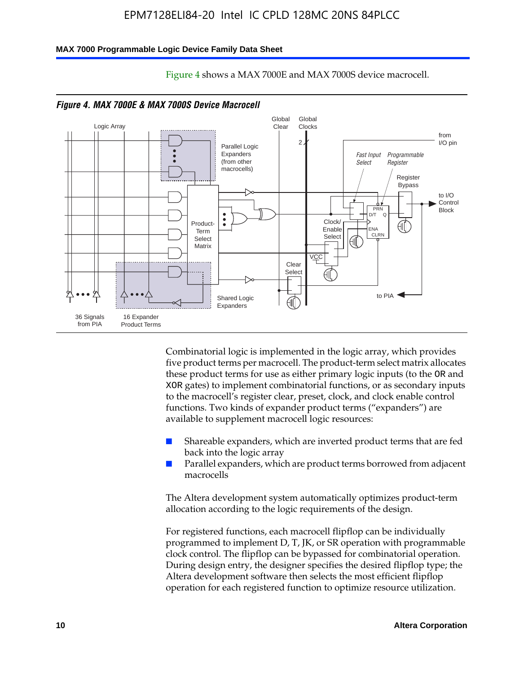#### **MAX 7000 Programmable Logic Device Family Data Sheet**



Figure 4 shows a MAX 7000E and MAX 7000S device macrocell.

Combinatorial logic is implemented in the logic array, which provides five product terms per macrocell. The product-term select matrix allocates these product terms for use as either primary logic inputs (to the OR and XOR gates) to implement combinatorial functions, or as secondary inputs to the macrocell's register clear, preset, clock, and clock enable control functions. Two kinds of expander product terms ("expanders") are available to supplement macrocell logic resources:

- Shareable expanders, which are inverted product terms that are fed back into the logic array
- Parallel expanders, which are product terms borrowed from adjacent macrocells

The Altera development system automatically optimizes product-term allocation according to the logic requirements of the design.

For registered functions, each macrocell flipflop can be individually programmed to implement D, T, JK, or SR operation with programmable clock control. The flipflop can be bypassed for combinatorial operation. During design entry, the designer specifies the desired flipflop type; the Altera development software then selects the most efficient flipflop operation for each registered function to optimize resource utilization.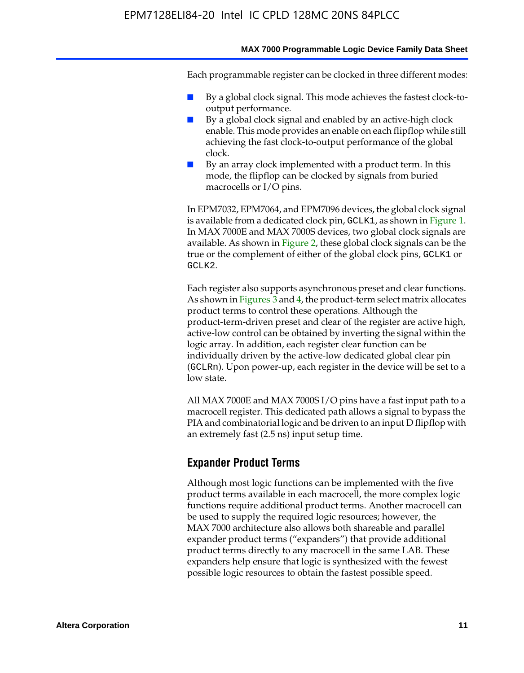#### **MAX 7000 Programmable Logic Device Family Data Sheet**

Each programmable register can be clocked in three different modes:

- By a global clock signal. This mode achieves the fastest clock-tooutput performance.
- By a global clock signal and enabled by an active-high clock enable. This mode provides an enable on each flipflop while still achieving the fast clock-to-output performance of the global clock.
- By an array clock implemented with a product term. In this mode, the flipflop can be clocked by signals from buried macrocells or I/O pins.

In EPM7032, EPM7064, and EPM7096 devices, the global clock signal is available from a dedicated clock pin, GCLK1, as shown in Figure 1. In MAX 7000E and MAX 7000S devices, two global clock signals are available. As shown in Figure 2, these global clock signals can be the true or the complement of either of the global clock pins, GCLK1 or GCLK2.

Each register also supports asynchronous preset and clear functions. As shown in Figures 3 and 4, the product-term select matrix allocates product terms to control these operations. Although the product-term-driven preset and clear of the register are active high, active-low control can be obtained by inverting the signal within the logic array. In addition, each register clear function can be individually driven by the active-low dedicated global clear pin (GCLRn). Upon power-up, each register in the device will be set to a low state.

All MAX 7000E and MAX 7000S I/O pins have a fast input path to a macrocell register. This dedicated path allows a signal to bypass the PIA and combinatorial logic and be driven to an input D flipflop with an extremely fast (2.5 ns) input setup time.

#### **Expander Product Terms**

Although most logic functions can be implemented with the five product terms available in each macrocell, the more complex logic functions require additional product terms. Another macrocell can be used to supply the required logic resources; however, the MAX 7000 architecture also allows both shareable and parallel expander product terms ("expanders") that provide additional product terms directly to any macrocell in the same LAB. These expanders help ensure that logic is synthesized with the fewest possible logic resources to obtain the fastest possible speed.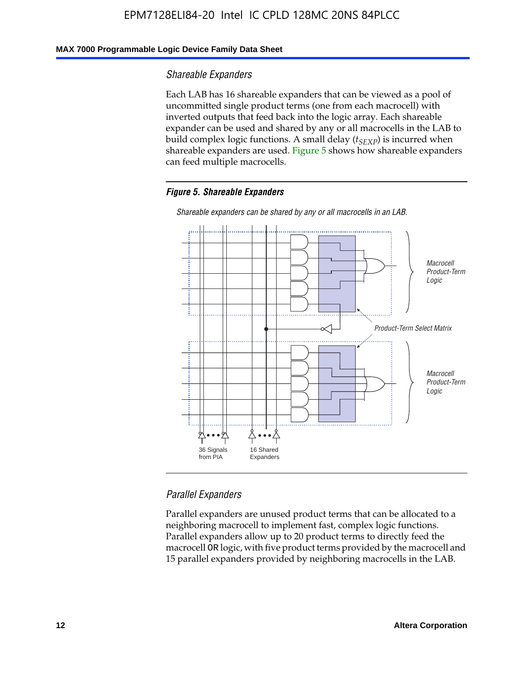#### **MAX 7000 Programmable Logic Device Family Data Sheet**

#### *Shareable Expanders*

Each LAB has 16 shareable expanders that can be viewed as a pool of uncommitted single product terms (one from each macrocell) with inverted outputs that feed back into the logic array. Each shareable expander can be used and shared by any or all macrocells in the LAB to build complex logic functions. A small delay ( $t_{SEXP}$ ) is incurred when shareable expanders are used. Figure 5 shows how shareable expanders can feed multiple macrocells.

#### *Figure 5. Shareable Expanders*



*Shareable expanders can be shared by any or all macrocells in an LAB.*

#### *Parallel Expanders*

Parallel expanders are unused product terms that can be allocated to a neighboring macrocell to implement fast, complex logic functions. Parallel expanders allow up to 20 product terms to directly feed the macrocell OR logic, with five product terms provided by the macrocell and 15 parallel expanders provided by neighboring macrocells in the LAB.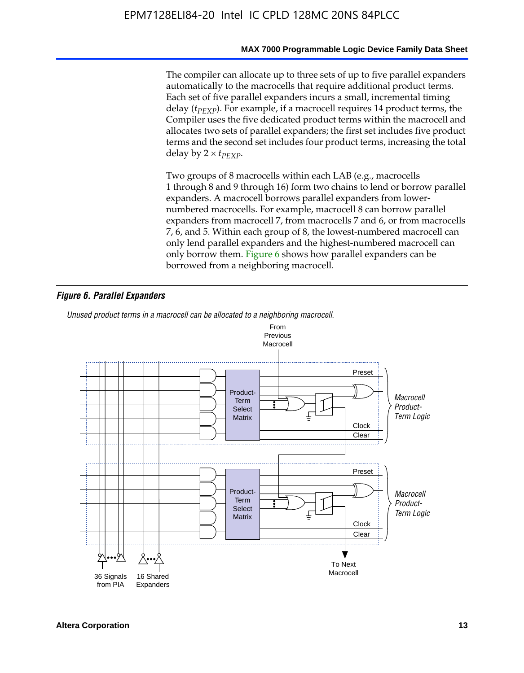#### **MAX 7000 Programmable Logic Device Family Data Sheet**

The compiler can allocate up to three sets of up to five parallel expanders automatically to the macrocells that require additional product terms. Each set of five parallel expanders incurs a small, incremental timing delay (*t<sub>PEXP</sub>*). For example, if a macrocell requires 14 product terms, the Compiler uses the five dedicated product terms within the macrocell and allocates two sets of parallel expanders; the first set includes five product terms and the second set includes four product terms, increasing the total delay by  $2 \times t_{PFXP}$ .

Two groups of 8 macrocells within each LAB (e.g., macrocells 1 through 8 and 9 through 16) form two chains to lend or borrow parallel expanders. A macrocell borrows parallel expanders from lowernumbered macrocells. For example, macrocell 8 can borrow parallel expanders from macrocell 7, from macrocells 7 and 6, or from macrocells 7, 6, and 5. Within each group of 8, the lowest-numbered macrocell can only lend parallel expanders and the highest-numbered macrocell can only borrow them. Figure 6 shows how parallel expanders can be borrowed from a neighboring macrocell.

#### *Figure 6. Parallel Expanders*

*Unused product terms in a macrocell can be allocated to a neighboring macrocell.*

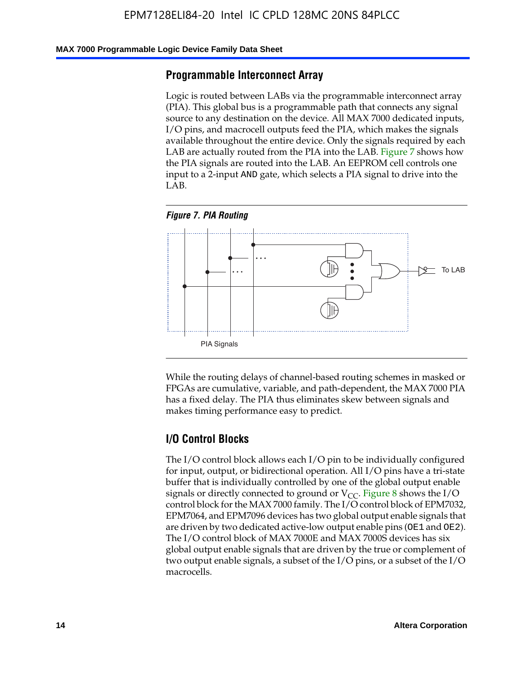#### **MAX 7000 Programmable Logic Device Family Data Sheet**

#### **Programmable Interconnect Array**

Logic is routed between LABs via the programmable interconnect array (PIA). This global bus is a programmable path that connects any signal source to any destination on the device. All MAX 7000 dedicated inputs, I/O pins, and macrocell outputs feed the PIA, which makes the signals available throughout the entire device. Only the signals required by each LAB are actually routed from the PIA into the LAB. Figure 7 shows how the PIA signals are routed into the LAB. An EEPROM cell controls one input to a 2-input AND gate, which selects a PIA signal to drive into the LAB.





While the routing delays of channel-based routing schemes in masked or FPGAs are cumulative, variable, and path-dependent, the MAX 7000 PIA has a fixed delay. The PIA thus eliminates skew between signals and makes timing performance easy to predict.

#### **I/O Control Blocks**

The I/O control block allows each I/O pin to be individually configured for input, output, or bidirectional operation. All I/O pins have a tri-state buffer that is individually controlled by one of the global output enable signals or directly connected to ground or  $V_{CC}$ . Figure 8 shows the I/O control block for the MAX 7000 family. The I/O control block of EPM7032, EPM7064, and EPM7096 devices has two global output enable signals that are driven by two dedicated active-low output enable pins (OE1 and OE2). The I/O control block of MAX 7000E and MAX 7000S devices has six global output enable signals that are driven by the true or complement of two output enable signals, a subset of the I/O pins, or a subset of the I/O macrocells.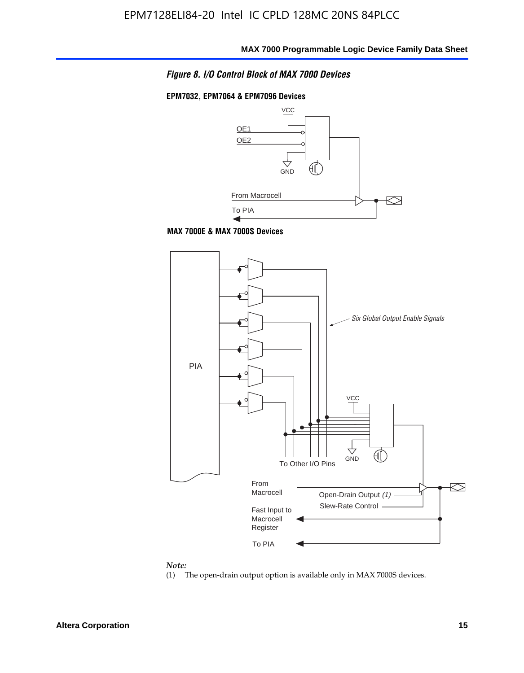

#### **EPM7032, EPM7064 & EPM7096 Devices**



**MAX 7000E & MAX 7000S Devices**



#### *Note:*

(1) The open-drain output option is available only in MAX 7000S devices.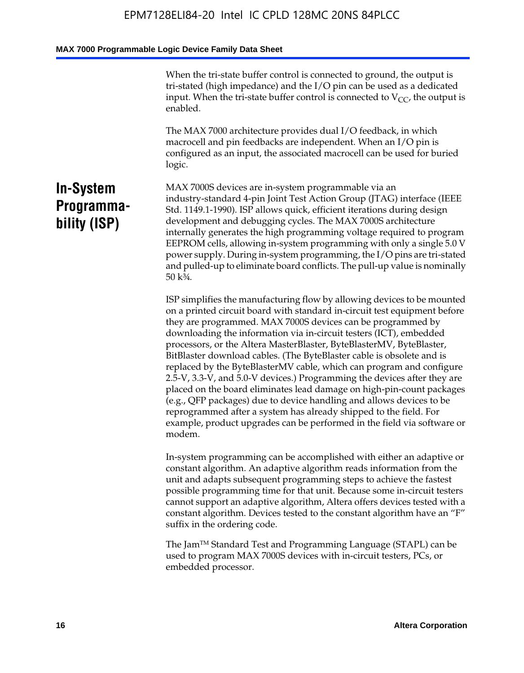When the tri-state buffer control is connected to ground, the output is tri-stated (high impedance) and the I/O pin can be used as a dedicated input. When the tri-state buffer control is connected to  $V_{CC}$ , the output is enabled.

The MAX 7000 architecture provides dual I/O feedback, in which macrocell and pin feedbacks are independent. When an I/O pin is configured as an input, the associated macrocell can be used for buried logic.

# **In-System Programmability (ISP)**

MAX 7000S devices are in-system programmable via an industry-standard 4-pin Joint Test Action Group (JTAG) interface (IEEE Std. 1149.1-1990). ISP allows quick, efficient iterations during design development and debugging cycles. The MAX 7000S architecture internally generates the high programming voltage required to program EEPROM cells, allowing in-system programming with only a single 5.0 V power supply. During in-system programming, the I/O pins are tri-stated and pulled-up to eliminate board conflicts. The pull-up value is nominally 50 k¾.

ISP simplifies the manufacturing flow by allowing devices to be mounted on a printed circuit board with standard in-circuit test equipment before they are programmed. MAX 7000S devices can be programmed by downloading the information via in-circuit testers (ICT), embedded processors, or the Altera MasterBlaster, ByteBlasterMV, ByteBlaster, BitBlaster download cables. (The ByteBlaster cable is obsolete and is replaced by the ByteBlasterMV cable, which can program and configure 2.5-V, 3.3-V, and 5.0-V devices.) Programming the devices after they are placed on the board eliminates lead damage on high-pin-count packages (e.g., QFP packages) due to device handling and allows devices to be reprogrammed after a system has already shipped to the field. For example, product upgrades can be performed in the field via software or modem.

In-system programming can be accomplished with either an adaptive or constant algorithm. An adaptive algorithm reads information from the unit and adapts subsequent programming steps to achieve the fastest possible programming time for that unit. Because some in-circuit testers cannot support an adaptive algorithm, Altera offers devices tested with a constant algorithm. Devices tested to the constant algorithm have an "F" suffix in the ordering code.

The Jam™ Standard Test and Programming Language (STAPL) can be used to program MAX 7000S devices with in-circuit testers, PCs, or embedded processor.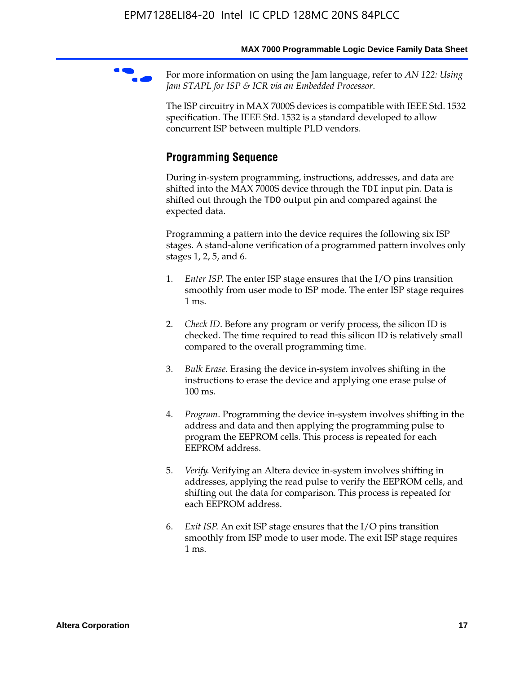For more information on using the Jam language, refer to *AN* 122: Using *Jam STAPL for ISP & ICR via an Embedded Processor*.

The ISP circuitry in MAX 7000S devices is compatible with IEEE Std. 1532 specification. The IEEE Std. 1532 is a standard developed to allow concurrent ISP between multiple PLD vendors.

# **Programming Sequence**

During in-system programming, instructions, addresses, and data are shifted into the MAX 7000S device through the TDI input pin. Data is shifted out through the TDO output pin and compared against the expected data.

Programming a pattern into the device requires the following six ISP stages. A stand-alone verification of a programmed pattern involves only stages 1, 2, 5, and 6.

- 1. *Enter ISP*. The enter ISP stage ensures that the I/O pins transition smoothly from user mode to ISP mode. The enter ISP stage requires 1 ms.
- 2. *Check ID*. Before any program or verify process, the silicon ID is checked. The time required to read this silicon ID is relatively small compared to the overall programming time.
- 3. *Bulk Erase*. Erasing the device in-system involves shifting in the instructions to erase the device and applying one erase pulse of 100 ms.
- 4. *Program*. Programming the device in-system involves shifting in the address and data and then applying the programming pulse to program the EEPROM cells. This process is repeated for each EEPROM address.
- 5. *Verify*. Verifying an Altera device in-system involves shifting in addresses, applying the read pulse to verify the EEPROM cells, and shifting out the data for comparison. This process is repeated for each EEPROM address.
- 6. *Exit ISP*. An exit ISP stage ensures that the I/O pins transition smoothly from ISP mode to user mode. The exit ISP stage requires 1 ms.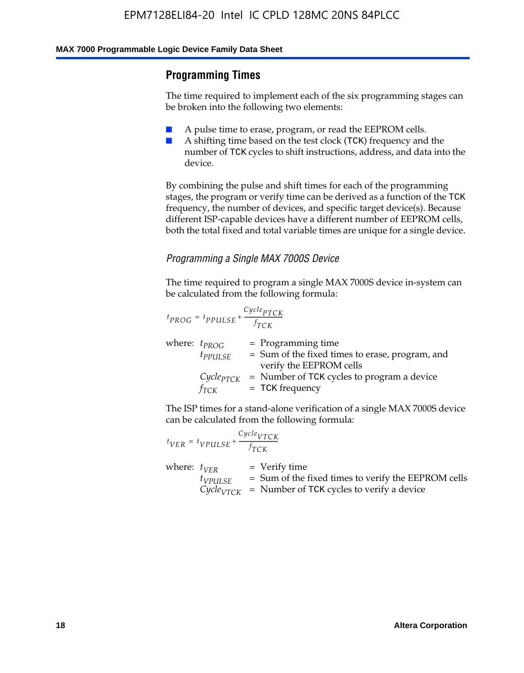#### **Programming Times**

The time required to implement each of the six programming stages can be broken into the following two elements:

- A pulse time to erase, program, or read the EEPROM cells.
- A shifting time based on the test clock (TCK) frequency and the number of TCK cycles to shift instructions, address, and data into the device.

By combining the pulse and shift times for each of the programming stages, the program or verify time can be derived as a function of the TCK frequency, the number of devices, and specific target device(s). Because different ISP-capable devices have a different number of EEPROM cells, both the total fixed and total variable times are unique for a single device.

#### *Programming a Single MAX 7000S Device*

The time required to program a single MAX 7000S device in-system can be calculated from the following formula:

$$
t_{PROG} = t_{PPULSE} + \frac{C_{ycle_{PTCK}}}{f_{TCK}}
$$
  
where:  $t_{PROG}$  = Programming time  
 $t_{PPULSE}$  = Sum of the fixed times to erase, program, and  
verify the EEPROM cells  
 $C_{ycle_{PTCK}}$  = Number of TCK cycles to program a device  
 $f_{TCK}$  = TCK frequency

The ISP times for a stand-alone verification of a single MAX 7000S device can be calculated from the following formula:

|                  | $t_{VER} = t_{VPULSE} + \frac{Cycle_{VTCK}}{f_{TCK}}$ |                                                                                                                                 |
|------------------|-------------------------------------------------------|---------------------------------------------------------------------------------------------------------------------------------|
| where: $t_{VFR}$ | $t_{VPULSE}$                                          | = Verify time<br>$=$ Sum of the fixed times to verify the EEPROM cells<br>$CycleVTCK$ = Number of TCK cycles to verify a device |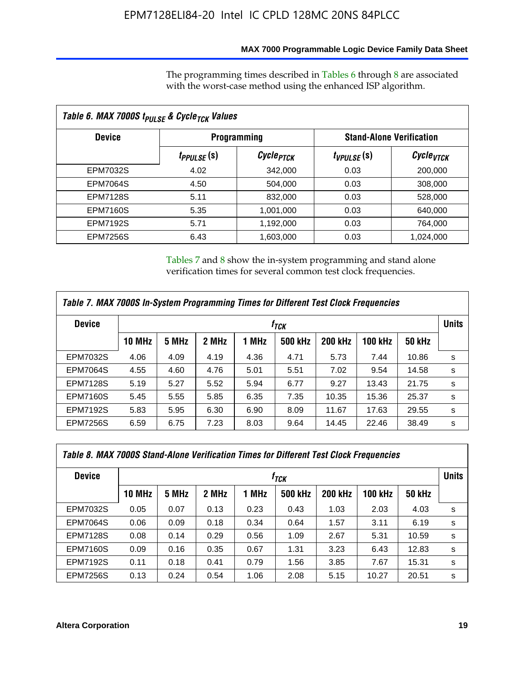#### **MAX 7000 Programmable Logic Device Family Data Sheet**

The programming times described in Tables 6 through 8 are associated with the worst-case method using the enhanced ISP algorithm.

| Table 6. MAX 7000S t <sub>PULSE</sub> & Cycle <sub>TCK</sub> Values |                         |                       |                 |                                 |  |  |  |
|---------------------------------------------------------------------|-------------------------|-----------------------|-----------------|---------------------------------|--|--|--|
| <b>Device</b>                                                       | <b>Programming</b>      |                       |                 | <b>Stand-Alone Verification</b> |  |  |  |
|                                                                     | t <sub>PPULSE</sub> (S) | Cycle <sub>PTCK</sub> | $t_{VPULSE}(s)$ | $\mathcal C$ ycle $_{VTCK}$     |  |  |  |
| EPM7032S                                                            | 4.02                    | 342,000               | 0.03            | 200,000                         |  |  |  |
| <b>EPM7064S</b>                                                     | 4.50                    | 504,000               | 0.03            | 308,000                         |  |  |  |
| <b>EPM7128S</b>                                                     | 5.11                    | 832,000               | 0.03            | 528,000                         |  |  |  |
| <b>EPM7160S</b>                                                     | 5.35                    | 1,001,000             | 0.03            | 640,000                         |  |  |  |
| <b>EPM7192S</b>                                                     | 5.71                    | 1,192,000             | 0.03            | 764,000                         |  |  |  |
| <b>EPM7256S</b>                                                     | 6.43                    | 1,603,000             | 0.03            | 1,024,000                       |  |  |  |

Tables 7 and 8 show the in-system programming and stand alone verification times for several common test clock frequencies.

| Table 7. MAX 7000S In-System Programming Times for Different Test Clock Frequencies |               |       |       |       |                |                |                |               |              |
|-------------------------------------------------------------------------------------|---------------|-------|-------|-------|----------------|----------------|----------------|---------------|--------------|
| <b>Device</b>                                                                       | $f_{TCK}$     |       |       |       |                |                |                |               | <b>Units</b> |
|                                                                                     | <b>10 MHz</b> | 5 MHz | 2 MHz | 1 MHz | <b>500 kHz</b> | <b>200 kHz</b> | <b>100 kHz</b> | <b>50 kHz</b> |              |
| <b>EPM7032S</b>                                                                     | 4.06          | 4.09  | 4.19  | 4.36  | 4.71           | 5.73           | 7.44           | 10.86         | s            |
| <b>EPM7064S</b>                                                                     | 4.55          | 4.60  | 4.76  | 5.01  | 5.51           | 7.02           | 9.54           | 14.58         | s            |
| <b>EPM7128S</b>                                                                     | 5.19          | 5.27  | 5.52  | 5.94  | 6.77           | 9.27           | 13.43          | 21.75         | s            |
| <b>EPM7160S</b>                                                                     | 5.45          | 5.55  | 5.85  | 6.35  | 7.35           | 10.35          | 15.36          | 25.37         | s            |
| <b>EPM7192S</b>                                                                     | 5.83          | 5.95  | 6.30  | 6.90  | 8.09           | 11.67          | 17.63          | 29.55         | s            |
| <b>EPM7256S</b>                                                                     | 6.59          | 6.75  | 7.23  | 8.03  | 9.64           | 14.45          | 22.46          | 38.49         | s            |

| Table 8. MAX 7000S Stand-Alone Verification Times for Different Test Clock Frequencies |               |                  |       |       |                |                |                |               |              |
|----------------------------------------------------------------------------------------|---------------|------------------|-------|-------|----------------|----------------|----------------|---------------|--------------|
| <b>Device</b>                                                                          |               | f <sub>тск</sub> |       |       |                |                |                |               | <b>Units</b> |
|                                                                                        | <b>10 MHz</b> | 5 MHz            | 2 MHz | 1 MHz | <b>500 kHz</b> | <b>200 kHz</b> | <b>100 kHz</b> | <b>50 kHz</b> |              |
| EPM7032S                                                                               | 0.05          | 0.07             | 0.13  | 0.23  | 0.43           | 1.03           | 2.03           | 4.03          | s            |
| <b>EPM7064S</b>                                                                        | 0.06          | 0.09             | 0.18  | 0.34  | 0.64           | 1.57           | 3.11           | 6.19          | s            |
| <b>EPM7128S</b>                                                                        | 0.08          | 0.14             | 0.29  | 0.56  | 1.09           | 2.67           | 5.31           | 10.59         | s            |
| <b>EPM7160S</b>                                                                        | 0.09          | 0.16             | 0.35  | 0.67  | 1.31           | 3.23           | 6.43           | 12.83         | s            |
| <b>EPM7192S</b>                                                                        | 0.11          | 0.18             | 0.41  | 0.79  | 1.56           | 3.85           | 7.67           | 15.31         | s            |
| <b>EPM7256S</b>                                                                        | 0.13          | 0.24             | 0.54  | 1.06  | 2.08           | 5.15           | 10.27          | 20.51         | s            |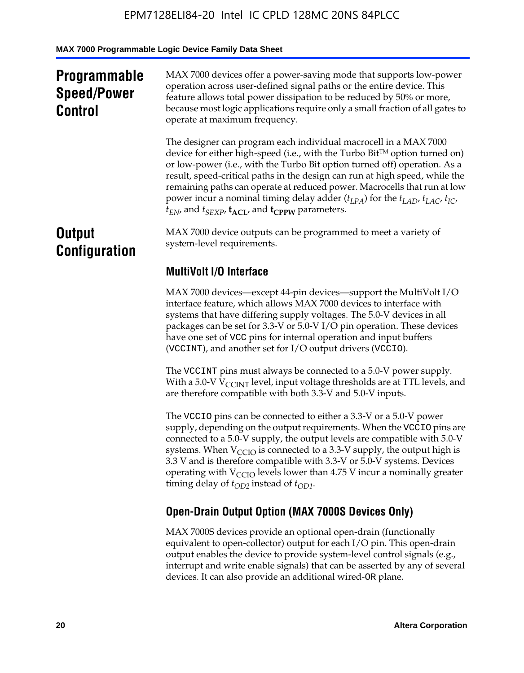# **Programmable Speed/Power Control**

MAX 7000 devices offer a power-saving mode that supports low-power operation across user-defined signal paths or the entire device. This feature allows total power dissipation to be reduced by 50% or more, because most logic applications require only a small fraction of all gates to operate at maximum frequency.

The designer can program each individual macrocell in a MAX 7000 device for either high-speed (i.e., with the Turbo  $Bit^{TM}$  option turned on) or low-power (i.e., with the Turbo Bit option turned off) operation. As a result, speed-critical paths in the design can run at high speed, while the remaining paths can operate at reduced power. Macrocells that run at low power incur a nominal timing delay adder  $(t_{LPA})$  for the  $t_{LAD}$ ,  $t_{LAC}$ ,  $t_{IC}$ ,  $t_{EN}$ , and  $t_{SEXP}$ ,  $t_{ACL}$ , and  $t_{CPPW}$  parameters.

# **Output Configuration**

MAX 7000 device outputs can be programmed to meet a variety of system-level requirements.

# **MultiVolt I/O Interface**

MAX 7000 devices—except 44-pin devices—support the MultiVolt I/O interface feature, which allows MAX 7000 devices to interface with systems that have differing supply voltages. The 5.0-V devices in all packages can be set for 3.3-V or 5.0-V I/O pin operation. These devices have one set of VCC pins for internal operation and input buffers (VCCINT), and another set for I/O output drivers (VCCIO).

The VCCINT pins must always be connected to a 5.0-V power supply. With a 5.0-V  $V_{\text{CCINT}}$  level, input voltage thresholds are at TTL levels, and are therefore compatible with both 3.3-V and 5.0-V inputs.

The VCCIO pins can be connected to either a 3.3-V or a 5.0-V power supply, depending on the output requirements. When the VCCIO pins are connected to a 5.0-V supply, the output levels are compatible with 5.0-V systems. When  $V_{\text{CGO}}$  is connected to a 3.3-V supply, the output high is 3.3 V and is therefore compatible with 3.3-V or 5.0-V systems. Devices operating with  $V_{\text{CCIO}}$  levels lower than 4.75 V incur a nominally greater timing delay of  $t_{OD2}$  instead of  $t_{OD1}$ .

# **Open-Drain Output Option (MAX 7000S Devices Only)**

MAX 7000S devices provide an optional open-drain (functionally equivalent to open-collector) output for each I/O pin. This open-drain output enables the device to provide system-level control signals (e.g., interrupt and write enable signals) that can be asserted by any of several devices. It can also provide an additional wired-OR plane.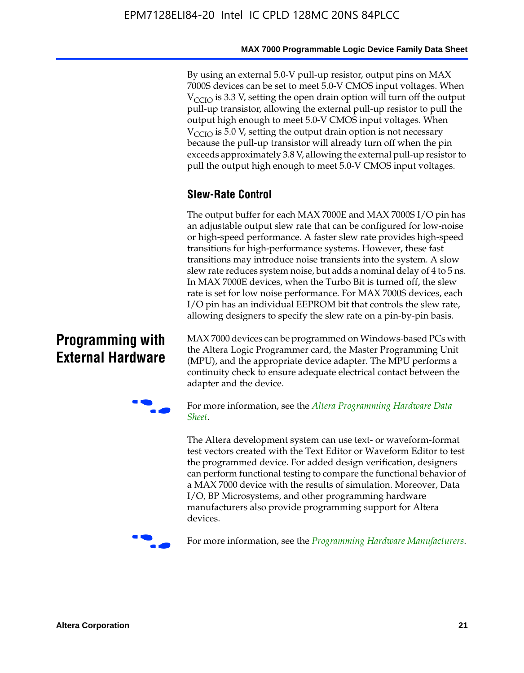By using an external 5.0-V pull-up resistor, output pins on MAX 7000S devices can be set to meet 5.0-V CMOS input voltages. When  $V_{\text{CCIO}}$  is 3.3 V, setting the open drain option will turn off the output pull-up transistor, allowing the external pull-up resistor to pull the output high enough to meet 5.0-V CMOS input voltages. When  $V_{\text{CCIO}}$  is 5.0 V, setting the output drain option is not necessary because the pull-up transistor will already turn off when the pin exceeds approximately 3.8 V, allowing the external pull-up resistor to pull the output high enough to meet 5.0-V CMOS input voltages.

# **Slew-Rate Control**

The output buffer for each MAX 7000E and MAX 7000S I/O pin has an adjustable output slew rate that can be configured for low-noise or high-speed performance. A faster slew rate provides high-speed transitions for high-performance systems. However, these fast transitions may introduce noise transients into the system. A slow slew rate reduces system noise, but adds a nominal delay of 4 to 5 ns. In MAX 7000E devices, when the Turbo Bit is turned off, the slew rate is set for low noise performance. For MAX 7000S devices, each I/O pin has an individual EEPROM bit that controls the slew rate, allowing designers to specify the slew rate on a pin-by-pin basis.

# **Programming with External Hardware**

[MAX](http://www.altera.com/literature/ds/dspghd.pdf) 7000 devices can be prog[rammed on Windows-based PCs with](http://www.altera.com/literature/ds/dspghd.pdf)  the Altera Logic Programmer card, the Master Programming Unit (MPU), and the appropriate device adapter. The MPU performs a continuity check to ensure adequate electrical contact between the adapter and the device.



For more information, see the *Altera Programming Hardware Data Sheet*.

The Altera development system can use text- or waveform-format test vectors created with the Text Editor or Waveform Editor to test the programmed device. For added design verification, designers can perform functional testing to compare the functional behavior of a MAX 7000 device with the results of simulation. Moreover, Data I/O, BP Microsystems, and other programming hardware manufacturers also provide programming support for Altera devices.



For more information, see the *Programming Hardware Manufacturers*.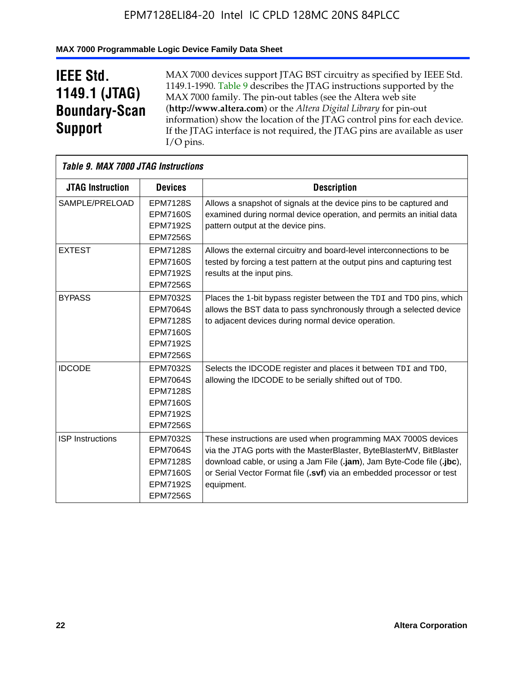#### **MAX 7000 Programmable Logic Device Family Data Sheet**

# **IEEE Std. 1149.1 (JTAG) Boundary-Scan Support**

 $\mathsf{r}$ 

MAX 7000 devices support JTAG BST circuitry as specified by IEEE Std. 1149.1-1990. Table 9 describes the JTAG instructions supported by the MAX 7000 family. The pin-out tables (see the Altera web site (**http://www.altera.com**) or the *Altera Digital Library* for pin-out information) show the location of the JTAG control pins for each device. If the JTAG interface is not required, the JTAG pins are available as user I/O pins.

|                         | Table 9. MAX 7000 JTAG Instructions                                                                            |                                                                                                                                                                                                                                                                                                         |  |  |  |  |  |
|-------------------------|----------------------------------------------------------------------------------------------------------------|---------------------------------------------------------------------------------------------------------------------------------------------------------------------------------------------------------------------------------------------------------------------------------------------------------|--|--|--|--|--|
| <b>JTAG Instruction</b> | <b>Devices</b>                                                                                                 | <b>Description</b>                                                                                                                                                                                                                                                                                      |  |  |  |  |  |
| SAMPLE/PRELOAD          | <b>EPM7128S</b><br><b>EPM7160S</b><br><b>EPM7192S</b><br><b>EPM7256S</b>                                       | Allows a snapshot of signals at the device pins to be captured and<br>examined during normal device operation, and permits an initial data<br>pattern output at the device pins.                                                                                                                        |  |  |  |  |  |
| <b>EXTEST</b>           | <b>EPM7128S</b><br><b>EPM7160S</b><br><b>EPM7192S</b><br><b>EPM7256S</b>                                       | Allows the external circuitry and board-level interconnections to be<br>tested by forcing a test pattern at the output pins and capturing test<br>results at the input pins.                                                                                                                            |  |  |  |  |  |
| <b>BYPASS</b>           | EPM7032S<br><b>EPM7064S</b><br><b>EPM7128S</b><br><b>EPM7160S</b><br><b>EPM7192S</b><br><b>EPM7256S</b>        | Places the 1-bit bypass register between the TDI and TDO pins, which<br>allows the BST data to pass synchronously through a selected device<br>to adjacent devices during normal device operation.                                                                                                      |  |  |  |  |  |
| <b>IDCODE</b>           | EPM7032S<br><b>EPM7064S</b><br><b>EPM7128S</b><br><b>EPM7160S</b><br><b>EPM7192S</b><br><b>EPM7256S</b>        | Selects the IDCODE register and places it between TDI and TDO,<br>allowing the IDCODE to be serially shifted out of TDO.                                                                                                                                                                                |  |  |  |  |  |
| <b>ISP</b> Instructions | <b>EPM7032S</b><br><b>EPM7064S</b><br><b>EPM7128S</b><br><b>EPM7160S</b><br><b>EPM7192S</b><br><b>EPM7256S</b> | These instructions are used when programming MAX 7000S devices<br>via the JTAG ports with the MasterBlaster, ByteBlasterMV, BitBlaster<br>download cable, or using a Jam File (.jam), Jam Byte-Code file (.jbc),<br>or Serial Vector Format file (.svf) via an embedded processor or test<br>equipment. |  |  |  |  |  |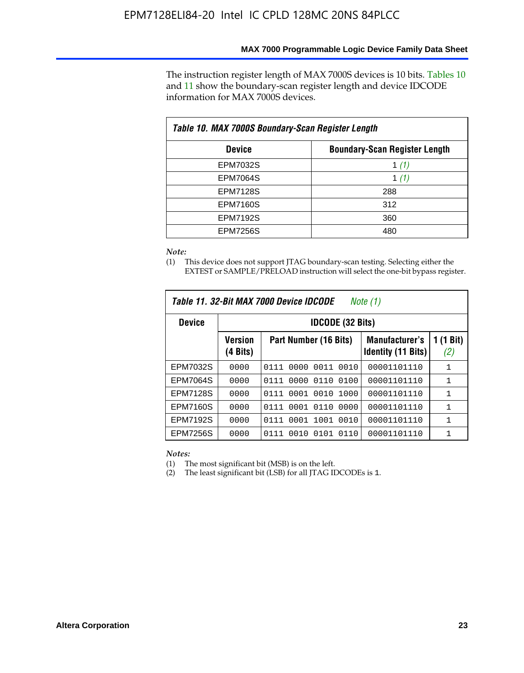The instruction register length of MAX 7000S devices is 10 bits. Tables 10 and 11 show the boundary-scan register length and device IDCODE information for MAX 7000S devices.

| Table 10. MAX 7000S Boundary-Scan Register Length |                                      |  |  |  |  |  |
|---------------------------------------------------|--------------------------------------|--|--|--|--|--|
| <b>Device</b>                                     | <b>Boundary-Scan Register Length</b> |  |  |  |  |  |
| EPM7032S                                          | 1 $(1)$                              |  |  |  |  |  |
| <b>EPM7064S</b>                                   | 1 $(1)$                              |  |  |  |  |  |
| <b>EPM7128S</b>                                   | 288                                  |  |  |  |  |  |
| <b>EPM7160S</b>                                   | 312                                  |  |  |  |  |  |
| <b>EPM7192S</b>                                   | 360                                  |  |  |  |  |  |
| <b>EPM7256S</b>                                   | 480                                  |  |  |  |  |  |

*Note:*

(1) This device does not support JTAG boundary-scan testing. Selecting either the EXTEST or SAMPLE/PRELOAD instruction will select the one-bit bypass register.

| Table 11, 32-Bit MAX 7000 Device IDCODE<br>Note (1) |                            |                              |                                                    |                  |  |  |
|-----------------------------------------------------|----------------------------|------------------------------|----------------------------------------------------|------------------|--|--|
| <b>Device</b>                                       |                            | <b>IDCODE (32 Bits)</b>      |                                                    |                  |  |  |
|                                                     | <b>Version</b><br>(4 Bits) | Part Number (16 Bits)        | <b>Manufacturer's</b><br><b>Identity (11 Bits)</b> | 1 (1 Bit)<br>(2) |  |  |
| EPM7032S                                            | 0000                       | 0010<br>0111<br>0000<br>0011 | 00001101110                                        | 1                |  |  |
| <b>EPM7064S</b>                                     | 0000                       | 0000<br>0110<br>0100<br>0111 | 00001101110                                        | 1                |  |  |
| <b>EPM7128S</b>                                     | 0000                       | 0001 0010<br>1000<br>0111    | 00001101110                                        | 1                |  |  |
| <b>EPM7160S</b>                                     | 0000                       | 0001<br>0110<br>0000<br>0111 | 00001101110                                        | $\mathbf{1}$     |  |  |
| <b>EPM7192S</b>                                     | 0000                       | 1001<br>0010<br>0111<br>0001 | 00001101110                                        | 1                |  |  |
| EPM7256S                                            | 0000                       | 0111<br>0010<br>0101<br>0110 | 00001101110                                        | 1                |  |  |

*Notes:*

(1) The most significant bit (MSB) is on the left.

(2) The least significant bit (LSB) for all JTAG IDCODEs is 1.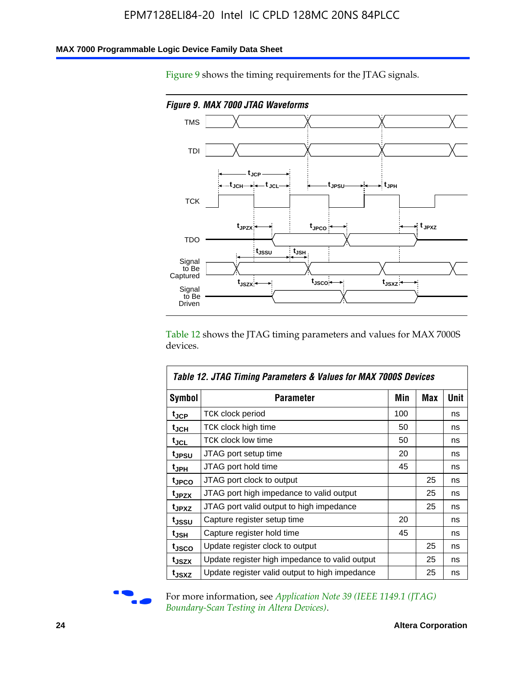#### **MAX 7000 Programmable Logic Device Family Data Sheet**

Figure 9 shows the timing requirements for the JTAG signals.



Table 12 shows the JTAG timing parameters and values for MAX 7000S devices.

|                   | Table 12. JTAG Timing Parameters & Values for MAX 7000S Devices |     |     |      |
|-------------------|-----------------------------------------------------------------|-----|-----|------|
| <b>Symbol</b>     | Parameter                                                       | Min | Max | Unit |
| t <sub>JCP</sub>  | TCK clock period                                                | 100 |     | ns   |
| t <sub>JCH</sub>  | TCK clock high time                                             | 50  |     | ns   |
| tjcl              | TCK clock low time                                              | 50  |     | ns   |
| t <sub>JPSU</sub> | JTAG port setup time                                            | 20  |     | ns   |
| t <sub>JPH</sub>  | JTAG port hold time                                             | 45  |     | ns   |
| t <sub>JPCO</sub> | JTAG port clock to output                                       |     | 25  | ns   |
| t <sub>JPZX</sub> | JTAG port high impedance to valid output                        |     | 25  | ns   |
| t <sub>JPXZ</sub> | JTAG port valid output to high impedance                        |     | 25  | ns   |
| tjssu             | Capture register setup time                                     | 20  |     | ns   |
| t <sub>JSH</sub>  | Capture register hold time                                      | 45  |     | ns   |
| t <sub>JSCO</sub> | Update register clock to output                                 |     | 25  | ns   |
| t <sub>JSZX</sub> | Update register high impedance to valid output                  |     | 25  | ns   |
| t <sub>JSXZ</sub> | Update register valid output to high impedance                  |     | 25  | ns   |



For more information, see *Application Note 39* (IEEE 1149.1 (JTAG) *Boundary-Scan Testing in Altera Devices)*.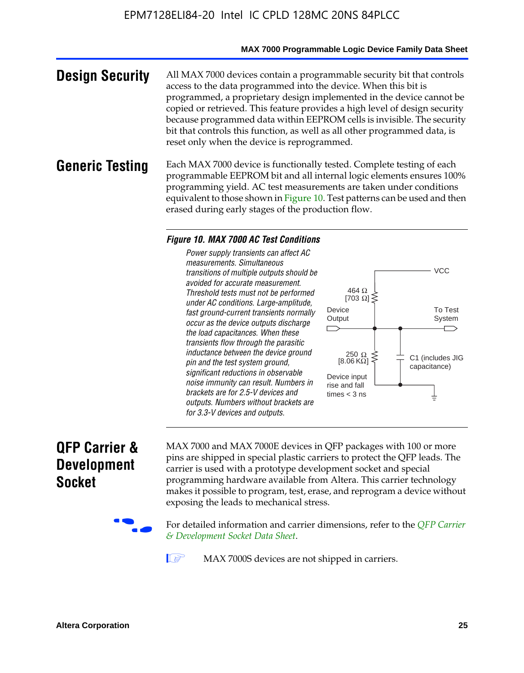#### **MAX 7000 Programmable Logic Device Family Data Sheet**

**Design Security** All MAX 7000 devices contain a programmable security bit that controls access to the data programmed into the device. When this bit is programmed, a proprietary design implemented in the device cannot be copied or retrieved. This feature provides a high level of design security because programmed data within EEPROM cells is invisible. The security bit that controls this function, as well as all other programmed data, is reset only when the device is reprogrammed.

#### **Generic Testing** Each MAX 7000 device is functionally tested. Complete testing of each programmable EEPROM bit and all internal logic elements ensures 100% programming yield. AC test measurements are taken under conditions equivalent to those shown in Figure 10. Test patterns can be used and then erased during early stages of the production flow.

#### *Figure 10. MAX 7000 AC Test Conditions*

*Power supply transients can affect AC measurements. Simultaneous transitions of multiple outputs should be avoided for accurate measurement. Threshold tests must not be performed under AC conditions. Large-amplitude, fast ground-current transients normally occur as the device outputs discharge the load capacitances. When these transients flow through the parasitic inductance between the device ground pin and the test system ground, significant reductions in observable noise immunity can result. Numbers in brackets are for 2.5-V devices and outputs. Numbers without brackets are for 3.3-V devices and outputs.*



# **QFP Carrier & Development Socket**

MAX 7000 and MAX 7000E devices in QFP packages with 10[0 or more](http://www.altera.com/literature/ds/dsqfp.pdf)  [pins are shipped in special plas](http://www.altera.com/literature/ds/dsqfp.pdf)tic carriers to protect the QFP leads. The carrier is used with a prototype development socket and special programming hardware available from Altera. This carrier technology makes it possible to program, test, erase, and reprogram a device without exposing the leads to mechanical stress.

For detailed information and carrier dimensions, refer to the *QFP Carrier & Development Socket Data Sheet*.

MAX 7000S devices are not shipped in carriers.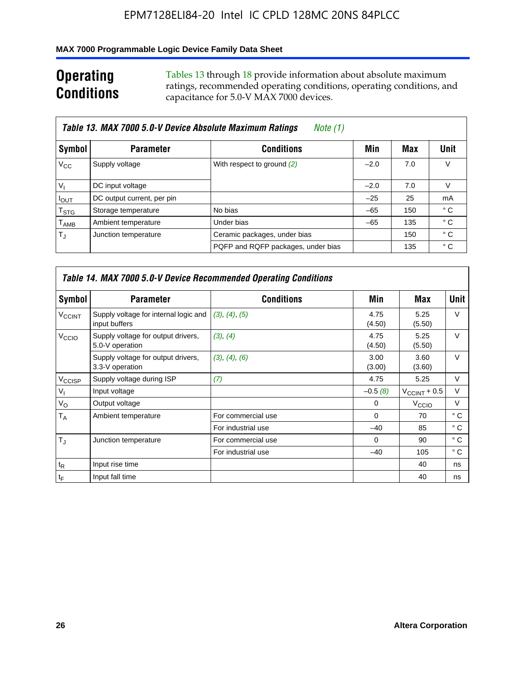#### **MAX 7000 Programmable Logic Device Family Data Sheet**

# **Operating Conditions**

Tables 13 through 18 provide information about absolute maximum ratings, recommended operating conditions, operating conditions, and capacitance for 5.0-V MAX 7000 devices.

|                             | Table 13. MAX 7000 5.0-V Device Absolute Maximum Ratings | Note (1)                           |        |     |      |
|-----------------------------|----------------------------------------------------------|------------------------------------|--------|-----|------|
| Symbol                      | <b>Parameter</b>                                         | <b>Conditions</b>                  | Min    | Max | Unit |
| $V_{\rm CC}$                | Supply voltage                                           | With respect to ground (2)         | $-2.0$ | 7.0 | V    |
| $V_{1}$                     | DC input voltage                                         |                                    | $-2.0$ | 7.0 | V    |
| $I_{\text{OUT}}$            | DC output current, per pin                               |                                    | $-25$  | 25  | mA   |
| $\mathsf{T}_{\text{STG}}$   | Storage temperature                                      | No bias                            | $-65$  | 150 | ° C  |
| $\mathsf{T}_{\mathsf{AMB}}$ | Ambient temperature                                      | Under bias                         | $-65$  | 135 | ° C  |
| $T_{\rm J}$                 | Junction temperature                                     | Ceramic packages, under bias       |        | 150 | ° C  |
|                             |                                                          | PQFP and RQFP packages, under bias |        | 135 | ° C  |

|                          | Table 14. MAX 7000 5.0-V Device Recommended Operating Conditions |                    |                |                          |              |  |  |  |
|--------------------------|------------------------------------------------------------------|--------------------|----------------|--------------------------|--------------|--|--|--|
| Symbol                   | <b>Parameter</b>                                                 | <b>Conditions</b>  | Min            | Max                      | Unit         |  |  |  |
| <b>V<sub>CCINT</sub></b> | Supply voltage for internal logic and<br>input buffers           | (3), (4), (5)      | 4.75<br>(4.50) | 5.25<br>(5.50)           | $\vee$       |  |  |  |
| V <sub>CCIO</sub>        | Supply voltage for output drivers,<br>5.0-V operation            | (3), (4)           | 4.75<br>(4.50) | 5.25<br>(5.50)           | $\vee$       |  |  |  |
|                          | Supply voltage for output drivers,<br>3.3-V operation            | (3), (4), (6)      | 3.00<br>(3.00) | 3.60<br>(3.60)           | $\vee$       |  |  |  |
| V <sub>CCISP</sub>       | Supply voltage during ISP                                        | (7)                | 4.75           | 5.25                     | V            |  |  |  |
| $V_{1}$                  | Input voltage                                                    |                    | $-0.5(8)$      | $V_{\text{CCINT}} + 0.5$ | $\vee$       |  |  |  |
| $V_{\rm O}$              | Output voltage                                                   |                    | 0              | V <sub>CCIO</sub>        | V            |  |  |  |
| T <sub>A</sub>           | Ambient temperature                                              | For commercial use | $\Omega$       | 70                       | $^{\circ}$ C |  |  |  |
|                          |                                                                  | For industrial use | $-40$          | 85                       | °C           |  |  |  |
| $T_{\rm d}$              | Junction temperature                                             | For commercial use | $\Omega$       | 90                       | ° C          |  |  |  |
|                          |                                                                  | For industrial use | $-40$          | 105                      | $^{\circ}$ C |  |  |  |
| $t_{R}$                  | Input rise time                                                  |                    |                | 40                       | ns           |  |  |  |
| $t_F$                    | Input fall time                                                  |                    |                | 40                       | ns           |  |  |  |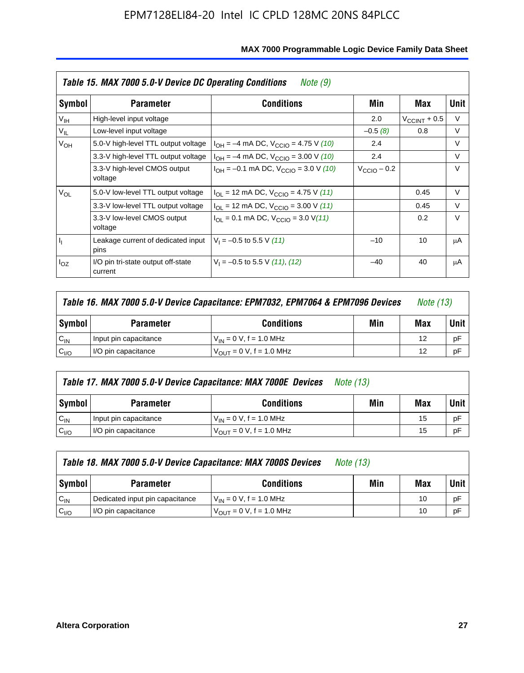|                 | Table 15. MAX 7000 5.0-V Device DC Operating Conditions<br>Note (9) |                                                                           |                         |                          |        |  |  |  |
|-----------------|---------------------------------------------------------------------|---------------------------------------------------------------------------|-------------------------|--------------------------|--------|--|--|--|
| Symbol          | <b>Parameter</b>                                                    | <b>Conditions</b>                                                         | Min                     | Max                      | Unit   |  |  |  |
| V <sub>IH</sub> | High-level input voltage                                            |                                                                           | 2.0                     | $V_{\text{CCINT}} + 0.5$ | V      |  |  |  |
| $V_{IL}$        | Low-level input voltage                                             |                                                                           | $-0.5(8)$               | 0.8                      | V      |  |  |  |
| $V_{OH}$        | 5.0-V high-level TTL output voltage                                 | $I_{OH} = -4$ mA DC, $V_{CClO} = 4.75$ V (10)                             | 2.4                     |                          | V      |  |  |  |
| $V_{OL}$        | 3.3-V high-level TTL output voltage                                 | $I_{OH} = -4$ mA DC, $V_{CClO} = 3.00$ V (10)                             | 2.4                     |                          | V      |  |  |  |
|                 | 3.3-V high-level CMOS output<br>voltage                             | $I_{OH} = -0.1$ mA DC, $V_{CClO} = 3.0$ V (10)                            | $V_{\text{CCIO}} - 0.2$ |                          | $\vee$ |  |  |  |
|                 | 5.0-V low-level TTL output voltage                                  | $I_{\text{OI}}$ = 12 mA DC, $V_{\text{CCIO}}$ = 4.75 V (11)               |                         | 0.45                     | $\vee$ |  |  |  |
|                 | 3.3-V low-level TTL output voltage                                  | $I_{OL}$ = 12 mA DC, $V_{CCIO}$ = 3.00 V (11)                             |                         | 0.45                     | $\vee$ |  |  |  |
|                 | 3.3-V low-level CMOS output<br>voltage                              | $I_{\text{OI}} = 0.1 \text{ mA DC}, V_{\text{CCIO}} = 3.0 \text{ V} (11)$ |                         | 0.2                      | $\vee$ |  |  |  |
| I <sub>I</sub>  | Leakage current of dedicated input<br>pins                          | $V_1 = -0.5$ to 5.5 V (11)                                                | $-10$                   | 10                       | μA     |  |  |  |
| $I_{OZ}$        | I/O pin tri-state output off-state<br>current                       | $V_1 = -0.5$ to 5.5 V (11), (12)                                          | $-40$                   | 40                       | μA     |  |  |  |

|                  | Table 16. MAX 7000 5.0-V Device Capacitance: EPM7032, EPM7064 & EPM7096 Devices |                                     |  |    |      |
|------------------|---------------------------------------------------------------------------------|-------------------------------------|--|----|------|
| Symbol           | Min<br><b>Conditions</b><br><b>Parameter</b>                                    |                                     |  |    | Unit |
| $C_{IN}$         | Input pin capacitance                                                           | $V_{IN} = 0 V$ , f = 1.0 MHz        |  | 12 | pF   |
| C <sub>I/O</sub> | I/O pin capacitance                                                             | $V_{\text{OUT}} = 0 V, f = 1.0 MHz$ |  | 12 | pF   |

|                  | Table 17. MAX 7000 5.0-V Device Capacitance: MAX 7000E Devices | <i>Note (13)</i>               |     |     |        |
|------------------|----------------------------------------------------------------|--------------------------------|-----|-----|--------|
| Symbol           | <b>Parameter</b>                                               | <b>Conditions</b>              | Min | Max | Unit I |
| $C_{IN}$         | Input pin capacitance                                          | $V_{1N} = 0 V$ , f = 1.0 MHz   |     | 15  | pF     |
| C <sub>I/O</sub> | I/O pin capacitance                                            | $V_{OIII} = 0 V$ , f = 1.0 MHz |     | 15  | pF     |

|                  | Table 18. MAX 7000 5.0-V Device Capacitance: MAX 7000S Devices                                           | <i>Note (13)</i>                    |     |     |        |
|------------------|----------------------------------------------------------------------------------------------------------|-------------------------------------|-----|-----|--------|
| Symbol           | <b>Conditions</b><br><b>Parameter</b><br>Dedicated input pin capacitance<br>$V_{IN} = 0 V$ , f = 1.0 MHz |                                     | Min | Max | Unit I |
| $C_{IN}$         |                                                                                                          |                                     |     | 10  | pF     |
| C <sub>I/O</sub> | I/O pin capacitance                                                                                      | $V_{\text{OUT}} = 0$ V, f = 1.0 MHz |     | 10  | pF     |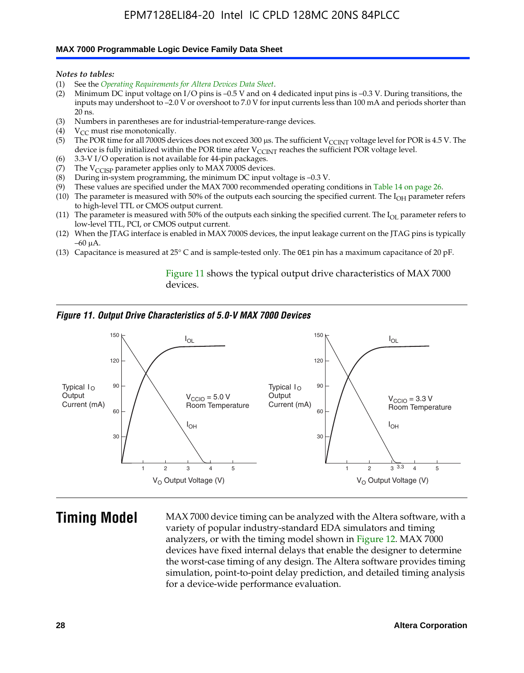#### **MAX 7000 Programmable Logic Device Family Data Sheet**

*Notes to tables:*

- (1) See the *Operating Requirements for Altera Devices Data Sheet*.
- (2) Minimum DC input voltage on I/O pins is –0.5 V and on 4 dedicated input pins is –0.3 V. During transitions, the inputs may undershoot to –2.0 V or overshoot to 7.0 V for input currents less than 100 mA and periods shorter than  $20$  ns.
- (3) Numbers in parentheses are for industrial-temperature-range devices.<br>(4)  ${\rm V}_{CC}$  must rise monotonically.
- $V_{CC}$  must rise monotonically.
- (5) The POR time for all 7000S devices does not exceed 300 µs. The sufficient V<sub>CCINT</sub> voltage level for POR is 4.5 V. The device is fully initialized within the POR time after  $V_{\text{CCINT}}$  reaches the sufficient POR voltage level.
- (6) 3.3-V I/O operation is not available for 44-pin packages.
- (7) The  $V_{\text{CCISP}}$  parameter applies only to MAX 7000S devices.
- (8) During in-system programming, the minimum DC input voltage is –0.3 V.
- (9) These values are specified under the MAX 7000 recommended operating conditions in Table 14 on page 26.
- (10) The parameter is measured with 50% of the outputs each sourcing the specified current. The  $I_{OH}$  parameter refers to high-level TTL or CMOS output current.
- (11) The parameter is measured with 50% of the outputs each sinking the specified current. The  $I_{OL}$  parameter refers to low-level TTL, PCI, or CMOS output current.
- (12) When the JTAG interface is enabled in MAX 7000S devices, the input leakage current on the JTAG pins is typically –60 μA.
- (13) Capacitance is measured at 25° C and is sample-tested only. The OE1 pin has a maximum capacitance of 20 pF.

Figure 11 shows the typical output drive characteristics of MAX 7000 devices.

#### *Figure 11. Output Drive Characteristics of 5.0-V MAX 7000 Devices*



**Timing Model** MAX 7000 device timing can be analyzed with the Altera software, with a variety of popular industry-standard EDA simulators and timing analyzers, or with the timing model shown in Figure 12. MAX 7000 devices have fixed internal delays that enable the designer to determine the worst-case timing of any design. The Altera software provides timing simulation, point-to-point delay prediction, and detailed timing analysis for a device-wide performance evaluation.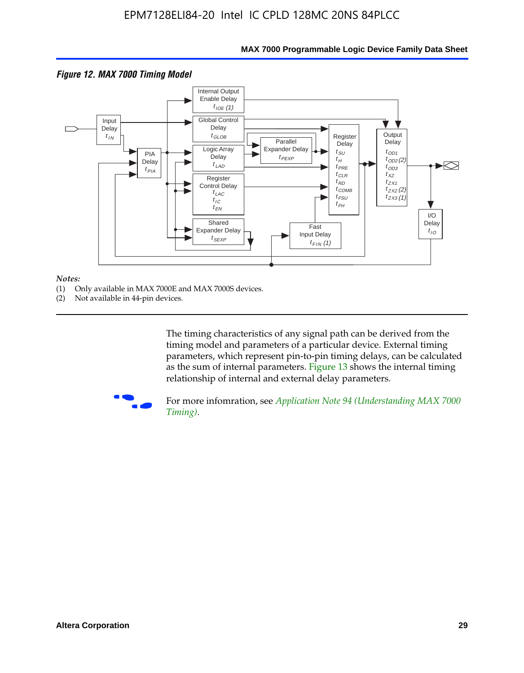

#### **MAX 7000 Programmable Logic Device Family Data Sheet**

#### *Notes:*

- (1) Only available in MAX 7000E and MAX 7000S devices.
- (2) Not available in 44-pin devices.

[The tim](http://www.altera.com/literature/an/an094.pdf)ing characteristics [of any signal path can be derived from the](http://www.altera.com/literature/an/an094.pdf)  timing model and parameters of a particular device. External timing parameters, which represent pin-to-pin timing delays, can be calculated as the sum of internal parameters. Figure 13 shows the internal timing relationship of internal and external delay parameters.



For more infomration, see *Application Note 94 (Understanding MAX 7000 Timing)*.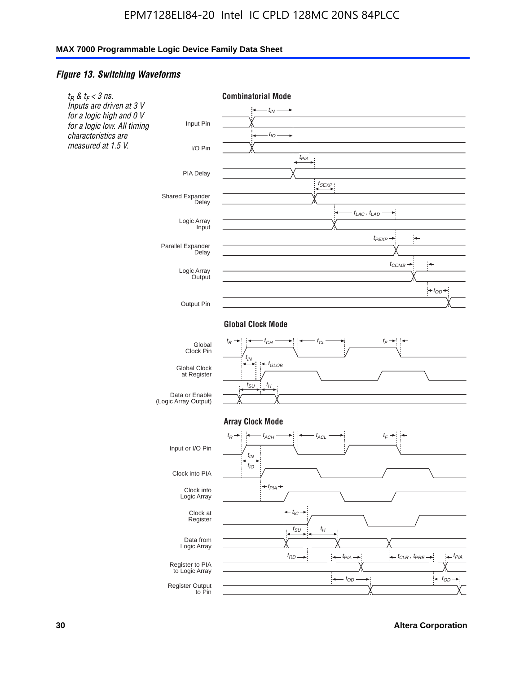#### *Figure 13. Switching Waveforms*

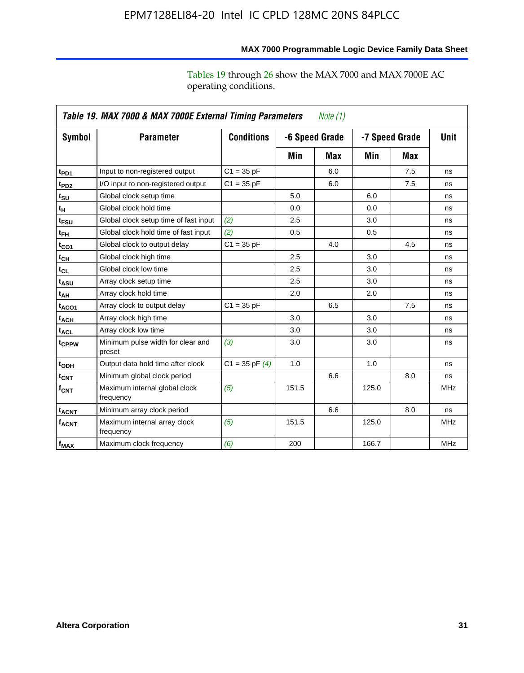operating conditions.

|                        | Table 19. MAX 7000 & MAX 7000E External Timing Parameters<br>Note (1) |                    |       |                                  |       |             |            |
|------------------------|-----------------------------------------------------------------------|--------------------|-------|----------------------------------|-------|-------------|------------|
| Symbol                 | <b>Parameter</b>                                                      | <b>Conditions</b>  |       | -6 Speed Grade<br>-7 Speed Grade |       | <b>Unit</b> |            |
|                        |                                                                       |                    | Min   | Max                              | Min   | Max         |            |
| t <sub>PD1</sub>       | Input to non-registered output                                        | $C1 = 35 pF$       |       | 6.0                              |       | 7.5         | ns         |
| t <sub>PD2</sub>       | I/O input to non-registered output                                    | $C1 = 35 pF$       |       | 6.0                              |       | 7.5         | ns         |
| $t_{\text{SU}}$        | Global clock setup time                                               |                    | 5.0   |                                  | 6.0   |             | ns         |
| t <sub>H</sub>         | Global clock hold time                                                |                    | 0.0   |                                  | 0.0   |             | ns         |
| $t_{FSU}$              | Global clock setup time of fast input                                 | (2)                | 2.5   |                                  | 3.0   |             | ns         |
| $t_{FH}$               | Global clock hold time of fast input                                  | (2)                | 0.5   |                                  | 0.5   |             | ns         |
| t <sub>CO1</sub>       | Global clock to output delay                                          | $C1 = 35 pF$       |       | 4.0                              |       | 4.5         | ns         |
| $t_{CL}$               | Global clock high time                                                |                    | 2.5   |                                  | 3.0   |             | ns         |
| $t_{CL}$               | Global clock low time                                                 |                    | 2.5   |                                  | 3.0   |             | ns         |
| t <sub>ASU</sub>       | Array clock setup time                                                |                    | 2.5   |                                  | 3.0   |             | ns         |
| t <sub>АН</sub>        | Array clock hold time                                                 |                    | 2.0   |                                  | 2.0   |             | ns         |
| t <sub>ACO1</sub>      | Array clock to output delay                                           | $C1 = 35 pF$       |       | 6.5                              |       | 7.5         | ns         |
| <b>t<sub>ACH</sub></b> | Array clock high time                                                 |                    | 3.0   |                                  | 3.0   |             | ns         |
| $t_{\text{ACL}}$       | Array clock low time                                                  |                    | 3.0   |                                  | 3.0   |             | ns         |
| t <sub>CPPW</sub>      | Minimum pulse width for clear and<br>preset                           | (3)                | 3.0   |                                  | 3.0   |             | ns         |
| t <sub>ODH</sub>       | Output data hold time after clock                                     | $C1 = 35$ pF $(4)$ | 1.0   |                                  | 1.0   |             | ns         |
| $t_{\mathsf{CNT}}$     | Minimum global clock period                                           |                    |       | 6.6                              |       | 8.0         | ns         |
| $f_{\mathsf{CNT}}$     | Maximum internal global clock<br>frequency                            | (5)                | 151.5 |                                  | 125.0 |             | <b>MHz</b> |
| t <sub>ACNT</sub>      | Minimum array clock period                                            |                    |       | 6.6                              |       | 8.0         | ns         |
| $f_{ACNT}$             | Maximum internal array clock<br>frequency                             | (5)                | 151.5 |                                  | 125.0 |             | <b>MHz</b> |
| $f_{MAX}$              | Maximum clock frequency                                               | (6)                | 200   |                                  | 166.7 |             | <b>MHz</b> |

# **MAX 7000 Programmable Logic Device Family Data Sheet**

Tables 19 through 26 show the MAX 7000 and MAX 7000E AC

**Altera Corporation 31**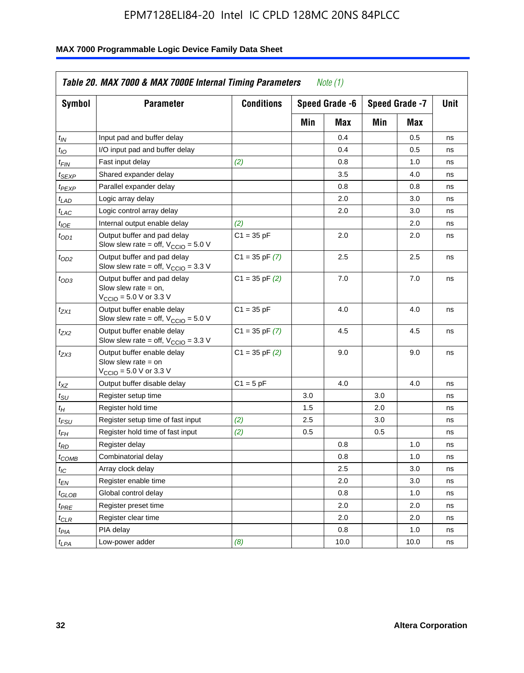| <b>Symbol</b>               | <b>Parameter</b>                                                                                             | <b>Conditions</b>  |     | Speed Grade -6 |     | Speed Grade -7 | Unit |
|-----------------------------|--------------------------------------------------------------------------------------------------------------|--------------------|-----|----------------|-----|----------------|------|
|                             |                                                                                                              |                    | Min | Max            | Min | Max            |      |
| $t_{IN}$                    | Input pad and buffer delay                                                                                   |                    |     | 0.4            |     | 0.5            | ns   |
| $t_{IO}$                    | I/O input pad and buffer delay                                                                               |                    |     | 0.4            |     | 0.5            | ns   |
| $t_{\sf FIN}$               | Fast input delay                                                                                             | (2)                |     | 0.8            |     | 1.0            | ns   |
| <sup>t</sup> SEXP           | Shared expander delay                                                                                        |                    |     | 3.5            |     | 4.0            | ns   |
| t <sub>PEXP</sub>           | Parallel expander delay                                                                                      |                    |     | 0.8            |     | 0.8            | ns   |
| t <sub>LAD</sub>            | Logic array delay                                                                                            |                    |     | 2.0            |     | 3.0            | ns   |
| $t_{LAC}$                   | Logic control array delay                                                                                    |                    |     | 2.0            |     | 3.0            | ns   |
| $t_{IOE}$                   | Internal output enable delay                                                                                 | (2)                |     |                |     | 2.0            | ns   |
| $t_{OD1}$                   | Output buffer and pad delay<br>Slow slew rate = off, $V_{\text{CCIO}} = 5.0 V$                               | $C1 = 35 pF$       |     | 2.0            |     | 2.0            | ns   |
| $t_{OD2}$                   | Output buffer and pad delay<br>Slow slew rate = off, $V_{\text{CCIO}} = 3.3$ V                               | $C1 = 35$ pF $(7)$ |     | 2.5            |     | 2.5            | ns   |
| $t_{OD3}$                   | Output buffer and pad delay<br>Slow slew rate $=$ on,<br>$V_{\text{CCIO}} = 5.0 \text{ V or } 3.3 \text{ V}$ | $C1 = 35$ pF $(2)$ |     | 7.0            |     | 7.0            | ns   |
| $t_{ZX1}$                   | Output buffer enable delay<br>Slow slew rate = off, $V_{\text{CCIO}} = 5.0 V$                                | $C1 = 35 pF$       |     | 4.0            |     | 4.0            | ns   |
| t <sub>ZX2</sub>            | Output buffer enable delay<br>Slow slew rate = off, $V_{\text{CCIO}} = 3.3 \text{ V}$                        | $C1 = 35$ pF $(7)$ |     | 4.5            |     | 4.5            | ns   |
| tzx3                        | Output buffer enable delay<br>Slow slew rate $=$ on<br>$V_{\text{CCIO}} = 5.0 \text{ V or } 3.3 \text{ V}$   | $C1 = 35$ pF $(2)$ |     | 9.0            |     | 9.0            | ns   |
| $t_{\mathsf{XZ}}$           | Output buffer disable delay                                                                                  | $C1 = 5pF$         |     | 4.0            |     | 4.0            | ns   |
| $t_{\scriptstyle\text{SU}}$ | Register setup time                                                                                          |                    | 3.0 |                | 3.0 |                | ns   |
| $t_H$                       | Register hold time                                                                                           |                    | 1.5 |                | 2.0 |                | ns   |
| t <sub>FSU</sub>            | Register setup time of fast input                                                                            | (2)                | 2.5 |                | 3.0 |                | ns   |
| $t_{FH}$                    | Register hold time of fast input                                                                             | (2)                | 0.5 |                | 0.5 |                | ns   |
| t <sub>RD</sub>             | Register delay                                                                                               |                    |     | 0.8            |     | 1.0            | ns   |
| $t_{\mathsf{COMB}}$         | Combinatorial delay                                                                                          |                    |     | 0.8            |     | 1.0            | ns   |
| $t_{IC}$                    | Array clock delay                                                                                            |                    |     | 2.5            |     | 3.0            | ns   |
| $t_{EN}$                    | Register enable time                                                                                         |                    |     | 2.0            |     | 3.0            | ns   |
| t <sub>GLOB</sub>           | Global control delay                                                                                         |                    |     | 0.8            |     | 1.0            | ns   |
| $t_{PRE}$                   | Register preset time                                                                                         |                    |     | 2.0            |     | 2.0            | ns   |
| $t_{\sf CLR}$               | Register clear time                                                                                          |                    |     | 2.0            |     | 2.0            | ns   |
| $t_{PIA}$                   | PIA delay                                                                                                    |                    |     | 0.8            |     | 1.0            | ns   |
| $t_{LPA}$                   | Low-power adder                                                                                              | (8)                |     | 10.0           |     | 10.0           | ns   |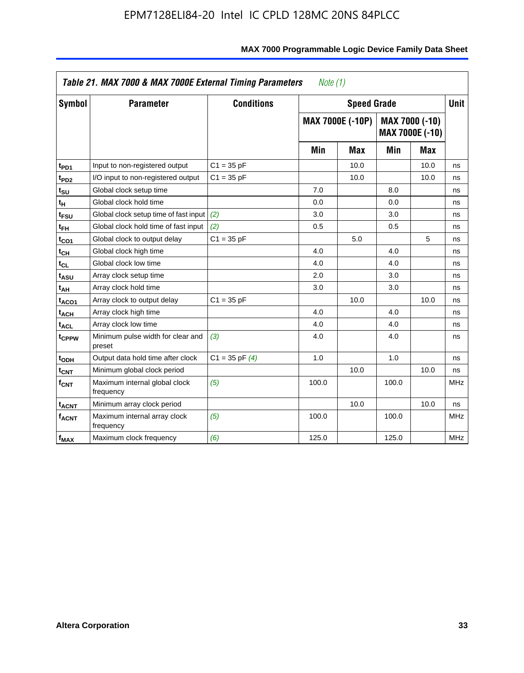| Symbol                       | <b>Parameter</b>                            | <b>Conditions</b>  |       | <b>Speed Grade</b>      |       |                                          | <b>Unit</b> |
|------------------------------|---------------------------------------------|--------------------|-------|-------------------------|-------|------------------------------------------|-------------|
|                              |                                             |                    |       | <b>MAX 7000E (-10P)</b> |       | MAX 7000 (-10)<br><b>MAX 7000E (-10)</b> |             |
|                              |                                             |                    | Min   | <b>Max</b>              | Min   | Max                                      |             |
| t <sub>PD1</sub>             | Input to non-registered output              | $C1 = 35 pF$       |       | 10.0                    |       | 10.0                                     | ns          |
| t <sub>PD2</sub>             | I/O input to non-registered output          | $C1 = 35 pF$       |       | 10.0                    |       | 10.0                                     | ns          |
| t <sub>su</sub>              | Global clock setup time                     |                    | 7.0   |                         | 8.0   |                                          | ns          |
| tμ                           | Global clock hold time                      |                    | 0.0   |                         | 0.0   |                                          | ns          |
| t <sub>FSU</sub>             | Global clock setup time of fast input       | (2)                | 3.0   |                         | 3.0   |                                          | ns          |
| t <sub>FH</sub>              | Global clock hold time of fast input        | (2)                | 0.5   |                         | 0.5   |                                          | ns          |
| t <sub>CO1</sub>             | Global clock to output delay                | $C1 = 35 pF$       |       | 5.0                     |       | 5                                        | ns          |
| $\mathfrak{t}_{\textsf{CH}}$ | Global clock high time                      |                    | 4.0   |                         | 4.0   |                                          | ns          |
| $t_{CL}$                     | Global clock low time                       |                    | 4.0   |                         | 4.0   |                                          | ns          |
| t <sub>ASU</sub>             | Array clock setup time                      |                    | 2.0   |                         | 3.0   |                                          | ns          |
| t <sub>АН</sub>              | Array clock hold time                       |                    | 3.0   |                         | 3.0   |                                          | ns          |
| t <sub>ACO1</sub>            | Array clock to output delay                 | $C1 = 35 pF$       |       | 10.0                    |       | 10.0                                     | ns          |
| t <sub>ACH</sub>             | Array clock high time                       |                    | 4.0   |                         | 4.0   |                                          | ns          |
| $t_{\sf ACL}$                | Array clock low time                        |                    | 4.0   |                         | 4.0   |                                          | ns          |
| t <sub>CPPW</sub>            | Minimum pulse width for clear and<br>preset | (3)                | 4.0   |                         | 4.0   |                                          | ns          |
| t <sub>ODH</sub>             | Output data hold time after clock           | $C1 = 35$ pF $(4)$ | 1.0   |                         | 1.0   |                                          | ns          |
| $t_{\mathsf{CNT}}$           | Minimum global clock period                 |                    |       | 10.0                    |       | 10.0                                     | ns          |
| $f_{\mathsf{CNT}}$           | Maximum internal global clock<br>frequency  | (5)                | 100.0 |                         | 100.0 |                                          | <b>MHz</b>  |
| <b>t<sub>ACNT</sub></b>      | Minimum array clock period                  |                    |       | 10.0                    |       | 10.0                                     | ns          |
| f <sub>ACNT</sub>            | Maximum internal array clock<br>frequency   | (5)                | 100.0 |                         | 100.0 |                                          | <b>MHz</b>  |
| $f_{MAX}$                    | Maximum clock frequency                     | (6)                | 125.0 |                         | 125.0 |                                          | <b>MHz</b>  |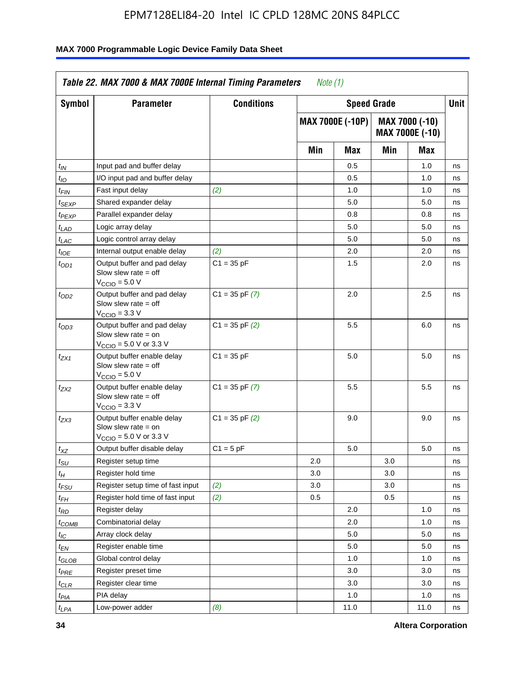| Symbol              | <b>Parameter</b>                                                                                            | <b>Conditions</b>  |     | <b>Speed Grade</b>      |     |                                   | Unit |
|---------------------|-------------------------------------------------------------------------------------------------------------|--------------------|-----|-------------------------|-----|-----------------------------------|------|
|                     |                                                                                                             |                    |     | <b>MAX 7000E (-10P)</b> |     | MAX 7000 (-10)<br>MAX 7000E (-10) |      |
|                     |                                                                                                             |                    | Min | <b>Max</b>              | Min | Max                               |      |
| $t_{IN}$            | Input pad and buffer delay                                                                                  |                    |     | 0.5                     |     | 1.0                               | ns   |
| $t_{IO}$            | I/O input pad and buffer delay                                                                              |                    |     | 0.5                     |     | 1.0                               | ns   |
| t <sub>FIN</sub>    | Fast input delay                                                                                            | (2)                |     | 1.0                     |     | 1.0                               | ns   |
| <sup>t</sup> SEXP   | Shared expander delay                                                                                       |                    |     | 5.0                     |     | 5.0                               | ns   |
| t <sub>PEXP</sub>   | Parallel expander delay                                                                                     |                    |     | 0.8                     |     | 0.8                               | ns   |
| $t_{LAD}$           | Logic array delay                                                                                           |                    |     | 5.0                     |     | 5.0                               | ns   |
| $t_{LAC}$           | Logic control array delay                                                                                   |                    |     | 5.0                     |     | 5.0                               | ns   |
| $t_{IOE}$           | Internal output enable delay                                                                                | (2)                |     | 2.0                     |     | 2.0                               | ns   |
| $t_{OD1}$           | Output buffer and pad delay<br>Slow slew rate $=$ off<br>$V_{\text{CCIO}} = 5.0 V$                          | $C1 = 35 pF$       |     | 1.5                     |     | 2.0                               | ns   |
| $t_{OD2}$           | Output buffer and pad delay<br>Slow slew rate $=$ off<br>$VCCIO = 3.3 V$                                    | $C1 = 35$ pF $(7)$ |     | 2.0                     |     | 2.5                               | ns   |
| $t_{OD3}$           | Output buffer and pad delay<br>Slow slew rate $=$ on<br>$V_{\text{CCIO}} = 5.0 \text{ V or } 3.3 \text{ V}$ | $C1 = 35$ pF $(2)$ |     | 5.5                     |     | 6.0                               | ns   |
| t <sub>ZX1</sub>    | Output buffer enable delay<br>Slow slew rate $=$ off<br>$V_{\text{CCIO}} = 5.0 V$                           | $C1 = 35 pF$       |     | 5.0                     |     | 5.0                               | ns   |
| $t_{ZX2}$           | Output buffer enable delay<br>Slow slew rate $=$ off<br>$V_{\text{CCIO}} = 3.3 \text{ V}$                   | $C1 = 35$ pF $(7)$ |     | 5.5                     |     | 5.5                               | ns   |
| $t_{ZX3}$           | Output buffer enable delay<br>Slow slew rate $=$ on<br>V <sub>CCIO</sub> = 5.0 V or 3.3 V                   | $C1 = 35$ pF $(2)$ |     | 9.0                     |     | 9.0                               | ns   |
| $t_{\mathsf{XZ}}$   | Output buffer disable delay                                                                                 | $C1 = 5$ pF        |     | 5.0                     |     | 5.0                               | ns   |
| $t_{\sf SU}$        | Register setup time                                                                                         |                    | 2.0 |                         | 3.0 |                                   | ns   |
| $t_H$               | Register hold time                                                                                          |                    | 3.0 |                         | 3.0 |                                   | ns   |
| $t_{\mathit{FSU}}$  | Register setup time of fast input                                                                           | (2)                | 3.0 |                         | 3.0 |                                   | ns   |
| $t_{FH}$            | Register hold time of fast input                                                                            | (2)                | 0.5 |                         | 0.5 |                                   | ns   |
| $t_{RD}$            | Register delay                                                                                              |                    |     | 2.0                     |     | 1.0                               | ns   |
| $t_{COMB}$          | Combinatorial delay                                                                                         |                    |     | 2.0                     |     | 1.0                               | ns   |
| $\iota_{\text{IC}}$ | Array clock delay                                                                                           |                    |     | $5.0\,$                 |     | 5.0                               | ns   |
| $t_{EN}$            | Register enable time                                                                                        |                    |     | 5.0                     |     | 5.0                               | ns   |
| $t_{GLOB}$          | Global control delay                                                                                        |                    |     | 1.0                     |     | 1.0                               | ns   |
| $t_{PRE}$           | Register preset time                                                                                        |                    |     | 3.0                     |     | 3.0                               | ns   |
| $t_{\sf CLR}$       | Register clear time                                                                                         |                    |     | 3.0                     |     | 3.0                               | ns   |
| $t_{PIA}$           | PIA delay                                                                                                   |                    |     | 1.0                     |     | 1.0                               | ns   |
| $t_{LPA}$           | Low-power adder                                                                                             | (8)                |     | 11.0                    |     | 11.0                              | ns   |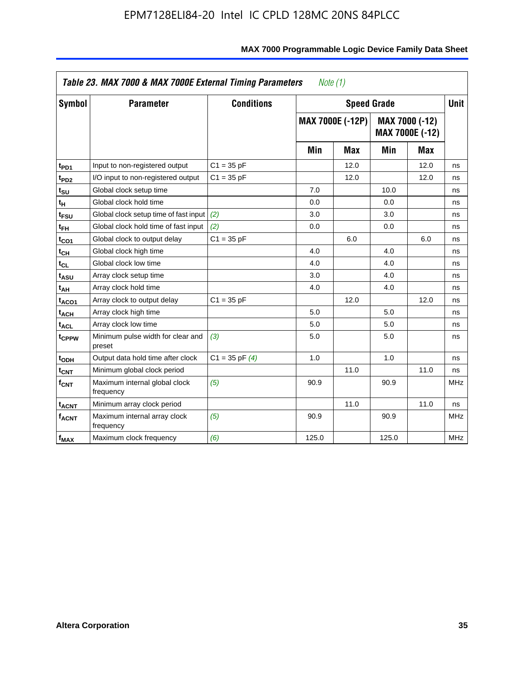|                              | Table 23. MAX 7000 & MAX 7000E External Timing Parameters |                    | Note $(1)$ |                         |       |                                          |             |
|------------------------------|-----------------------------------------------------------|--------------------|------------|-------------------------|-------|------------------------------------------|-------------|
| Symbol                       | <b>Parameter</b>                                          | <b>Conditions</b>  |            | <b>Speed Grade</b>      |       |                                          | <b>Unit</b> |
|                              |                                                           |                    |            | <b>MAX 7000E (-12P)</b> |       | MAX 7000 (-12)<br><b>MAX 7000E (-12)</b> |             |
|                              |                                                           |                    | Min        | <b>Max</b>              | Min   | <b>Max</b>                               |             |
| t <sub>PD1</sub>             | Input to non-registered output                            | $C1 = 35 pF$       |            | 12.0                    |       | 12.0                                     | ns          |
| t <sub>PD2</sub>             | I/O input to non-registered output                        | $C1 = 35 pF$       |            | 12.0                    |       | 12.0                                     | ns          |
| t <sub>SU</sub>              | Global clock setup time                                   |                    | 7.0        |                         | 10.0  |                                          | ns          |
| tн                           | Global clock hold time                                    |                    | 0.0        |                         | 0.0   |                                          | ns          |
| t <sub>FSU</sub>             | Global clock setup time of fast input                     | (2)                | 3.0        |                         | 3.0   |                                          | ns          |
| t <sub>FH</sub>              | Global clock hold time of fast input                      | (2)                | 0.0        |                         | 0.0   |                                          | ns          |
| t <sub>CO1</sub>             | Global clock to output delay                              | $C1 = 35 pF$       |            | 6.0                     |       | 6.0                                      | ns          |
| $\mathfrak{t}_{\textsf{CH}}$ | Global clock high time                                    |                    | 4.0        |                         | 4.0   |                                          | ns          |
| $t_{CL}$                     | Global clock low time                                     |                    | 4.0        |                         | 4.0   |                                          | ns          |
| t <sub>ASU</sub>             | Array clock setup time                                    |                    | 3.0        |                         | 4.0   |                                          | ns          |
| t <sub>АН</sub>              | Array clock hold time                                     |                    | 4.0        |                         | 4.0   |                                          | ns          |
| t <sub>ACO1</sub>            | Array clock to output delay                               | $C1 = 35 pF$       |            | 12.0                    |       | 12.0                                     | ns          |
| t <sub>ACH</sub>             | Array clock high time                                     |                    | 5.0        |                         | 5.0   |                                          | ns          |
| $t_{\sf ACL}$                | Array clock low time                                      |                    | 5.0        |                         | 5.0   |                                          | ns          |
| t <sub>CPPW</sub>            | Minimum pulse width for clear and<br>preset               | (3)                | 5.0        |                         | 5.0   |                                          | ns          |
| t <sub>ODH</sub>             | Output data hold time after clock                         | $C1 = 35$ pF $(4)$ | 1.0        |                         | 1.0   |                                          | ns          |
| $t_{\mathsf{CNT}}$           | Minimum global clock period                               |                    |            | 11.0                    |       | 11.0                                     | ns          |
| $\mathsf{f}_{\mathsf{CNT}}$  | Maximum internal global clock<br>frequency                | (5)                | 90.9       |                         | 90.9  |                                          | <b>MHz</b>  |
| <b>t<sub>ACNT</sub></b>      | Minimum array clock period                                |                    |            | 11.0                    |       | 11.0                                     | ns          |
| f <sub>ACNT</sub>            | Maximum internal array clock<br>frequency                 | (5)                | 90.9       |                         | 90.9  |                                          | <b>MHz</b>  |
| $f_{MAX}$                    | Maximum clock frequency                                   | (6)                | 125.0      |                         | 125.0 |                                          | <b>MHz</b>  |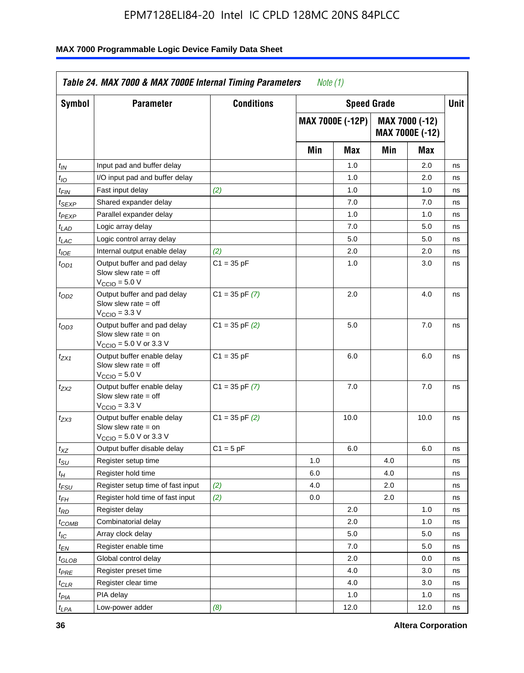| Symbol                      | <b>Parameter</b>                                                                                            | <b>Conditions</b>  |     | <b>Speed Grade</b>      |     |                                          | <b>Unit</b> |
|-----------------------------|-------------------------------------------------------------------------------------------------------------|--------------------|-----|-------------------------|-----|------------------------------------------|-------------|
|                             |                                                                                                             |                    |     | <b>MAX 7000E (-12P)</b> |     | MAX 7000 (-12)<br><b>MAX 7000E (-12)</b> |             |
|                             |                                                                                                             |                    | Min | <b>Max</b>              | Min | Max                                      |             |
| t <sub>IN</sub>             | Input pad and buffer delay                                                                                  |                    |     | 1.0                     |     | 2.0                                      | ns          |
| $t_{IO}$                    | I/O input pad and buffer delay                                                                              |                    |     | 1.0                     |     | 2.0                                      | ns          |
| $t_{\textit{FIN}}$          | Fast input delay                                                                                            | (2)                |     | 1.0                     |     | 1.0                                      | ns          |
| t <sub>SEXP</sub>           | Shared expander delay                                                                                       |                    |     | 7.0                     |     | 7.0                                      | ns          |
| t <sub>PEXP</sub>           | Parallel expander delay                                                                                     |                    |     | 1.0                     |     | 1.0                                      | ns          |
| t <sub>LAD</sub>            | Logic array delay                                                                                           |                    |     | 7.0                     |     | 5.0                                      | ns          |
| $t_{LAC}$                   | Logic control array delay                                                                                   |                    |     | 5.0                     |     | 5.0                                      | ns          |
| $t_{IOE}$                   | Internal output enable delay                                                                                | (2)                |     | 2.0                     |     | 2.0                                      | ns          |
| $t_{OD1}$                   | Output buffer and pad delay<br>Slow slew rate $=$ off<br>$V_{\text{CCIO}} = 5.0 V$                          | $C1 = 35 pF$       |     | 1.0                     |     | 3.0                                      | ns          |
| $t_{OD2}$                   | Output buffer and pad delay<br>Slow slew rate $=$ off<br>$VCCIO = 3.3 V$                                    | $C1 = 35$ pF $(7)$ |     | 2.0                     |     | 4.0                                      | ns          |
| $t_{OD3}$                   | Output buffer and pad delay<br>Slow slew rate $=$ on<br>$V_{\text{CCIO}} = 5.0 \text{ V or } 3.3 \text{ V}$ | $C1 = 35$ pF $(2)$ |     | 5.0                     |     | 7.0                                      | ns          |
| $t_{ZX1}$                   | Output buffer enable delay<br>Slow slew rate $=$ off<br>$V_{\text{CCIO}} = 5.0 V$                           | $C1 = 35 pF$       |     | 6.0                     |     | 6.0                                      | ns          |
| $t_{ZX2}$                   | Output buffer enable delay<br>Slow slew rate $=$ off<br>V <sub>CCIO</sub> = 3.3 V                           | $C1 = 35$ pF $(7)$ |     | 7.0                     |     | 7.0                                      | ns          |
| $t_{ZX3}$                   | Output buffer enable delay<br>Slow slew rate $=$ on<br>$V_{\text{CCIO}} = 5.0 \text{ V or } 3.3 \text{ V}$  | $C1 = 35$ pF $(2)$ |     | 10.0                    |     | 10.0                                     | ns          |
| $t_{\mathsf{XZ}}$           | Output buffer disable delay                                                                                 | $C1 = 5$ pF        |     | 6.0                     |     | 6.0                                      | ns          |
| $t_{\scriptstyle\text{SU}}$ | Register setup time                                                                                         |                    | 1.0 |                         | 4.0 |                                          | ns          |
| $t_H$                       | Register hold time                                                                                          |                    | 6.0 |                         | 4.0 |                                          | ns          |
| $t_{\mathit{FSU}}$          | Register setup time of fast input                                                                           | (2)                | 4.0 |                         | 2.0 |                                          | ns          |
| t <sub>FH</sub>             | Register hold time of fast input                                                                            | (2)                | 0.0 |                         | 2.0 |                                          | ns          |
| $t_{RD}$                    | Register delay                                                                                              |                    |     | 2.0                     |     | 1.0                                      | ns          |
| $t_{\mathsf{COMB}}$         | Combinatorial delay                                                                                         |                    |     | 2.0                     |     | 1.0                                      | ns          |
| ЧC                          | Array clock delay                                                                                           |                    |     | 5.0                     |     | 5.0                                      | ns          |
| $t_{EN}$                    | Register enable time                                                                                        |                    |     | 7.0                     |     | 5.0                                      | ns          |
| $t_{GLOB}$                  | Global control delay                                                                                        |                    |     | 2.0                     |     | 0.0                                      | ns          |
| t <sub>PRE</sub>            | Register preset time                                                                                        |                    |     | 4.0                     |     | 3.0                                      | ns          |
| $t_{\sf CLR}$               | Register clear time                                                                                         |                    |     | 4.0                     |     | 3.0                                      | ns          |
| t <sub>PIA</sub>            | PIA delay                                                                                                   |                    |     | 1.0                     |     | 1.0                                      | ns          |
| t <sub>LPA</sub>            | Low-power adder                                                                                             | (8)                |     | 12.0                    |     | 12.0                                     | ns          |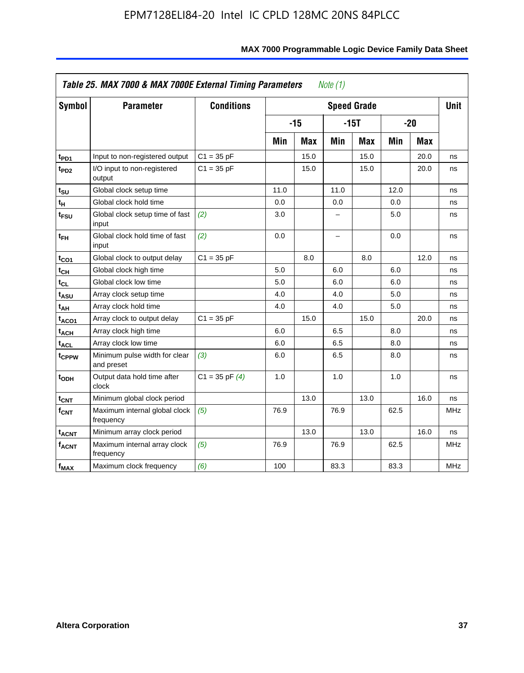| <b>Symbol</b>           | <b>Parameter</b>                            | <b>Conditions</b>  |      |            |                          | <b>Speed Grade</b> |      |            | <b>Unit</b> |
|-------------------------|---------------------------------------------|--------------------|------|------------|--------------------------|--------------------|------|------------|-------------|
|                         |                                             |                    |      | $-15$      |                          | $-15T$             |      | $-20$      |             |
|                         |                                             |                    | Min  | <b>Max</b> | Min                      | <b>Max</b>         | Min  | <b>Max</b> |             |
| t <sub>PD1</sub>        | Input to non-registered output              | $C1 = 35 pF$       |      | 15.0       |                          | 15.0               |      | 20.0       | ns          |
| t <sub>PD2</sub>        | I/O input to non-registered<br>output       | $C1 = 35 pF$       |      | 15.0       |                          | 15.0               |      | 20.0       | ns          |
| tsu                     | Global clock setup time                     |                    | 11.0 |            | 11.0                     |                    | 12.0 |            | ns          |
| $t_H$                   | Global clock hold time                      |                    | 0.0  |            | 0.0                      |                    | 0.0  |            | ns          |
| t <sub>FSU</sub>        | Global clock setup time of fast<br>input    | (2)                | 3.0  |            | -                        |                    | 5.0  |            | ns          |
| $t_{FH}$                | Global clock hold time of fast<br>input     | (2)                | 0.0  |            | $\overline{\phantom{0}}$ |                    | 0.0  |            | ns          |
| $t_{CO1}$               | Global clock to output delay                | $C1 = 35 pF$       |      | 8.0        |                          | 8.0                |      | 12.0       | ns          |
| $t_{\mathsf{CH}}$       | Global clock high time                      |                    | 5.0  |            | 6.0                      |                    | 6.0  |            | ns          |
| t <sub>CL</sub>         | Global clock low time                       |                    | 5.0  |            | 6.0                      |                    | 6.0  |            | ns          |
| t <sub>ASU</sub>        | Array clock setup time                      |                    | 4.0  |            | 4.0                      |                    | 5.0  |            | ns          |
| t <sub>АН</sub>         | Array clock hold time                       |                    | 4.0  |            | 4.0                      |                    | 5.0  |            | ns          |
| t <sub>ACO1</sub>       | Array clock to output delay                 | $C1 = 35 pF$       |      | 15.0       |                          | 15.0               |      | 20.0       | ns          |
| $t_{\sf ACH}$           | Array clock high time                       |                    | 6.0  |            | 6.5                      |                    | 8.0  |            | ns          |
| t <sub>ACL</sub>        | Array clock low time                        |                    | 6.0  |            | 6.5                      |                    | 8.0  |            | ns          |
| t <sub>CPPW</sub>       | Minimum pulse width for clear<br>and preset | (3)                | 6.0  |            | 6.5                      |                    | 8.0  |            | ns          |
| $t_{ODH}$               | Output data hold time after<br>clock        | $C1 = 35$ pF $(4)$ | 1.0  |            | 1.0                      |                    | 1.0  |            | ns          |
| $t_{\mathsf{CNT}}$      | Minimum global clock period                 |                    |      | 13.0       |                          | 13.0               |      | 16.0       | ns          |
| f <sub>CNT</sub>        | Maximum internal global clock<br>frequency  | (5)                | 76.9 |            | 76.9                     |                    | 62.5 |            | <b>MHz</b>  |
| <b>t<sub>ACNT</sub></b> | Minimum array clock period                  |                    |      | 13.0       |                          | 13.0               |      | 16.0       | ns          |
| <b>fACNT</b>            | Maximum internal array clock<br>frequency   | (5)                | 76.9 |            | 76.9                     |                    | 62.5 |            | <b>MHz</b>  |
| $f_{MAX}$               | Maximum clock frequency                     | (6)                | 100  |            | 83.3                     |                    | 83.3 |            | MHz         |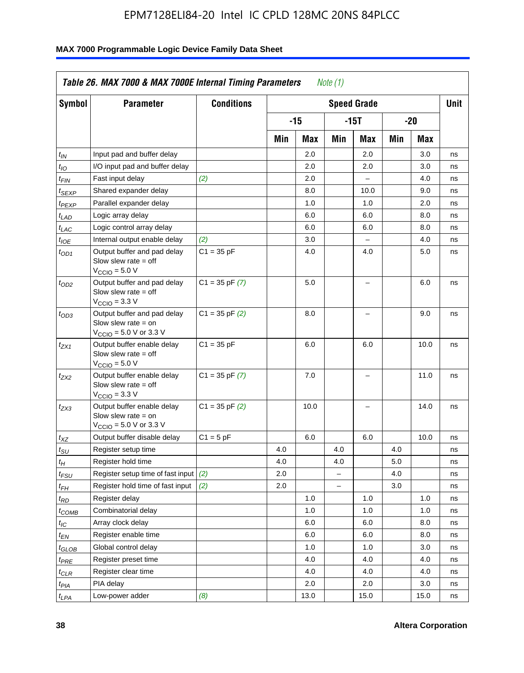| Symbol                        | <b>Parameter</b>                                                                                            | <b>Conditions</b>  |     |       |                          | <b>Speed Grade</b>       |     |      | <b>Unit</b> |
|-------------------------------|-------------------------------------------------------------------------------------------------------------|--------------------|-----|-------|--------------------------|--------------------------|-----|------|-------------|
|                               |                                                                                                             |                    |     | $-15$ |                          | -15T                     |     | -20  |             |
|                               |                                                                                                             |                    | Min | Max   | Min                      | Max                      | Min | Max  |             |
| $t_{IN}$                      | Input pad and buffer delay                                                                                  |                    |     | 2.0   |                          | 2.0                      |     | 3.0  | ns          |
| $t_{IO}$                      | I/O input pad and buffer delay                                                                              |                    |     | 2.0   |                          | 2.0                      |     | 3.0  | ns          |
| $t_{\sf FIN}$                 | Fast input delay                                                                                            | (2)                |     | 2.0   |                          | $\overline{a}$           |     | 4.0  | ns          |
| $t_{SEXP}$                    | Shared expander delay                                                                                       |                    |     | 8.0   |                          | 10.0                     |     | 9.0  | ns          |
| t <sub>PEXP</sub>             | Parallel expander delay                                                                                     |                    |     | 1.0   |                          | 1.0                      |     | 2.0  | ns          |
| $t_{LAD}$                     | Logic array delay                                                                                           |                    |     | 6.0   |                          | 6.0                      |     | 8.0  | ns          |
| $t_{LAC}$                     | Logic control array delay                                                                                   |                    |     | 6.0   |                          | 6.0                      |     | 8.0  | ns          |
| t <sub>IOE</sub>              | Internal output enable delay                                                                                | (2)                |     | 3.0   |                          |                          |     | 4.0  | ns          |
| t <sub>OD1</sub>              | Output buffer and pad delay<br>Slow slew rate $=$ off<br>$V_{\text{CCIO}} = 5.0 V$                          | $C1 = 35 pF$       |     | 4.0   |                          | 4.0                      |     | 5.0  | ns          |
| t <sub>OD2</sub>              | Output buffer and pad delay<br>Slow slew rate $=$ off<br>$V_{\text{CCIO}} = 3.3 \text{ V}$                  | $C1 = 35 pF(7)$    |     | 5.0   |                          | $\overline{\phantom{0}}$ |     | 6.0  | ns          |
| $t_{OD3}$                     | Output buffer and pad delay<br>Slow slew rate $=$ on<br>$V_{\text{CCIO}} = 5.0 \text{ V or } 3.3 \text{ V}$ | $C1 = 35$ pF $(2)$ |     | 8.0   |                          |                          |     | 9.0  | ns          |
| $t_{ZX1}$                     | Output buffer enable delay<br>Slow slew rate $=$ off<br>$V_{\text{CCIO}} = 5.0 V$                           | $C1 = 35 pF$       |     | 6.0   |                          | 6.0                      |     | 10.0 | ns          |
| t <sub>ZX2</sub>              | Output buffer enable delay<br>Slow slew rate $=$ off<br>$V_{\text{CCIO}} = 3.3 \text{ V}$                   | $C1 = 35$ pF $(7)$ |     | 7.0   |                          | L,                       |     | 11.0 | ns          |
| t <sub>ZX3</sub>              | Output buffer enable delay<br>Slow slew rate $=$ on<br>$V_{\text{CCIO}} = 5.0 \text{ V or } 3.3 \text{ V}$  | $C1 = 35$ pF $(2)$ |     | 10.0  |                          |                          |     | 14.0 | ns          |
| $t_{\mathsf{XZ}}$             | Output buffer disable delay                                                                                 | $C1 = 5pF$         |     | 6.0   |                          | 6.0                      |     | 10.0 | ns          |
| $t_{\scriptstyle\text{SU}}$   | Register setup time                                                                                         |                    | 4.0 |       | 4.0                      |                          | 4.0 |      | ns          |
| tμ                            | Register hold time                                                                                          |                    | 4.0 |       | 4.0                      |                          | 5.0 |      | ns          |
| t <sub>FSU</sub>              | Register setup time of fast input                                                                           | (2)                | 2.0 |       | $\overline{\phantom{0}}$ |                          | 4.0 |      | ns          |
| $t_{FH}$                      | Register hold time of fast input                                                                            | (2)                | 2.0 |       | L.                       |                          | 3.0 |      | ns          |
| t <sub>RD</sub>               | Register delay                                                                                              |                    |     | 1.0   |                          | 1.0                      |     | 1.0  | ns          |
| $t_{COMB}$                    | Combinatorial delay                                                                                         |                    |     | 1.0   |                          | 1.0                      |     | 1.0  | ns          |
| $t_{IC}$                      | Array clock delay                                                                                           |                    |     | 6.0   |                          | 6.0                      |     | 8.0  | ns          |
| $t_{EN}$                      | Register enable time                                                                                        |                    |     | 6.0   |                          | 6.0                      |     | 8.0  | ns          |
| $t_{\scriptstyle\text{GLOB}}$ | Global control delay                                                                                        |                    |     | 1.0   |                          | 1.0                      |     | 3.0  | ns          |
| $t_{PRE}$                     | Register preset time                                                                                        |                    |     | 4.0   |                          | 4.0                      |     | 4.0  | ns          |
| $t_{\sf CLR}$                 | Register clear time                                                                                         |                    |     | 4.0   |                          | 4.0                      |     | 4.0  | ns          |
| t <sub>PIA</sub>              | PIA delay                                                                                                   |                    |     | 2.0   |                          | 2.0                      |     | 3.0  | ns          |
| $t_{LPA}$                     | Low-power adder                                                                                             | (8)                |     | 13.0  |                          | 15.0                     |     | 15.0 | ns          |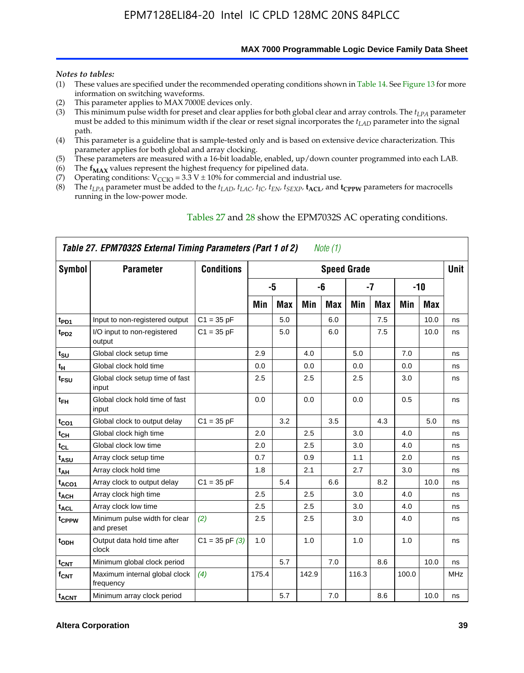**MAX 7000 Programmable Logic Device Family Data Sheet**

#### *Notes to tables:*

- (1) These values are specified under the recommended operating conditions shown in Table 14. See Figure 13 for more information on switching waveforms.
- (2) This parameter applies to MAX 7000E devices only.
- (3) This minimum pulse width for preset and clear applies for both global clear and array controls. The *tLPA* parameter must be added to this minimum width if the clear or reset signal incorporates the  $t_{LAD}$  parameter into the signal path.
- (4) This parameter is a guideline that is sample-tested only and is based on extensive device characterization. This parameter applies for both global and array clocking.
- (5) These parameters are measured with a 16-bit loadable, enabled, up/down counter programmed into each LAB.
- (6) The  $f_{MAX}$  values represent the highest frequency for pipelined data.
- (7) Operating conditions:  $V_{\text{CCIO}} = 3.3 \text{ V} \pm 10\%$  for commercial and industrial use.
- (8) The  $t_{LPA}$  parameter must be added to the  $t_{LAD}$ ,  $t_{LAC}$ ,  $t_{IC}$ ,  $t_{EN}$ ,  $t_{SEXP}$ ,  $t_{ACL}$ , and  $t_{CPPW}$  parameters for macrocells running in the low-power mode.

|                          | Table 27. EPM7032S External Timing Parameters (Part 1 of 2) |                   |       |            |       | Note (1) |                    |            |       |            |             |
|--------------------------|-------------------------------------------------------------|-------------------|-------|------------|-------|----------|--------------------|------------|-------|------------|-------------|
| Symbol                   | <b>Parameter</b>                                            | <b>Conditions</b> |       |            |       |          | <b>Speed Grade</b> |            |       |            | <b>Unit</b> |
|                          |                                                             |                   |       | -5         |       | -6       |                    | -7         |       | $-10$      |             |
|                          |                                                             |                   | Min   | <b>Max</b> | Min   | Max      | Min                | <b>Max</b> | Min   | <b>Max</b> |             |
| t <sub>PD1</sub>         | Input to non-registered output                              | $C1 = 35 pF$      |       | 5.0        |       | 6.0      |                    | 7.5        |       | 10.0       | ns          |
| $t_{PD2}$                | I/O input to non-registered<br>output                       | $C1 = 35 pF$      |       | 5.0        |       | 6.0      |                    | 7.5        |       | 10.0       | ns          |
| $t_{\text{SU}}$          | Global clock setup time                                     |                   | 2.9   |            | 4.0   |          | 5.0                |            | 7.0   |            | ns          |
| $t_H$                    | Global clock hold time                                      |                   | 0.0   |            | 0.0   |          | 0.0                |            | 0.0   |            | ns          |
| t <sub>FSU</sub>         | Global clock setup time of fast<br>input                    |                   | 2.5   |            | 2.5   |          | 2.5                |            | 3.0   |            | ns          |
| $t_{FH}$                 | Global clock hold time of fast<br>input                     |                   | 0.0   |            | 0.0   |          | 0.0                |            | 0.5   |            | ns          |
| t <sub>CO1</sub>         | Global clock to output delay                                | $C1 = 35 pF$      |       | 3.2        |       | 3.5      |                    | 4.3        |       | 5.0        | ns          |
| $t_{CH}$                 | Global clock high time                                      |                   | 2.0   |            | 2.5   |          | 3.0                |            | 4.0   |            | ns          |
| $t_{CL}$                 | Global clock low time                                       |                   | 2.0   |            | 2.5   |          | 3.0                |            | 4.0   |            | ns          |
| t <sub>ASU</sub>         | Array clock setup time                                      |                   | 0.7   |            | 0.9   |          | 1.1                |            | 2.0   |            | ns          |
| t <sub>АН</sub>          | Array clock hold time                                       |                   | 1.8   |            | 2.1   |          | 2.7                |            | 3.0   |            | ns          |
| t <sub>ACO1</sub>        | Array clock to output delay                                 | $C1 = 35 pF$      |       | 5.4        |       | 6.6      |                    | 8.2        |       | 10.0       | ns          |
| t <sub>ACH</sub>         | Array clock high time                                       |                   | 2.5   |            | 2.5   |          | 3.0                |            | 4.0   |            | ns          |
| $\mathfrak{t}_{\sf ACL}$ | Array clock low time                                        |                   | 2.5   |            | 2.5   |          | 3.0                |            | 4.0   |            | ns          |
| tcppw                    | Minimum pulse width for clear<br>and preset                 | (2)               | 2.5   |            | 2.5   |          | 3.0                |            | 4.0   |            | ns          |
| $t$ <sub>ODH</sub>       | Output data hold time after<br>clock                        | $C1 = 35 pF(3)$   | 1.0   |            | 1.0   |          | 1.0                |            | 1.0   |            | ns          |
| $t_{\mathsf{CNT}}$       | Minimum global clock period                                 |                   |       | 5.7        |       | 7.0      |                    | 8.6        |       | 10.0       | ns          |
| $f_{\mathsf{CNT}}$       | Maximum internal global clock<br>frequency                  | (4)               | 175.4 |            | 142.9 |          | 116.3              |            | 100.0 |            | <b>MHz</b>  |
| <b>t<sub>ACNT</sub></b>  | Minimum array clock period                                  |                   |       | 5.7        |       | 7.0      |                    | 8.6        |       | 10.0       | ns          |

#### Tables 27 and 28 show the EPM7032S AC operating conditions.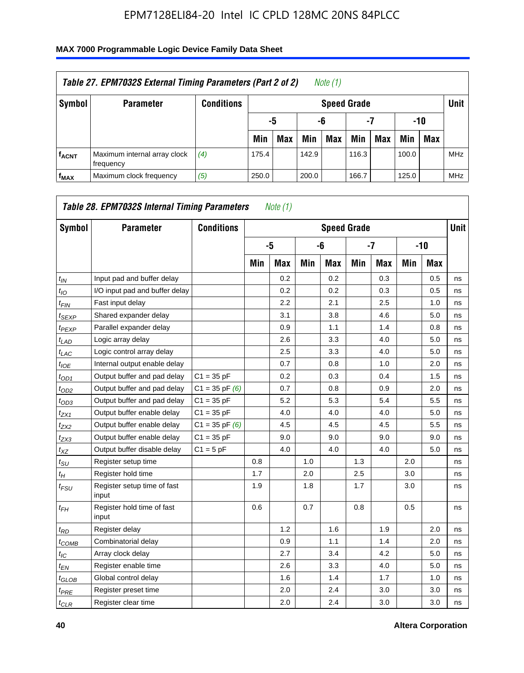| Table 27. EPM7032S External Timing Parameters (Part 2 of 2)<br>Note (1) |                                           |                   |       |                       |       |                    |       |     |       |            |            |  |  |
|-------------------------------------------------------------------------|-------------------------------------------|-------------------|-------|-----------------------|-------|--------------------|-------|-----|-------|------------|------------|--|--|
| Symbol                                                                  | <b>Parameter</b>                          | <b>Conditions</b> |       |                       |       | <b>Speed Grade</b> |       |     |       |            | Unit       |  |  |
|                                                                         |                                           |                   |       | -7<br>-10<br>-6<br>-5 |       |                    |       |     |       |            |            |  |  |
|                                                                         |                                           |                   | Min   | <b>Max</b>            | Min   | <b>Max</b>         | Min   | Max | Min   | <b>Max</b> |            |  |  |
| <b>fACNT</b>                                                            | Maximum internal array clock<br>frequency | (4)               | 175.4 |                       | 142.9 |                    | 116.3 |     | 100.0 |            | <b>MHz</b> |  |  |
| f <sub>MAX</sub>                                                        | Maximum clock frequency                   | (5)               | 250.0 |                       | 200.0 |                    | 166.7 |     | 125.0 |            | <b>MHz</b> |  |  |

| Symbol                        | <b>Parameter</b>                     | <b>Conditions</b>  |     |            |     | <b>Speed Grade</b> |     |            |     |            | <b>Unit</b> |
|-------------------------------|--------------------------------------|--------------------|-----|------------|-----|--------------------|-----|------------|-----|------------|-------------|
|                               |                                      |                    |     | -5         |     | -6                 |     | $-7$       |     | $-10$      |             |
|                               |                                      |                    | Min | <b>Max</b> | Min | <b>Max</b>         | Min | <b>Max</b> | Min | <b>Max</b> |             |
| $t_{IN}$                      | Input pad and buffer delay           |                    |     | 0.2        |     | 0.2                |     | 0.3        |     | 0.5        | ns          |
| $t_{IO}$                      | I/O input pad and buffer delay       |                    |     | 0.2        |     | 0.2                |     | 0.3        |     | 0.5        | ns          |
| $t_{\textit{FIN}}$            | Fast input delay                     |                    |     | 2.2        |     | 2.1                |     | 2.5        |     | 1.0        | ns          |
| $t_{SEXP}$                    | Shared expander delay                |                    |     | 3.1        |     | 3.8                |     | 4.6        |     | 5.0        | ns          |
| $t_{PEXP}$                    | Parallel expander delay              |                    |     | 0.9        |     | 1.1                |     | 1.4        |     | 0.8        | ns          |
| $t_{LAD}$                     | Logic array delay                    |                    |     | 2.6        |     | 3.3                |     | 4.0        |     | 5.0        | ns          |
| $t_{LAC}$                     | Logic control array delay            |                    |     | 2.5        |     | 3.3                |     | 4.0        |     | 5.0        | ns          |
| $t_{IOE}$                     | Internal output enable delay         |                    |     | 0.7        |     | 0.8                |     | 1.0        |     | 2.0        | ns          |
| $t_{OD1}$                     | Output buffer and pad delay          | $C1 = 35 pF$       |     | 0.2        |     | 0.3                |     | 0.4        |     | 1.5        | ns          |
| $t_{OD2}$                     | Output buffer and pad delay          | $C1 = 35$ pF $(6)$ |     | 0.7        |     | 0.8                |     | 0.9        |     | 2.0        | ns          |
| $t_{OD3}$                     | Output buffer and pad delay          | $C1 = 35 pF$       |     | 5.2        |     | 5.3                |     | 5.4        |     | 5.5        | ns          |
| $t_{ZX1}$                     | Output buffer enable delay           | $C1 = 35 pF$       |     | 4.0        |     | 4.0                |     | 4.0        |     | 5.0        | ns          |
| t <sub>ZX2</sub>              | Output buffer enable delay           | $C1 = 35$ pF $(6)$ |     | 4.5        |     | 4.5                |     | 4.5        |     | 5.5        | ns          |
| $t_{ZX3}$                     | Output buffer enable delay           | $C1 = 35 pF$       |     | 9.0        |     | 9.0                |     | 9.0        |     | 9.0        | ns          |
| $t_{XZ}$                      | Output buffer disable delay          | $C1 = 5pF$         |     | 4.0        |     | 4.0                |     | 4.0        |     | 5.0        | ns          |
| $t_{\rm SU}$                  | Register setup time                  |                    | 0.8 |            | 1.0 |                    | 1.3 |            | 2.0 |            | ns          |
| $t_{H}$                       | Register hold time                   |                    | 1.7 |            | 2.0 |                    | 2.5 |            | 3.0 |            | ns          |
| $t_{\mathit{FSU}}$            | Register setup time of fast<br>input |                    | 1.9 |            | 1.8 |                    | 1.7 |            | 3.0 |            | ns          |
| $t_{FH}$                      | Register hold time of fast<br>input  |                    | 0.6 |            | 0.7 |                    | 0.8 |            | 0.5 |            | ns          |
| $t_{RD}$                      | Register delay                       |                    |     | 1.2        |     | 1.6                |     | 1.9        |     | 2.0        | ns          |
| $t_{COMB}$                    | Combinatorial delay                  |                    |     | 0.9        |     | 1.1                |     | 1.4        |     | 2.0        | ns          |
| $t_{IC}$                      | Array clock delay                    |                    |     | 2.7        |     | 3.4                |     | 4.2        |     | 5.0        | ns          |
| $t_{EN}$                      | Register enable time                 |                    |     | 2.6        |     | 3.3                |     | 4.0        |     | 5.0        | ns          |
| $t_{\scriptstyle\text{GLOB}}$ | Global control delay                 |                    |     | 1.6        |     | 1.4                |     | 1.7        |     | 1.0        | ns          |
| $t_{PRE}$                     | Register preset time                 |                    |     | 2.0        |     | 2.4                |     | 3.0        |     | 3.0        | ns          |
| $t_{CLR}$                     | Register clear time                  |                    |     | 2.0        |     | 2.4                |     | 3.0        |     | 3.0        | ns          |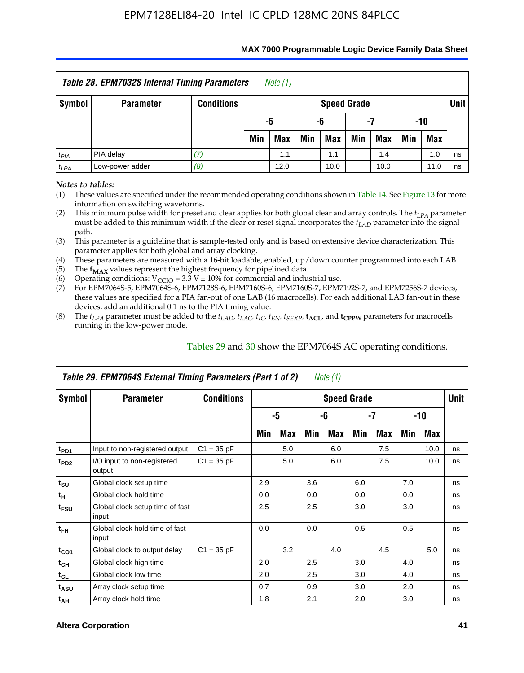| Table 28. EPM7032S Internal Timing Parameters<br>Note (1) |                                                              |                   |     |                       |     |                    |     |            |     |            |        |  |
|-----------------------------------------------------------|--------------------------------------------------------------|-------------------|-----|-----------------------|-----|--------------------|-----|------------|-----|------------|--------|--|
| Symbol                                                    | <b>Parameter</b>                                             | <b>Conditions</b> |     |                       |     | <b>Speed Grade</b> |     |            |     |            | Unit I |  |
|                                                           |                                                              |                   |     | -10<br>-5<br>-6<br>-7 |     |                    |     |            |     |            |        |  |
|                                                           |                                                              |                   | Min | <b>Max</b>            | Min | Max                | Min | <b>Max</b> | Min | <b>Max</b> |        |  |
| $t_{PIA}$                                                 | PIA delay                                                    | 17.               |     | 1.1                   |     | 1.1                |     | 1.4        |     | 1.0        | ns     |  |
| $t_{LPA}$                                                 | Low-power adder<br>(8)<br>12.0<br>10.0<br>10.0<br>11.0<br>ns |                   |     |                       |     |                    |     |            |     |            |        |  |

#### **MAX 7000 Programmable Logic Device Family Data Sheet**

*Notes to tables:*

(1) These values are specified under the recommended operating conditions shown in Table 14. See Figure 13 for more information on switching waveforms.

(2) This minimum pulse width for preset and clear applies for both global clear and array controls. The  $t_{LPA}$  parameter must be added to this minimum width if the clear or reset signal incorporates the *tLAD* parameter into the signal path.

(3) This parameter is a guideline that is sample-tested only and is based on extensive device characterization. This parameter applies for both global and array clocking.

(4) These parameters are measured with a 16-bit loadable, enabled, up/down counter programmed into each LAB.

(5) The  $f_{MAX}$  values represent the highest frequency for pipelined data.

(6) Operating conditions:  $V_{\text{CCIO}} = 3.3 \text{ V} \pm 10\%$  for commercial and industrial use.

(7) For EPM7064S-5, EPM7064S-6, EPM7128S-6, EPM7160S-6, EPM7160S-7, EPM7192S-7, and EPM7256S-7 devices, these values are specified for a PIA fan-out of one LAB (16 macrocells). For each additional LAB fan-out in these devices, add an additional 0.1 ns to the PIA timing value.

(8) The  $t_{LPA}$  parameter must be added to the  $t_{LAD}$ ,  $t_{LAC}$ ,  $t_{IC}$ ,  $t_{EN}$ ,  $t_{SEXP}$ ,  $t_{ACL}$ , and  $t_{CPPW}$  parameters for macrocells running in the low-power mode.

|                  | Table 29. EPM7064S External Timing Parameters (Part 1 of 2) |                   |     |     |     | Note (1)           |     |      |     |      |      |
|------------------|-------------------------------------------------------------|-------------------|-----|-----|-----|--------------------|-----|------|-----|------|------|
| Symbol           | <b>Parameter</b>                                            | <b>Conditions</b> |     |     |     | <b>Speed Grade</b> |     |      |     |      | Unit |
|                  |                                                             |                   |     | -5  |     | -6                 |     | $-7$ |     | -10  |      |
|                  |                                                             |                   | Min | Max | Min | Max                | Min | Max  | Min | Max  |      |
| t <sub>PD1</sub> | Input to non-registered output                              | $C1 = 35 pF$      |     | 5.0 |     | 6.0                |     | 7.5  |     | 10.0 | ns   |
| t <sub>PD2</sub> | I/O input to non-registered<br>output                       | $C1 = 35 pF$      |     | 5.0 |     | 6.0                |     | 7.5  |     | 10.0 | ns   |
| $t_{\text{SU}}$  | Global clock setup time                                     |                   | 2.9 |     | 3.6 |                    | 6.0 |      | 7.0 |      | ns   |
| $t_H$            | Global clock hold time                                      |                   | 0.0 |     | 0.0 |                    | 0.0 |      | 0.0 |      | ns   |
| t <sub>FSU</sub> | Global clock setup time of fast<br>input                    |                   | 2.5 |     | 2.5 |                    | 3.0 |      | 3.0 |      | ns   |
| $t_{FH}$         | Global clock hold time of fast<br>input                     |                   | 0.0 |     | 0.0 |                    | 0.5 |      | 0.5 |      | ns   |
| $t_{CO1}$        | Global clock to output delay                                | $C1 = 35 pF$      |     | 3.2 |     | 4.0                |     | 4.5  |     | 5.0  | ns   |
| $t_{CH}$         | Global clock high time                                      |                   | 2.0 |     | 2.5 |                    | 3.0 |      | 4.0 |      | ns   |
| $t_{CL}$         | Global clock low time                                       |                   | 2.0 |     | 2.5 |                    | 3.0 |      | 4.0 |      | ns   |
| t <sub>ASU</sub> | Array clock setup time                                      |                   | 0.7 |     | 0.9 |                    | 3.0 |      | 2.0 |      | ns   |
| $t_{AH}$         | Array clock hold time                                       |                   | 1.8 |     | 2.1 |                    | 2.0 |      | 3.0 |      | ns   |

Tables 29 and 30 show the EPM7064S AC operating conditions.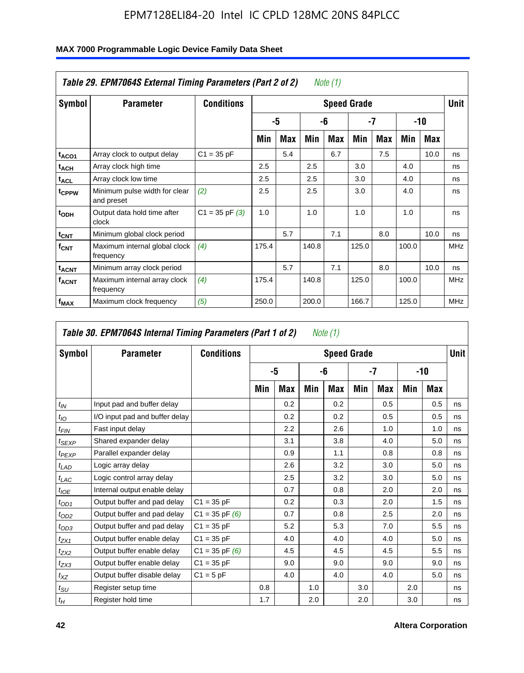|                         | Table 29. EPM7064S External Timing Parameters (Part 2 of 2) |                    |       |     |       | Note (1) |                    |     |       |      |             |
|-------------------------|-------------------------------------------------------------|--------------------|-------|-----|-------|----------|--------------------|-----|-------|------|-------------|
| Symbol                  | <b>Parameter</b>                                            | <b>Conditions</b>  |       |     |       |          | <b>Speed Grade</b> |     |       |      | <b>Unit</b> |
|                         |                                                             |                    |       | -5  |       | -6       | -7                 |     |       | -10  |             |
|                         |                                                             |                    | Min   | Max | Min   | Max      | Min                | Max | Min   | Max  |             |
| t <sub>ACO1</sub>       | Array clock to output delay                                 | $C1 = 35 pF$       |       | 5.4 |       | 6.7      |                    | 7.5 |       | 10.0 | ns          |
| <sup>t</sup> ach        | Array clock high time                                       |                    | 2.5   |     | 2.5   |          | 3.0                |     | 4.0   |      | ns          |
| t <sub>ACL</sub>        | Array clock low time                                        |                    | 2.5   |     | 2.5   |          | 3.0                |     | 4.0   |      | ns          |
| t <sub>CPPW</sub>       | Minimum pulse width for clear<br>and preset                 | (2)                | 2.5   |     | 2.5   |          | 3.0                |     | 4.0   |      | ns          |
| t <sub>ODH</sub>        | Output data hold time after<br>clock                        | $C1 = 35$ pF $(3)$ | 1.0   |     | 1.0   |          | 1.0                |     | 1.0   |      | ns          |
| $t_{\text{CNT}}$        | Minimum global clock period                                 |                    |       | 5.7 |       | 7.1      |                    | 8.0 |       | 10.0 | ns          |
| $f_{\text{CNT}}$        | Maximum internal global clock<br>frequency                  | (4)                | 175.4 |     | 140.8 |          | 125.0              |     | 100.0 |      | <b>MHz</b>  |
| <b>t<sub>ACNT</sub></b> | Minimum array clock period                                  |                    |       | 5.7 |       | 7.1      |                    | 8.0 |       | 10.0 | ns          |
| <sup>f</sup> ACNT       | Maximum internal array clock<br>frequency                   | (4)                | 175.4 |     | 140.8 |          | 125.0              |     | 100.0 |      | <b>MHz</b>  |
| f <sub>MAX</sub>        | Maximum clock frequency                                     | (5)                | 250.0 |     | 200.0 |          | 166.7              |     | 125.0 |      | <b>MHz</b>  |

#### **MAX 7000 Programmable Logic Device Family Data Sheet**

| Symbol        | <b>Parameter</b>               | <b>Conditions</b>  |     |     |     | <b>Speed Grade</b> |     |     |     |     | <b>Unit</b> |
|---------------|--------------------------------|--------------------|-----|-----|-----|--------------------|-----|-----|-----|-----|-------------|
|               |                                |                    |     | -5  |     | -6                 |     | -7  |     | -10 |             |
|               |                                |                    | Min | Max | Min | Max                | Min | Max | Min | Max |             |
| $t_{IN}$      | Input pad and buffer delay     |                    |     | 0.2 |     | 0.2                |     | 0.5 |     | 0.5 | ns          |
| $t_{IO}$      | I/O input pad and buffer delay |                    |     | 0.2 |     | 0.2                |     | 0.5 |     | 0.5 | ns          |
| $t_{\sf FIN}$ | Fast input delay               |                    |     | 2.2 |     | 2.6                |     | 1.0 |     | 1.0 | ns          |
| $t_{SEXP}$    | Shared expander delay          |                    |     | 3.1 |     | 3.8                |     | 4.0 |     | 5.0 | ns          |
| $t_{PEXP}$    | Parallel expander delay        |                    |     | 0.9 |     | 1.1                |     | 0.8 |     | 0.8 | ns          |
| $t_{LAD}$     | Logic array delay              |                    |     | 2.6 |     | 3.2                |     | 3.0 |     | 5.0 | ns          |
| $t_{LAC}$     | Logic control array delay      |                    |     | 2.5 |     | 3.2                |     | 3.0 |     | 5.0 | ns          |
| $t_{IOE}$     | Internal output enable delay   |                    |     | 0.7 |     | 0.8                |     | 2.0 |     | 2.0 | ns          |
| $t_{OD1}$     | Output buffer and pad delay    | $C1 = 35 pF$       |     | 0.2 |     | 0.3                |     | 2.0 |     | 1.5 | ns          |
| $t_{OD2}$     | Output buffer and pad delay    | $C1 = 35$ pF $(6)$ |     | 0.7 |     | 0.8                |     | 2.5 |     | 2.0 | ns          |
| $t_{OD3}$     | Output buffer and pad delay    | $C1 = 35 pF$       |     | 5.2 |     | 5.3                |     | 7.0 |     | 5.5 | ns          |
| $t_{ZX1}$     | Output buffer enable delay     | $C1 = 35 pF$       |     | 4.0 |     | 4.0                |     | 4.0 |     | 5.0 | ns          |
| $t_{ZX2}$     | Output buffer enable delay     | $C1 = 35$ pF $(6)$ |     | 4.5 |     | 4.5                |     | 4.5 |     | 5.5 | ns          |
| $t_{ZX3}$     | Output buffer enable delay     | $C1 = 35 pF$       |     | 9.0 |     | 9.0                |     | 9.0 |     | 9.0 | ns          |
| $t_{XZ}$      | Output buffer disable delay    | $C1 = 5pF$         |     | 4.0 |     | 4.0                |     | 4.0 |     | 5.0 | ns          |
| $t_{\rm SU}$  | Register setup time            |                    | 0.8 |     | 1.0 |                    | 3.0 |     | 2.0 |     | ns          |
| $t_H$         | Register hold time             |                    | 1.7 |     | 2.0 |                    | 2.0 |     | 3.0 |     | ns          |

 $\Gamma$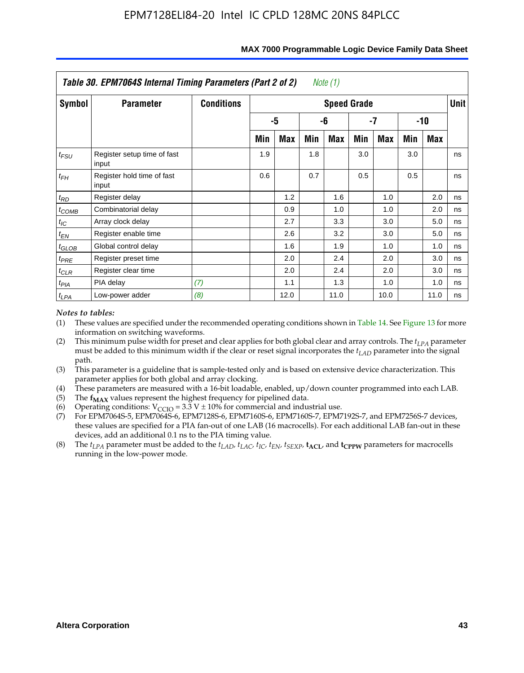|               | Table 30. EPM7064S Internal Timing Parameters (Part 2 of 2) |                   |     |      |     | Note (1)           |     |      |     |            |             |
|---------------|-------------------------------------------------------------|-------------------|-----|------|-----|--------------------|-----|------|-----|------------|-------------|
| <b>Symbol</b> | <b>Parameter</b>                                            | <b>Conditions</b> |     |      |     | <b>Speed Grade</b> |     |      |     |            | <b>Unit</b> |
|               |                                                             |                   |     | -5   |     | -6                 |     | -7   |     | -10        |             |
|               |                                                             |                   | Min | Max  | Min | Max                | Min | Max  | Min | <b>Max</b> |             |
| $t_{FSU}$     | Register setup time of fast<br>input                        |                   | 1.9 |      | 1.8 |                    | 3.0 |      | 3.0 |            | ns          |
| $t_{FH}$      | Register hold time of fast<br>input                         |                   | 0.6 |      | 0.7 |                    | 0.5 |      | 0.5 |            | ns          |
| $t_{RD}$      | Register delay                                              |                   |     | 1.2  |     | 1.6                |     | 1.0  |     | 2.0        | ns          |
| $t_{COMB}$    | Combinatorial delay                                         |                   |     | 0.9  |     | 1.0                |     | 1.0  |     | 2.0        | ns          |
| $t_{IC}$      | Array clock delay                                           |                   |     | 2.7  |     | 3.3                |     | 3.0  |     | 5.0        | ns          |
| $t_{EN}$      | Register enable time                                        |                   |     | 2.6  |     | 3.2                |     | 3.0  |     | 5.0        | ns          |
| $t_{GLOB}$    | Global control delay                                        |                   |     | 1.6  |     | 1.9                |     | 1.0  |     | 1.0        | ns          |
| $t_{PRE}$     | Register preset time                                        |                   |     | 2.0  |     | 2.4                |     | 2.0  |     | 3.0        | ns          |
| $t_{CLR}$     | Register clear time                                         |                   |     | 2.0  |     | 2.4                |     | 2.0  |     | 3.0        | ns          |
| $t_{PIA}$     | PIA delay                                                   | (7)               |     | 1.1  |     | 1.3                |     | 1.0  |     | 1.0        | ns          |
| $t_{LPA}$     | Low-power adder                                             | (8)               |     | 12.0 |     | 11.0               |     | 10.0 |     | 11.0       | ns          |

#### **MAX 7000 Programmable Logic Device Family Data Sheet**

#### *Notes to tables:*

- (1) These values are specified under the recommended operating conditions shown in Table 14. See Figure 13 for more information on switching waveforms.
- (2) This minimum pulse width for preset and clear applies for both global clear and array controls. The  $t_{LPA}$  parameter must be added to this minimum width if the clear or reset signal incorporates the *t<sub>LAD</sub>* parameter into the signal path.
- (3) This parameter is a guideline that is sample-tested only and is based on extensive device characterization. This parameter applies for both global and array clocking.
- (4) These parameters are measured with a 16-bit loadable, enabled, up/down counter programmed into each LAB.
- (5) The  $f_{MAX}$  values represent the highest frequency for pipelined data.
- (6) Operating conditions:  $V_{\text{CGO}} = 3.3 \text{ V} \pm 10\%$  for commercial and industrial use.
- (7) For EPM7064S-5, EPM7064S-6, EPM7128S-6, EPM7160S-6, EPM7160S-7, EPM7192S-7, and EPM7256S-7 devices, these values are specified for a PIA fan-out of one LAB (16 macrocells). For each additional LAB fan-out in these devices, add an additional 0.1 ns to the PIA timing value.
- (8) The  $t_{LPA}$  parameter must be added to the  $t_{LAD}$ ,  $t_{LAC}$ ,  $t_{IC}$ ,  $t_{EN}$ ,  $t_{SEXP}$ ,  $t_{ACL}$ , and  $t_{CPPW}$  parameters for macrocells running in the low-power mode.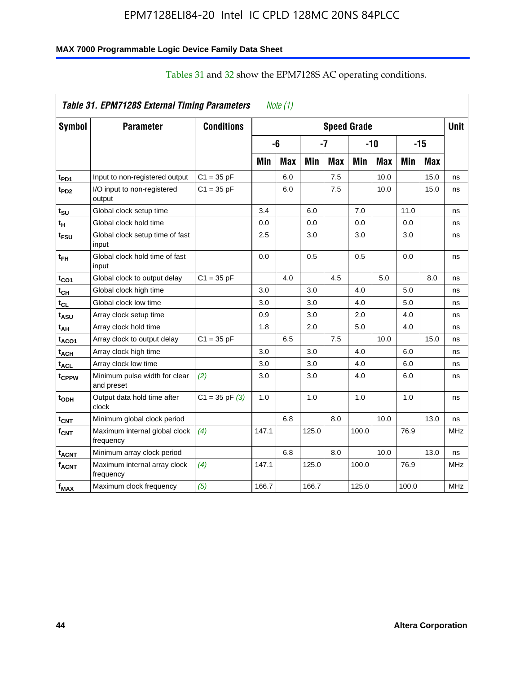#### **MAX 7000 Programmable Logic Device Family Data Sheet**

|                             | Table 31. EPM7128S External Timing Parameters |                   |       | Note $(1)$ |            |            |                    |            |       |            |             |
|-----------------------------|-----------------------------------------------|-------------------|-------|------------|------------|------------|--------------------|------------|-------|------------|-------------|
| Symbol                      | <b>Parameter</b>                              | <b>Conditions</b> |       |            |            |            | <b>Speed Grade</b> |            |       |            | <b>Unit</b> |
|                             |                                               |                   |       | -6         |            | -7         |                    | $-10$      |       | $-15$      |             |
|                             |                                               |                   | Min   | <b>Max</b> | <b>Min</b> | <b>Max</b> | Min                | <b>Max</b> | Min   | <b>Max</b> |             |
| t <sub>PD1</sub>            | Input to non-registered output                | $C1 = 35 pF$      |       | 6.0        |            | 7.5        |                    | 10.0       |       | 15.0       | ns          |
| t <sub>PD2</sub>            | I/O input to non-registered<br>output         | $C1 = 35 pF$      |       | 6.0        |            | 7.5        |                    | 10.0       |       | 15.0       | ns          |
| tsu                         | Global clock setup time                       |                   | 3.4   |            | 6.0        |            | 7.0                |            | 11.0  |            | ns          |
| t <sub>H</sub>              | Global clock hold time                        |                   | 0.0   |            | 0.0        |            | 0.0                |            | 0.0   |            | ns          |
| t <sub>FSU</sub>            | Global clock setup time of fast<br>input      |                   | 2.5   |            | 3.0        |            | 3.0                |            | 3.0   |            | ns          |
| t <sub>ЕН</sub>             | Global clock hold time of fast<br>input       |                   | 0.0   |            | 0.5        |            | 0.5                |            | 0.0   |            | ns          |
| $t_{CO1}$                   | Global clock to output delay                  | $C1 = 35 pF$      |       | 4.0        |            | 4.5        |                    | 5.0        |       | 8.0        | ns          |
| $t_{\mathsf{CH}}$           | Global clock high time                        |                   | 3.0   |            | 3.0        |            | 4.0                |            | 5.0   |            | ns          |
| $t_{CL}$                    | Global clock low time                         |                   | 3.0   |            | 3.0        |            | 4.0                |            | 5.0   |            | ns          |
| t <sub>ASU</sub>            | Array clock setup time                        |                   | 0.9   |            | 3.0        |            | 2.0                |            | 4.0   |            | ns          |
| t <sub>АН</sub>             | Array clock hold time                         |                   | 1.8   |            | 2.0        |            | 5.0                |            | 4.0   |            | ns          |
| t <sub>ACO1</sub>           | Array clock to output delay                   | $C1 = 35 pF$      |       | 6.5        |            | 7.5        |                    | 10.0       |       | 15.0       | ns          |
| t <sub>АСН</sub>            | Array clock high time                         |                   | 3.0   |            | 3.0        |            | 4.0                |            | 6.0   |            | ns          |
| $\mathsf{t}_{\mathsf{ACL}}$ | Array clock low time                          |                   | 3.0   |            | 3.0        |            | 4.0                |            | 6.0   |            | ns          |
| t <sub>CPPW</sub>           | Minimum pulse width for clear<br>and preset   | (2)               | 3.0   |            | 3.0        |            | 4.0                |            | 6.0   |            | ns          |
| t <sub>ODH</sub>            | Output data hold time after<br>clock          | $C1 = 35 pF(3)$   | 1.0   |            | 1.0        |            | 1.0                |            | 1.0   |            | ns          |
| $t_{\mathsf{CNT}}$          | Minimum global clock period                   |                   |       | 6.8        |            | 8.0        |                    | 10.0       |       | 13.0       | ns          |
| $f_{\text{CNT}}$            | Maximum internal global clock<br>frequency    | (4)               | 147.1 |            | 125.0      |            | 100.0              |            | 76.9  |            | <b>MHz</b>  |
| <sup>t</sup> acnt           | Minimum array clock period                    |                   |       | 6.8        |            | 8.0        |                    | 10.0       |       | 13.0       | ns          |
| <b>f<sub>ACNT</sub></b>     | Maximum internal array clock<br>frequency     | (4)               | 147.1 |            | 125.0      |            | 100.0              |            | 76.9  |            | <b>MHz</b>  |
| $f_{MAX}$                   | Maximum clock frequency                       | (5)               | 166.7 |            | 166.7      |            | 125.0              |            | 100.0 |            | MHz         |

# Tables 31 and 32 show the EPM7128S AC operating conditions.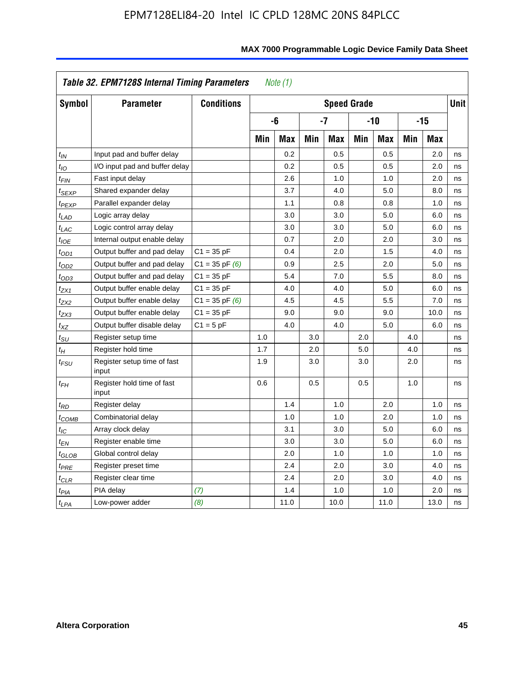|                             | Table 32. EPM7128S Internal Timing Parameters |                    |     | Note $(1)$ |     |                    |     |            |     |            |             |
|-----------------------------|-----------------------------------------------|--------------------|-----|------------|-----|--------------------|-----|------------|-----|------------|-------------|
| Symbol                      | <b>Parameter</b>                              | <b>Conditions</b>  |     |            |     | <b>Speed Grade</b> |     |            |     |            | <b>Unit</b> |
|                             |                                               |                    |     | -6         |     | -7                 |     | $-10$      |     | $-15$      |             |
|                             |                                               |                    | Min | <b>Max</b> | Min | <b>Max</b>         | Min | <b>Max</b> | Min | <b>Max</b> |             |
| $t_{IN}$                    | Input pad and buffer delay                    |                    |     | 0.2        |     | 0.5                |     | 0.5        |     | 2.0        | ns          |
| $t_{IO}$                    | I/O input pad and buffer delay                |                    |     | 0.2        |     | 0.5                |     | 0.5        |     | 2.0        | ns          |
| $t_{FIN}$                   | Fast input delay                              |                    |     | 2.6        |     | 1.0                |     | 1.0        |     | 2.0        | ns          |
| t <sub>SEXP</sub>           | Shared expander delay                         |                    |     | 3.7        |     | 4.0                |     | 5.0        |     | 8.0        | ns          |
| t <sub>PEXP</sub>           | Parallel expander delay                       |                    |     | 1.1        |     | 0.8                |     | 0.8        |     | 1.0        | ns          |
| $t_{LAD}$                   | Logic array delay                             |                    |     | 3.0        |     | 3.0                |     | 5.0        |     | 6.0        | ns          |
| $t_{LAC}$                   | Logic control array delay                     |                    |     | 3.0        |     | 3.0                |     | 5.0        |     | 6.0        | ns          |
| $t_{IOE}$                   | Internal output enable delay                  |                    |     | 0.7        |     | 2.0                |     | 2.0        |     | 3.0        | ns          |
| $t_{OD1}$                   | Output buffer and pad delay                   | $C1 = 35 pF$       |     | 0.4        |     | 2.0                |     | 1.5        |     | 4.0        | ns          |
| $t_{OD2}$                   | Output buffer and pad delay                   | $C1 = 35$ pF $(6)$ |     | 0.9        |     | 2.5                |     | 2.0        |     | 5.0        | ns          |
| $t_{OD3}$                   | Output buffer and pad delay                   | $C1 = 35 pF$       |     | 5.4        |     | 7.0                |     | 5.5        |     | 8.0        | ns          |
| t <sub>ZX1</sub>            | Output buffer enable delay                    | $C1 = 35 pF$       |     | 4.0        |     | 4.0                |     | 5.0        |     | 6.0        | ns          |
| t <sub>ZX2</sub>            | Output buffer enable delay                    | $C1 = 35$ pF $(6)$ |     | 4.5        |     | 4.5                |     | 5.5        |     | 7.0        | ns          |
| t <sub>ZX3</sub>            | Output buffer enable delay                    | $C1 = 35 pF$       |     | 9.0        |     | 9.0                |     | 9.0        |     | 10.0       | ns          |
| $t_{\mathsf{XZ}}$           | Output buffer disable delay                   | $C1 = 5$ pF        |     | 4.0        |     | 4.0                |     | 5.0        |     | 6.0        | ns          |
| $t_{\scriptstyle\text{SU}}$ | Register setup time                           |                    | 1.0 |            | 3.0 |                    | 2.0 |            | 4.0 |            | ns          |
| $t_H$                       | Register hold time                            |                    | 1.7 |            | 2.0 |                    | 5.0 |            | 4.0 |            | ns          |
| $t_{\it FSU}$               | Register setup time of fast<br>input          |                    | 1.9 |            | 3.0 |                    | 3.0 |            | 2.0 |            | ns          |
| $t_{FH}$                    | Register hold time of fast<br>input           |                    | 0.6 |            | 0.5 |                    | 0.5 |            | 1.0 |            | ns          |
| $t_{RD}$                    | Register delay                                |                    |     | 1.4        |     | 1.0                |     | 2.0        |     | 1.0        | ns          |
| $t_{\mathsf{COMB}}$         | Combinatorial delay                           |                    |     | 1.0        |     | 1.0                |     | 2.0        |     | 1.0        | ns          |
| $t_{\text{IC}}$             | Array clock delay                             |                    |     | 3.1        |     | 3.0                |     | 5.0        |     | 6.0        | ns          |
| $t_{EN}$                    | Register enable time                          |                    |     | 3.0        |     | 3.0                |     | 5.0        |     | 6.0        | ns          |
| $t_{\scriptstyle\rm GLOB}$  | Global control delay                          |                    |     | 2.0        |     | 1.0                |     | 1.0        |     | 1.0        | ns          |
| $t_{PRE}$                   | Register preset time                          |                    |     | 2.4        |     | 2.0                |     | 3.0        |     | 4.0        | ns          |
| $t_{CLR}$                   | Register clear time                           |                    |     | 2.4        |     | 2.0                |     | 3.0        |     | 4.0        | ns          |
| t <sub>PIA</sub>            | PIA delay                                     | (7)                |     | 1.4        |     | 1.0                |     | 1.0        |     | 2.0        | ns          |
| t <sub>LPA</sub>            | Low-power adder                               | (8)                |     | 11.0       |     | 10.0               |     | 11.0       |     | 13.0       | ns          |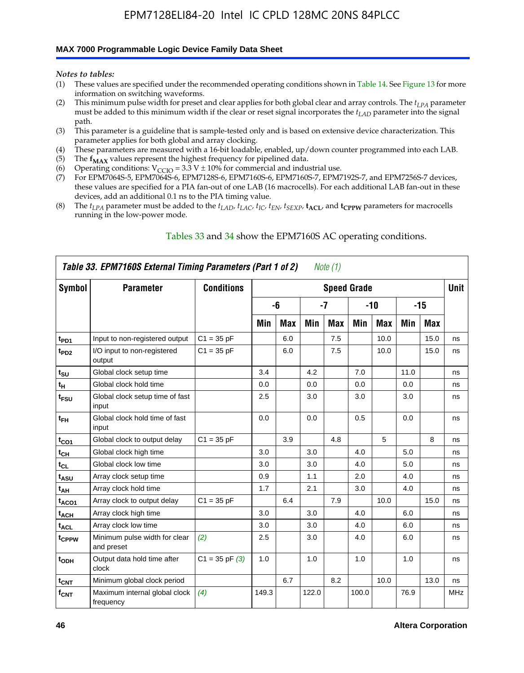#### **MAX 7000 Programmable Logic Device Family Data Sheet**

*Notes to tables:*

- (1) These values are specified under the recommended operating conditions shown in Table 14. See Figure 13 for more information on switching waveforms.
- (2) This minimum pulse width for preset and clear applies for both global clear and array controls. The  $t_{LPA}$  parameter must be added to this minimum width if the clear or reset signal incorporates the *tLAD* parameter into the signal path.
- (3) This parameter is a guideline that is sample-tested only and is based on extensive device characterization. This parameter applies for both global and array clocking.
- (4) These parameters are measured with a 16-bit loadable, enabled, up/down counter programmed into each LAB.
- (5) The  $f_{MAX}$  values represent the highest frequency for pipelined data.
- (6) Operating conditions:  $V_{\text{CCIO}} = 3.3 \text{ V} \pm 10\%$  for commercial and industrial use.
- (7) For EPM7064S-5, EPM7064S-6, EPM7128S-6, EPM7160S-6, EPM7160S-7, EPM7192S-7, and EPM7256S-7 devices, these values are specified for a PIA fan-out of one LAB (16 macrocells). For each additional LAB fan-out in these devices, add an additional 0.1 ns to the PIA timing value.
- (8) The  $t_{LPA}$  parameter must be added to the  $t_{LAD}$ ,  $t_{LAC}$ ,  $t_{IC}$ ,  $t_{EN}$ ,  $t_{SEXP}$ ,  $t_{ACL}$ , and  $t_{CPPW}$  parameters for macrocells running in the low-power mode.

|                   | Table 33. EPM7160S External Timing Parameters (Part 1 of 2) |                    |       |            |       | Note (1) |                    |            |      |       |            |
|-------------------|-------------------------------------------------------------|--------------------|-------|------------|-------|----------|--------------------|------------|------|-------|------------|
| Symbol            | <b>Parameter</b>                                            | <b>Conditions</b>  |       |            |       |          | <b>Speed Grade</b> |            |      |       | Unit       |
|                   |                                                             |                    |       | -6         |       | $-7$     |                    | $-10$      |      | $-15$ |            |
|                   |                                                             |                    | Min   | <b>Max</b> | Min   | Max      | Min                | <b>Max</b> | Min  | Max   |            |
| t <sub>PD1</sub>  | Input to non-registered output                              | $C1 = 35 pF$       |       | 6.0        |       | 7.5      |                    | 10.0       |      | 15.0  | ns         |
| $t_{PD2}$         | I/O input to non-registered<br>output                       | $C1 = 35 pF$       |       | 6.0        |       | 7.5      |                    | 10.0       |      | 15.0  | ns         |
| $t_{\text{SU}}$   | Global clock setup time                                     |                    | 3.4   |            | 4.2   |          | 7.0                |            | 11.0 |       | ns         |
| $t_H$             | Global clock hold time                                      |                    | 0.0   |            | 0.0   |          | 0.0                |            | 0.0  |       | ns         |
| t <sub>FSU</sub>  | Global clock setup time of fast<br>input                    |                    | 2.5   |            | 3.0   |          | 3.0                |            | 3.0  |       | ns         |
| $t_{FH}$          | Global clock hold time of fast<br>input                     |                    | 0.0   |            | 0.0   |          | 0.5                |            | 0.0  |       | ns         |
| $t_{CO1}$         | Global clock to output delay                                | $C1 = 35 pF$       |       | 3.9        |       | 4.8      |                    | 5          |      | 8     | ns         |
| $t_{CH}$          | Global clock high time                                      |                    | 3.0   |            | 3.0   |          | 4.0                |            | 5.0  |       | ns         |
| $t_{CL}$          | Global clock low time                                       |                    | 3.0   |            | 3.0   |          | 4.0                |            | 5.0  |       | ns         |
| t <sub>ASU</sub>  | Array clock setup time                                      |                    | 0.9   |            | 1.1   |          | 2.0                |            | 4.0  |       | ns         |
| t <sub>AH</sub>   | Array clock hold time                                       |                    | 1.7   |            | 2.1   |          | 3.0                |            | 4.0  |       | ns         |
| t <sub>ACO1</sub> | Array clock to output delay                                 | $C1 = 35 pF$       |       | 6.4        |       | 7.9      |                    | 10.0       |      | 15.0  | ns         |
| $t_{ACH}$         | Array clock high time                                       |                    | 3.0   |            | 3.0   |          | 4.0                |            | 6.0  |       | ns         |
| t <sub>ACL</sub>  | Array clock low time                                        |                    | 3.0   |            | 3.0   |          | 4.0                |            | 6.0  |       | ns         |
| tcppw             | Minimum pulse width for clear<br>and preset                 | (2)                | 2.5   |            | 3.0   |          | 4.0                |            | 6.0  |       | ns         |
| $t_{ODH}$         | Output data hold time after<br>clock                        | $C1 = 35$ pF $(3)$ | 1.0   |            | 1.0   |          | 1.0                |            | 1.0  |       | ns         |
| $t_{\text{CNT}}$  | Minimum global clock period                                 |                    |       | 6.7        |       | 8.2      |                    | 10.0       |      | 13.0  | ns         |
| $f_{\text{CNT}}$  | Maximum internal global clock<br>frequency                  | (4)                | 149.3 |            | 122.0 |          | 100.0              |            | 76.9 |       | <b>MHz</b> |

#### Tables 33 and 34 show the EPM7160S AC operating conditions.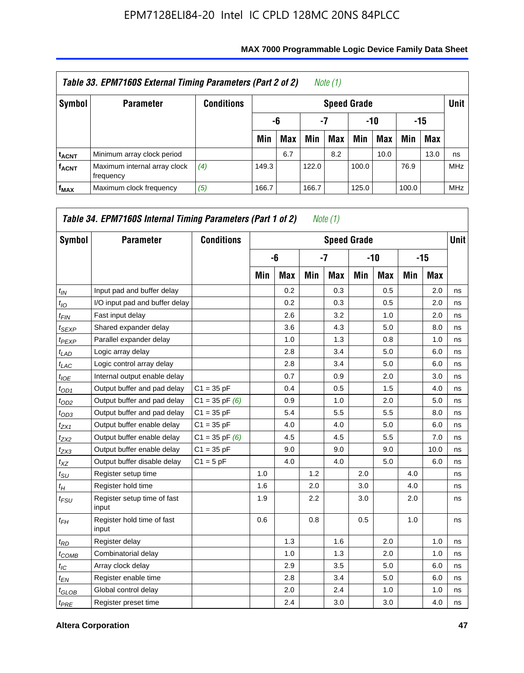|                         | Table 33. EPM7160S External Timing Parameters (Part 2 of 2) |                   |                    |                        |       | Note (1) |       |      |       |            |            |  |  |
|-------------------------|-------------------------------------------------------------|-------------------|--------------------|------------------------|-------|----------|-------|------|-------|------------|------------|--|--|
| Symbol                  | <b>Parameter</b>                                            | <b>Conditions</b> | <b>Speed Grade</b> |                        |       |          |       |      |       |            |            |  |  |
|                         |                                                             |                   |                    | -7<br>-10<br>-15<br>-6 |       |          |       |      |       |            |            |  |  |
|                         |                                                             |                   | Min                | <b>Max</b>             | Min   | Max      | Min   | Max  | Min   | <b>Max</b> |            |  |  |
| <b>t<sub>ACNT</sub></b> | Minimum array clock period                                  |                   |                    | 6.7                    |       | 8.2      |       | 10.0 |       | 13.0       | ns         |  |  |
| <b>f<sub>ACNT</sub></b> | Maximum internal array clock<br>frequency                   | (4)               | 149.3              |                        | 122.0 |          | 100.0 |      | 76.9  |            | <b>MHz</b> |  |  |
| $f_{MAX}$               | Maximum clock frequency                                     | (5)               | 166.7              |                        | 166.7 |          | 125.0 |      | 100.0 |            | <b>MHz</b> |  |  |

| Symbol          | <b>Parameter</b>                     | <b>Conditions</b>  |     |            |     | <b>Speed Grade</b> |     |            |     |            | Unit I |
|-----------------|--------------------------------------|--------------------|-----|------------|-----|--------------------|-----|------------|-----|------------|--------|
|                 |                                      |                    |     | -6         |     | $-7$               |     | $-10$      |     | $-15$      |        |
|                 |                                      |                    | Min | <b>Max</b> | Min | Max                | Min | <b>Max</b> | Min | <b>Max</b> |        |
| $t_{IN}$        | Input pad and buffer delay           |                    |     | 0.2        |     | 0.3                |     | 0.5        |     | 2.0        | ns     |
| $t_{IO}$        | I/O input pad and buffer delay       |                    |     | 0.2        |     | 0.3                |     | 0.5        |     | 2.0        | ns     |
| $t_{FIN}$       | Fast input delay                     |                    |     | 2.6        |     | 3.2                |     | 1.0        |     | 2.0        | ns     |
| $t_{SEXP}$      | Shared expander delay                |                    |     | 3.6        |     | 4.3                |     | 5.0        |     | 8.0        | ns     |
| $t_{PEXP}$      | Parallel expander delay              |                    |     | 1.0        |     | 1.3                |     | 0.8        |     | 1.0        | ns     |
| $t_{LAD}$       | Logic array delay                    |                    |     | 2.8        |     | 3.4                |     | 5.0        |     | 6.0        | ns     |
| $t_{LAC}$       | Logic control array delay            |                    |     | 2.8        |     | 3.4                |     | 5.0        |     | 6.0        | ns     |
| $t_{IOE}$       | Internal output enable delay         |                    |     | 0.7        |     | 0.9                |     | 2.0        |     | 3.0        | ns     |
| $t_{OD1}$       | Output buffer and pad delay          | $C1 = 35 pF$       |     | 0.4        |     | 0.5                |     | 1.5        |     | 4.0        | ns     |
| $t_{OD2}$       | Output buffer and pad delay          | $C1 = 35$ pF $(6)$ |     | 0.9        |     | 1.0                |     | 2.0        |     | 5.0        | ns     |
| $t_{OD3}$       | Output buffer and pad delay          | $C1 = 35 pF$       |     | 5.4        |     | 5.5                |     | 5.5        |     | 8.0        | ns     |
| $t_{ZX1}$       | Output buffer enable delay           | $C1 = 35 pF$       |     | 4.0        |     | 4.0                |     | 5.0        |     | 6.0        | ns     |
| $t_{ZX2}$       | Output buffer enable delay           | $C1 = 35$ pF $(6)$ |     | 4.5        |     | 4.5                |     | 5.5        |     | 7.0        | ns     |
| $t_{ZX3}$       | Output buffer enable delay           | $C1 = 35$ pF       |     | 9.0        |     | 9.0                |     | 9.0        |     | 10.0       | ns     |
| $t_{XZ}$        | Output buffer disable delay          | $C1 = 5pF$         |     | 4.0        |     | 4.0                |     | 5.0        |     | 6.0        | ns     |
| $t_{\rm SU}$    | Register setup time                  |                    | 1.0 |            | 1.2 |                    | 2.0 |            | 4.0 |            | ns     |
| $t_H$           | Register hold time                   |                    | 1.6 |            | 2.0 |                    | 3.0 |            | 4.0 |            | ns     |
| $t_{FSU}$       | Register setup time of fast<br>input |                    | 1.9 |            | 2.2 |                    | 3.0 |            | 2.0 |            | ns     |
| $t_{FH}$        | Register hold time of fast<br>input  |                    | 0.6 |            | 0.8 |                    | 0.5 |            | 1.0 |            | ns     |
| $t_{RD}$        | Register delay                       |                    |     | 1.3        |     | 1.6                |     | 2.0        |     | 1.0        | ns     |
| $t_{COMB}$      | Combinatorial delay                  |                    |     | 1.0        |     | 1.3                |     | 2.0        |     | 1.0        | ns     |
| $t_{\text{IC}}$ | Array clock delay                    |                    |     | 2.9        |     | 3.5                |     | 5.0        |     | 6.0        | ns     |
| $t_{EN}$        | Register enable time                 |                    |     | 2.8        |     | 3.4                |     | 5.0        |     | 6.0        | ns     |
| $t_{GLOB}$      | Global control delay                 |                    |     | 2.0        |     | 2.4                |     | 1.0        |     | 1.0        | ns     |
| $t_{PRE}$       | Register preset time                 |                    |     | 2.4        |     | 3.0                |     | 3.0        |     | 4.0        | ns     |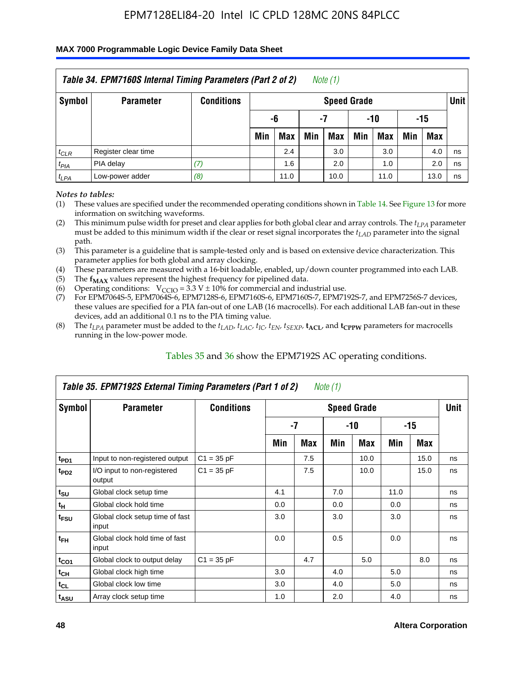#### **MAX 7000 Programmable Logic Device Family Data Sheet**

|           | Table 34. EPM7160S Internal Timing Parameters (Part 2 of 2) |                   |                          |      |     | Note $(1)$         |     |            |     |            |             |  |
|-----------|-------------------------------------------------------------|-------------------|--------------------------|------|-----|--------------------|-----|------------|-----|------------|-------------|--|
| Symbol    | <b>Parameter</b>                                            | <b>Conditions</b> |                          |      |     | <b>Speed Grade</b> |     |            |     |            | <b>Unit</b> |  |
|           |                                                             |                   | $-10$<br>-6<br>-15<br>-7 |      |     |                    |     |            |     |            |             |  |
|           |                                                             |                   | Min                      | Max  | Min | Max                | Min | <b>Max</b> | Min | <b>Max</b> |             |  |
| $t_{CLR}$ | Register clear time                                         |                   |                          | 2.4  |     | 3.0                |     | 3.0        |     | 4.0        | ns          |  |
| $t_{PIA}$ | PIA delay                                                   | (7)               |                          | 1.6  |     | 2.0                |     | 1.0        |     | 2.0        | ns          |  |
| $t_{LPA}$ | Low-power adder                                             | (8)               |                          | 11.0 |     | 10.0               |     | 11.0       |     | 13.0       | ns          |  |

*Notes to tables:*

- (1) These values are specified under the recommended operating conditions shown in Table 14. See Figure 13 for more information on switching waveforms.
- (2) This minimum pulse width for preset and clear applies for both global clear and array controls. The  $t_{LPA}$  parameter must be added to this minimum width if the clear or reset signal incorporates the *t<sub>LAD</sub>* parameter into the signal path.
- (3) This parameter is a guideline that is sample-tested only and is based on extensive device characterization. This parameter applies for both global and array clocking.
- (4) These parameters are measured with a 16-bit loadable, enabled, up/down counter programmed into each LAB.
- (5) The  $f_{MAX}$  values represent the highest frequency for pipelined data.
- (6) Operating conditions:  $V_{\text{CCIO}} = 3.3 V \pm 10\%$  for commercial and industrial use.
- (7) For EPM7064S-5, EPM7064S-6, EPM7128S-6, EPM7160S-6, EPM7160S-7, EPM7192S-7, and EPM7256S-7 devices, these values are specified for a PIA fan-out of one LAB (16 macrocells). For each additional LAB fan-out in these devices, add an additional 0.1 ns to the PIA timing value.
- (8) The  $t_{LPA}$  parameter must be added to the  $t_{LAP}$ ,  $t_{LAC}$ ,  $t_{IC}$ ,  $t_{EN}$ ,  $t_{SEXP}$ ,  $t_{ACL}$ , and  $t_{CPPW}$  parameters for macrocells running in the low-power mode.

|                             | Table 35. EPM7192S External Timing Parameters (Part 1 of 2) |                   |     |      | Note (1) |                    |      |       |             |
|-----------------------------|-------------------------------------------------------------|-------------------|-----|------|----------|--------------------|------|-------|-------------|
| Symbol                      | <b>Parameter</b>                                            | <b>Conditions</b> |     |      |          | <b>Speed Grade</b> |      |       | <b>Unit</b> |
|                             |                                                             |                   |     | $-7$ |          | -10                |      | $-15$ |             |
|                             |                                                             |                   | Min | Max  | Min      | <b>Max</b>         | Min  | Max   |             |
| t <sub>PD1</sub>            | Input to non-registered output                              | $C1 = 35 pF$      |     | 7.5  |          | 10.0               |      | 15.0  | ns          |
| $t_{PD2}$                   | I/O input to non-registered<br>output                       | $C1 = 35 pF$      |     | 7.5  |          | 10.0               |      | 15.0  | ns          |
| $t_{\scriptstyle\text{SU}}$ | Global clock setup time                                     |                   | 4.1 |      | 7.0      |                    | 11.0 |       | ns          |
| $t_H$                       | Global clock hold time                                      |                   | 0.0 |      | 0.0      |                    | 0.0  |       | ns          |
| t <sub>FSU</sub>            | Global clock setup time of fast<br>input                    |                   | 3.0 |      | 3.0      |                    | 3.0  |       | ns          |
| $t_{FH}$                    | Global clock hold time of fast<br>input                     |                   | 0.0 |      | 0.5      |                    | 0.0  |       | ns          |
| $t_{CO1}$                   | Global clock to output delay                                | $C1 = 35 pF$      |     | 4.7  |          | 5.0                |      | 8.0   | ns          |
| $t_{CH}$                    | Global clock high time                                      |                   | 3.0 |      | 4.0      |                    | 5.0  |       | ns          |
| $t_{CL}$                    | Global clock low time                                       |                   | 3.0 |      | 4.0      |                    | 5.0  |       | ns          |
| t <sub>ASU</sub>            | Array clock setup time                                      |                   | 1.0 |      | 2.0      |                    | 4.0  |       | ns          |

#### Tables 35 and 36 show the EPM7192S AC operating conditions.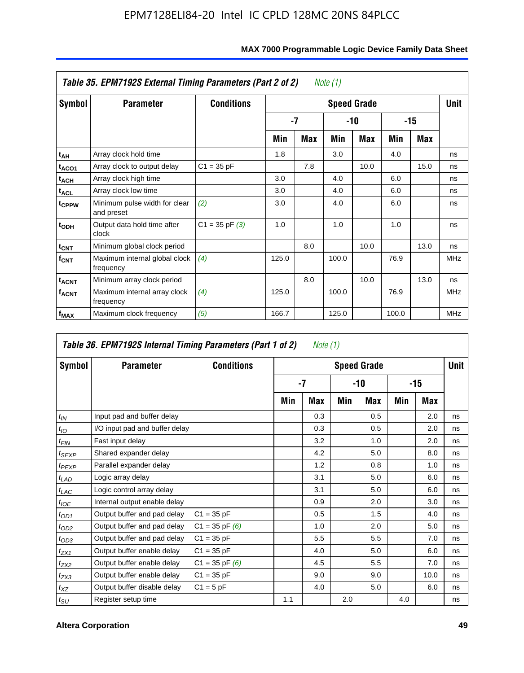|                         | Table 35. EPM7192S External Timing Parameters (Part 2 of 2) |                    |       |      | Note (1) |                    |       |       |             |
|-------------------------|-------------------------------------------------------------|--------------------|-------|------|----------|--------------------|-------|-------|-------------|
| Symbol                  | <b>Parameter</b>                                            | <b>Conditions</b>  |       |      |          | <b>Speed Grade</b> |       |       | <b>Unit</b> |
|                         |                                                             |                    |       | $-7$ |          | -10                |       | $-15$ |             |
|                         |                                                             |                    | Min   | Max  | Min      | <b>Max</b>         | Min   | Max   |             |
| t <sub>АН</sub>         | Array clock hold time                                       |                    | 1.8   |      | 3.0      |                    | 4.0   |       | ns          |
| t <sub>ACO1</sub>       | Array clock to output delay                                 | $C1 = 35 pF$       |       | 7.8  |          | 10.0               |       | 15.0  | ns          |
| $t_{\sf ACH}$           | Array clock high time                                       |                    | 3.0   |      | 4.0      |                    | 6.0   |       | ns          |
| $t_{\sf ACL}$           | Array clock low time                                        |                    | 3.0   |      | 4.0      |                    | 6.0   |       | ns          |
| t <sub>CPPW</sub>       | Minimum pulse width for clear<br>and preset                 | (2)                | 3.0   |      | 4.0      |                    | 6.0   |       | ns          |
| $t_{ODH}$               | Output data hold time after<br>clock                        | $C1 = 35$ pF $(3)$ | 1.0   |      | 1.0      |                    | 1.0   |       | ns          |
| $t_{\text{CNT}}$        | Minimum global clock period                                 |                    |       | 8.0  |          | 10.0               |       | 13.0  | ns          |
| $f_{CNT}$               | Maximum internal global clock<br>frequency                  | (4)                | 125.0 |      | 100.0    |                    | 76.9  |       | <b>MHz</b>  |
| $t_{ACNT}$              | Minimum array clock period                                  |                    |       | 8.0  |          | 10.0               |       | 13.0  | ns          |
| <b>f<sub>ACNT</sub></b> | Maximum internal array clock<br>frequency                   | (4)                | 125.0 |      | 100.0    |                    | 76.9  |       | <b>MHz</b>  |
| f <sub>MAX</sub>        | Maximum clock frequency                                     | (5)                | 166.7 |      | 125.0    |                    | 100.0 |       | <b>MHz</b>  |

#### **MAX 7000 Programmable Logic Device Family Data Sheet**

|                   | Table 36. EPM7192S Internal Timing Parameters (Part 1 of 2) |                    |     | Note (1) |     |                    |     |       |      |
|-------------------|-------------------------------------------------------------|--------------------|-----|----------|-----|--------------------|-----|-------|------|
| Symbol            | <b>Parameter</b>                                            | <b>Conditions</b>  |     |          |     | <b>Speed Grade</b> |     |       | Unit |
|                   |                                                             |                    |     | $-7$     |     | -10                |     | $-15$ |      |
|                   |                                                             |                    | Min | Max      | Min | Max                | Min | Max   |      |
| $t_{IN}$          | Input pad and buffer delay                                  |                    |     | 0.3      |     | 0.5                |     | 2.0   | ns   |
| $t_{IO}$          | I/O input pad and buffer delay                              |                    |     | 0.3      |     | 0.5                |     | 2.0   | ns   |
| $t_{FIN}$         | Fast input delay                                            |                    |     | 3.2      |     | 1.0                |     | 2.0   | ns   |
| t <sub>SEXP</sub> | Shared expander delay                                       |                    |     | 4.2      |     | 5.0                |     | 8.0   | ns   |
| $t_{PEXP}$        | Parallel expander delay                                     |                    |     | 1.2      |     | 0.8                |     | 1.0   | ns   |
| $t_{LAD}$         | Logic array delay                                           |                    |     | 3.1      |     | 5.0                |     | 6.0   | ns   |
| $t_{LAC}$         | Logic control array delay                                   |                    |     | 3.1      |     | 5.0                |     | 6.0   | ns   |
| $t_{IOE}$         | Internal output enable delay                                |                    |     | 0.9      |     | 2.0                |     | 3.0   | ns   |
| $t_{OD1}$         | Output buffer and pad delay                                 | $C1 = 35 pF$       |     | 0.5      |     | 1.5                |     | 4.0   | ns   |
| $t_{OD2}$         | Output buffer and pad delay                                 | $C1 = 35$ pF $(6)$ |     | 1.0      |     | 2.0                |     | 5.0   | ns   |
| $t_{OD3}$         | Output buffer and pad delay                                 | $C1 = 35 pF$       |     | 5.5      |     | 5.5                |     | 7.0   | ns   |
| $t_{ZX1}$         | Output buffer enable delay                                  | $C1 = 35 pF$       |     | 4.0      |     | 5.0                |     | 6.0   | ns   |
| $t_{ZX2}$         | Output buffer enable delay                                  | $C1 = 35$ pF $(6)$ |     | 4.5      |     | 5.5                |     | 7.0   | ns   |
| $t_{ZX3}$         | Output buffer enable delay                                  | $C1 = 35 pF$       |     | 9.0      |     | 9.0                |     | 10.0  | ns   |
| $t_{XZ}$          | Output buffer disable delay                                 | $C1 = 5pF$         |     | 4.0      |     | 5.0                |     | 6.0   | ns   |
| $t_{\text{SU}}$   | Register setup time                                         |                    | 1.1 |          | 2.0 |                    | 4.0 |       | ns   |

#### **Altera Corporation 49**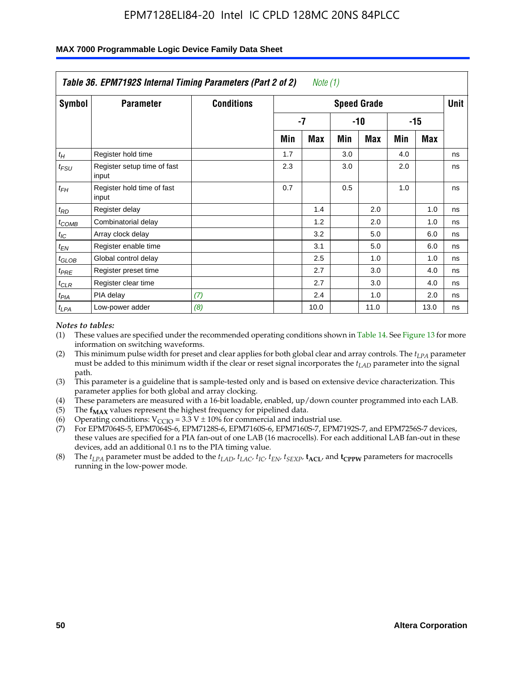|                    | Table 36. EPM7192S Internal Timing Parameters (Part 2 of 2) |                   |     | Note (1) |     |                    |     |       |      |
|--------------------|-------------------------------------------------------------|-------------------|-----|----------|-----|--------------------|-----|-------|------|
| Symbol             | <b>Parameter</b>                                            | <b>Conditions</b> |     |          |     | <b>Speed Grade</b> |     |       | Unit |
|                    |                                                             |                   |     | -7       |     | -10                |     | $-15$ |      |
|                    |                                                             |                   | Min | Max      | Min | Max                | Min | Max   |      |
| $t_H$              | Register hold time                                          |                   | 1.7 |          | 3.0 |                    | 4.0 |       | ns   |
| $t_{\mathit{FSU}}$ | Register setup time of fast<br>input                        |                   | 2.3 |          | 3.0 |                    | 2.0 |       | ns   |
| $t_{FH}$           | Register hold time of fast<br>input                         |                   | 0.7 |          | 0.5 |                    | 1.0 |       | ns   |
| $t_{RD}$           | Register delay                                              |                   |     | 1.4      |     | 2.0                |     | 1.0   | ns   |
| $t_{COMB}$         | Combinatorial delay                                         |                   |     | 1.2      |     | 2.0                |     | 1.0   | ns   |
| $t_{IC}$           | Array clock delay                                           |                   |     | 3.2      |     | 5.0                |     | 6.0   | ns   |
| $t_{EN}$           | Register enable time                                        |                   |     | 3.1      |     | 5.0                |     | 6.0   | ns   |
| $t_{GLOB}$         | Global control delay                                        |                   |     | 2.5      |     | 1.0                |     | 1.0   | ns   |
| $t_{PRE}$          | Register preset time                                        |                   |     | 2.7      |     | 3.0                |     | 4.0   | ns   |
| $t_{CLR}$          | Register clear time                                         |                   |     | 2.7      |     | 3.0                |     | 4.0   | ns   |
| t <sub>PIA</sub>   | PIA delay                                                   | (7)               |     | 2.4      |     | 1.0                |     | 2.0   | ns   |
| $t_{LPA}$          | Low-power adder                                             | (8)               |     | 10.0     |     | 11.0               |     | 13.0  | ns   |

#### **MAX 7000 Programmable Logic Device Family Data Sheet**

#### *Notes to tables:*

- (1) These values are specified under the recommended operating conditions shown in Table 14. See Figure 13 for more information on switching waveforms.
- (2) This minimum pulse width for preset and clear applies for both global clear and array controls. The *tLPA* parameter must be added to this minimum width if the clear or reset signal incorporates the *t<sub>LAD</sub>* parameter into the signal path.
- (3) This parameter is a guideline that is sample-tested only and is based on extensive device characterization. This parameter applies for both global and array clocking.
- (4) These parameters are measured with a 16-bit loadable, enabled, up/down counter programmed into each LAB.
- (5) The  $f_{MAX}$  values represent the highest frequency for pipelined data.
- (6) Operating conditions:  $V_{\text{CCIO}} = 3.3 \text{ V} \pm 10\%$  for commercial and industrial use.
- (7) For EPM7064S-5, EPM7064S-6, EPM7128S-6, EPM7160S-6, EPM7160S-7, EPM7192S-7, and EPM7256S-7 devices, these values are specified for a PIA fan-out of one LAB (16 macrocells). For each additional LAB fan-out in these devices, add an additional 0.1 ns to the PIA timing value.
- (8) The  $t_{LPA}$  parameter must be added to the  $t_{LAD}$ ,  $t_{LAC}$ ,  $t_{IC}$ ,  $t_{EN}$ ,  $t_{SIX}$ ,  $t_{ACL}$ , and  $t_{CPW}$  parameters for macrocells running in the low-power mode.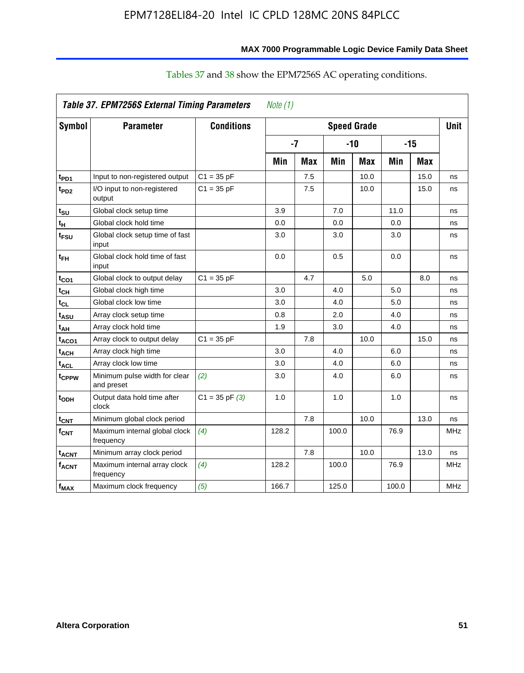|                         | Table 37. EPM7256S External Timing Parameters |                    | Note $(1)$ |            |                    |       |       |            |             |
|-------------------------|-----------------------------------------------|--------------------|------------|------------|--------------------|-------|-------|------------|-------------|
| Symbol                  | <b>Parameter</b>                              | <b>Conditions</b>  |            |            | <b>Speed Grade</b> |       |       |            | <b>Unit</b> |
|                         |                                               |                    | $-7$       |            |                    | $-10$ |       | $-15$      |             |
|                         |                                               |                    | Min        | <b>Max</b> | Min                | Max   | Min   | <b>Max</b> |             |
| $t_{PD1}$               | Input to non-registered output                | $C1 = 35 pF$       |            | 7.5        |                    | 10.0  |       | 15.0       | ns          |
| t <sub>PD2</sub>        | I/O input to non-registered<br>output         | $C1 = 35 pF$       |            | 7.5        |                    | 10.0  |       | 15.0       | ns          |
| $t_{\text{SU}}$         | Global clock setup time                       |                    | 3.9        |            | 7.0                |       | 11.0  |            | ns          |
| $t_H$                   | Global clock hold time                        |                    | 0.0        |            | 0.0                |       | 0.0   |            | ns          |
| t <sub>FSU</sub>        | Global clock setup time of fast<br>input      |                    | 3.0        |            | 3.0                |       | 3.0   |            | ns          |
| $t_{FH}$                | Global clock hold time of fast<br>input       |                    | 0.0        |            | 0.5                |       | 0.0   |            | ns          |
| $t_{CO1}$               | Global clock to output delay                  | $C1 = 35 pF$       |            | 4.7        |                    | 5.0   |       | 8.0        | ns          |
| $t_{CH}$                | Global clock high time                        |                    | 3.0        |            | 4.0                |       | 5.0   |            | ns          |
| $t_{CL}$                | Global clock low time                         |                    | 3.0        |            | 4.0                |       | 5.0   |            | ns          |
| t <sub>ASU</sub>        | Array clock setup time                        |                    | 0.8        |            | 2.0                |       | 4.0   |            | ns          |
| t <sub>AH</sub>         | Array clock hold time                         |                    | 1.9        |            | 3.0                |       | 4.0   |            | ns          |
| $t_{ACO1}$              | Array clock to output delay                   | $C1 = 35 pF$       |            | 7.8        |                    | 10.0  |       | 15.0       | ns          |
| $t_{ACH}$               | Array clock high time                         |                    | 3.0        |            | 4.0                |       | 6.0   |            | ns          |
| $t_{ACL}$               | Array clock low time                          |                    | 3.0        |            | 4.0                |       | 6.0   |            | ns          |
| t <sub>CPPW</sub>       | Minimum pulse width for clear<br>and preset   | (2)                | 3.0        |            | 4.0                |       | 6.0   |            | ns          |
| t <sub>ODH</sub>        | Output data hold time after<br>clock          | $C1 = 35$ pF $(3)$ | 1.0        |            | 1.0                |       | 1.0   |            | ns          |
| $t_{CNT}$               | Minimum global clock period                   |                    |            | 7.8        |                    | 10.0  |       | 13.0       | ns          |
| $f_{\mathsf{CNT}}$      | Maximum internal global clock<br>frequency    | (4)                | 128.2      |            | 100.0              |       | 76.9  |            | <b>MHz</b>  |
| <b>t<sub>ACNT</sub></b> | Minimum array clock period                    |                    |            | 7.8        |                    | 10.0  |       | 13.0       | ns          |
| $f_{ACNT}$              | Maximum internal array clock<br>frequency     | (4)                | 128.2      |            | 100.0              |       | 76.9  |            | <b>MHz</b>  |
| $f_{MAX}$               | Maximum clock frequency                       | (5)                | 166.7      |            | 125.0              |       | 100.0 |            | <b>MHz</b>  |

# Tables 37 and 38 show the EPM7256S AC operating conditions.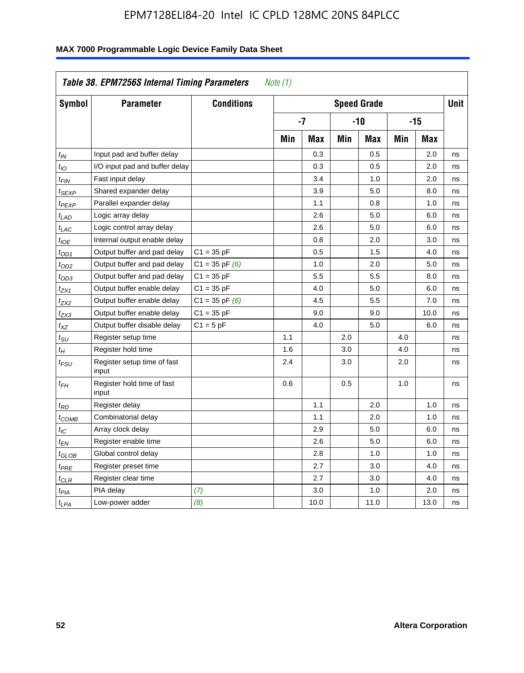| Symbol                      | <b>Parameter</b>                     | <b>Conditions</b>  |     |            |     | <b>Speed Grade</b> |            |            | <b>Unit</b> |
|-----------------------------|--------------------------------------|--------------------|-----|------------|-----|--------------------|------------|------------|-------------|
|                             |                                      |                    |     | -7         |     | -10                |            | $-15$      |             |
|                             |                                      |                    | Min | <b>Max</b> | Min | <b>Max</b>         | <b>Min</b> | <b>Max</b> |             |
| $t_{IN}$                    | Input pad and buffer delay           |                    |     | 0.3        |     | 0.5                |            | 2.0        | ns          |
| $t_{IO}$                    | I/O input pad and buffer delay       |                    |     | 0.3        |     | 0.5                |            | 2.0        | ns          |
| $t_{\text{FIN}}$            | Fast input delay                     |                    |     | 3.4        |     | 1.0                |            | 2.0        | ns          |
| t <sub>SEXP</sub>           | Shared expander delay                |                    |     | 3.9        |     | 5.0                |            | 8.0        | ns          |
| t <sub>PEXP</sub>           | Parallel expander delay              |                    |     | 1.1        |     | 0.8                |            | 1.0        | ns          |
| t <sub>LAD</sub>            | Logic array delay                    |                    |     | 2.6        |     | 5.0                |            | 6.0        | ns          |
| $t_{LAC}$                   | Logic control array delay            |                    |     | 2.6        |     | 5.0                |            | 6.0        | ns          |
| $t_{IOE}$                   | Internal output enable delay         |                    |     | 0.8        |     | 2.0                |            | 3.0        | ns          |
| $t_{OD1}$                   | Output buffer and pad delay          | $C1 = 35 pF$       |     | 0.5        |     | 1.5                |            | 4.0        | ns          |
| $t_{OD2}$                   | Output buffer and pad delay          | $C1 = 35$ pF $(6)$ |     | 1.0        |     | 2.0                |            | 5.0        | ns          |
| $t_{OD3}$                   | Output buffer and pad delay          | $C1 = 35 pF$       |     | 5.5        |     | 5.5                |            | 8.0        | ns          |
| $t_{ZX1}$                   | Output buffer enable delay           | $C1 = 35 pF$       |     | 4.0        |     | 5.0                |            | 6.0        | ns          |
| t <sub>ZX2</sub>            | Output buffer enable delay           | $C1 = 35$ pF $(6)$ |     | 4.5        |     | 5.5                |            | 7.0        | ns          |
| t <sub>ZX3</sub>            | Output buffer enable delay           | $C1 = 35 pF$       |     | 9.0        |     | 9.0                |            | 10.0       | ns          |
| $t_{XZ}$                    | Output buffer disable delay          | $C1 = 5pF$         |     | 4.0        |     | 5.0                |            | 6.0        | ns          |
| $t_{\scriptstyle\text{SU}}$ | Register setup time                  |                    | 1.1 |            | 2.0 |                    | 4.0        |            | ns          |
| $t_H$                       | Register hold time                   |                    | 1.6 |            | 3.0 |                    | 4.0        |            | ns          |
| t <sub>FSU</sub>            | Register setup time of fast<br>input |                    | 2.4 |            | 3.0 |                    | 2.0        |            | ns          |
| $t_{FH}$                    | Register hold time of fast<br>input  |                    | 0.6 |            | 0.5 |                    | 1.0        |            | ns          |
| $t_{RD}$                    | Register delay                       |                    |     | 1.1        |     | 2.0                |            | 1.0        | ns          |
| $t_{COMB}$                  | Combinatorial delay                  |                    |     | 1.1        |     | 2.0                |            | 1.0        | ns          |
| $t_{IC}$                    | Array clock delay                    |                    |     | 2.9        |     | 5.0                |            | 6.0        | ns          |
| $t_{EN}$                    | Register enable time                 |                    |     | 2.6        |     | 5.0                |            | 6.0        | ns          |
| $t_{GLOB}$                  | Global control delay                 |                    |     | 2.8        |     | 1.0                |            | 1.0        | ns          |
| $t_{PRE}$                   | Register preset time                 |                    |     | 2.7        |     | 3.0                |            | 4.0        | ns          |
| $t_{CLR}$                   | Register clear time                  |                    |     | 2.7        |     | 3.0                |            | 4.0        | ns          |
| t <sub>PIA</sub>            | PIA delay                            | (7)                |     | 3.0        |     | 1.0                |            | 2.0        | ns          |
| $t_{LPA}$                   | Low-power adder                      | (8)                |     | 10.0       |     | 11.0               |            | 13.0       | ns          |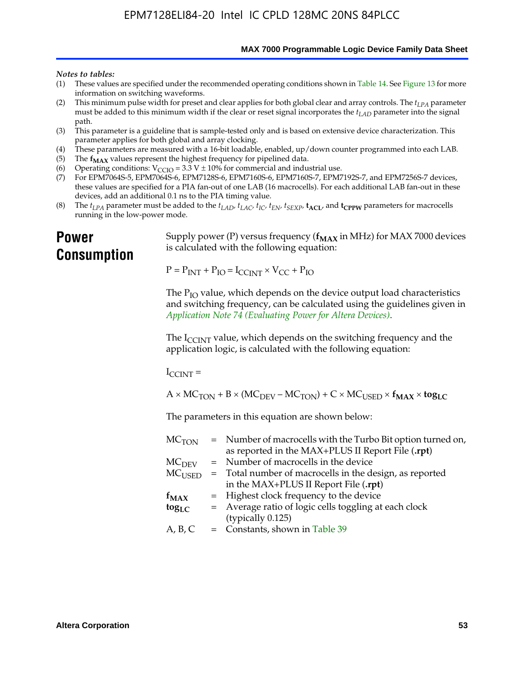**MAX 7000 Programmable Logic Device Family Data Sheet**

#### *Notes to tables:*

- (1) These values are specified under the recommended operating conditions shown in Table 14. See Figure 13 for more information on switching waveforms.
- (2) This minimum pulse width for preset and clear applies for both global clear and array controls. The  $t_{LPA}$  parameter must be added to this minimum width if the clear or reset signal incorporates the *tLAD* parameter into the signal path.
- (3) This parameter is a guideline that is sample-tested only and is based on extensive device characterization. This parameter applies for both global and array clocking.
- (4) These parameters are measured with a 16-bit loadable, enabled, up/down counter programmed into each LAB.
- (5) The  $f_{MAX}$  values represent the highest frequency for pipelined data.
- (6) Operating conditions:  $V_{\text{CCIO}} = 3.3 \text{ V} \pm 10\%$  for commercial and industrial use.
- (7) For EPM7064S-5, EPM7064S-6, EPM7128S-6, EPM7160S-6, EPM7160S-7, EPM7192S-7, and EPM7256S-7 devices, these values are specified for a PIA fan-out of one LAB (16 macrocells). For each additional LAB fan-out in these devices, add an additional 0.1 ns to the PIA timing value.
- (8) The  $t_{LPA}$  parameter must be added to the  $t_{LAD}$ ,  $t_{LAC}$ ,  $t_{IC}$ ,  $t_{EN}$ ,  $t_{SEXP}$ ,  $t_{ACL}$ , and  $t_{CPPW}$  parameters for macrocells running in the low-power mode.

# **Power Consumption**

[Supply power \(P\) versus frequency \(](http://www.altera.com/literature/an/an074.pdf) $f_{MAX}$  in MHz) for MAX 7000 devices is calculated with the following equation:

 $P = P_{INT} + P_{IO} = I_{CCLNT} \times V_{CC} + P_{IO}$ 

The  $P_{IO}$  value, which depends on the device output load characteristics and switching frequency, can be calculated using the guidelines given in *Application Note 74 (Evaluating Power for Altera Devices)*.

The  $I_{\text{CCINT}}$  value, which depends on the switching frequency and the application logic, is calculated with the following equation:

 $I_{\text{CCTNT}} =$ 

 $A \times MC_{TON} + B \times (MC_{DEFU} - MC_{TON}) + C \times MC_{LISED} \times f_{MAX} \times tog_{LC}$ 

The parameters in this equation are shown below:

| $MC$ <sub>TON</sub> | = Number of macrocells with the Turbo Bit option turned on,                |
|---------------------|----------------------------------------------------------------------------|
|                     | as reported in the MAX+PLUS II Report File (.rpt)                          |
| MC <sub>DFV</sub>   | = Number of macrocells in the device                                       |
|                     | $MC_{\text{USED}}$ = Total number of macrocells in the design, as reported |
|                     | in the MAX+PLUS II Report File (.rpt)                                      |
| $f_{MAX}$           | = Highest clock frequency to the device                                    |
| $tog_{LC}$          | = Average ratio of logic cells toggling at each clock                      |
|                     | (typically 0.125)                                                          |
| A, B, C             | $=$ Constants, shown in Table 39                                           |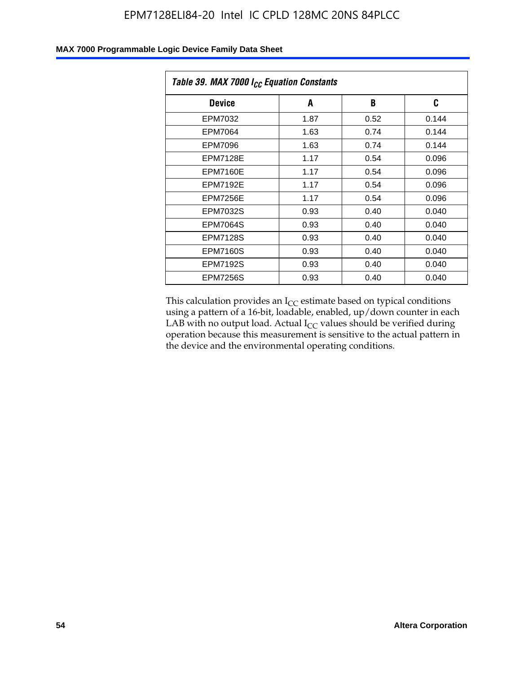| Table 39. MAX 7000 I <sub>CC</sub> Equation Constants |      |      |       |  |  |
|-------------------------------------------------------|------|------|-------|--|--|
| <b>Device</b>                                         | A    | B    | C     |  |  |
| EPM7032                                               | 1.87 | 0.52 | 0.144 |  |  |
| EPM7064                                               | 1.63 | 0.74 | 0.144 |  |  |
| EPM7096                                               | 1.63 | 0.74 | 0.144 |  |  |
| <b>EPM7128E</b>                                       | 1.17 | 0.54 | 0.096 |  |  |
| EPM7160E                                              | 1.17 | 0.54 | 0.096 |  |  |
| EPM7192E                                              | 1.17 | 0.54 | 0.096 |  |  |
| <b>EPM7256E</b>                                       | 1.17 | 0.54 | 0.096 |  |  |
| <b>EPM7032S</b>                                       | 0.93 | 0.40 | 0.040 |  |  |
| EPM7064S                                              | 0.93 | 0.40 | 0.040 |  |  |
| <b>EPM7128S</b>                                       | 0.93 | 0.40 | 0.040 |  |  |
| <b>EPM7160S</b>                                       | 0.93 | 0.40 | 0.040 |  |  |
| <b>EPM7192S</b>                                       | 0.93 | 0.40 | 0.040 |  |  |
| <b>EPM7256S</b>                                       | 0.93 | 0.40 | 0.040 |  |  |

This calculation provides an  $I_{CC}$  estimate based on typical conditions using a pattern of a 16-bit, loadable, enabled, up/down counter in each LAB with no output load. Actual  $I_{CC}$  values should be verified during operation because this measurement is sensitive to the actual pattern in the device and the environmental operating conditions.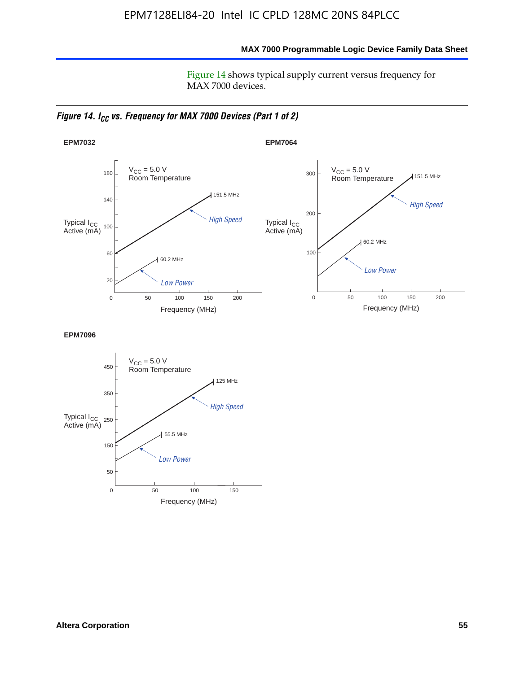**MAX 7000 Programmable Logic Device Family Data Sheet**

Figure 14 shows typical supply current versus frequency for MAX 7000 devices.

*Figure 14. I<sub>CC</sub> vs. Frequency for MAX 7000 Devices (Part 1 of 2)* 



**EPM7096**

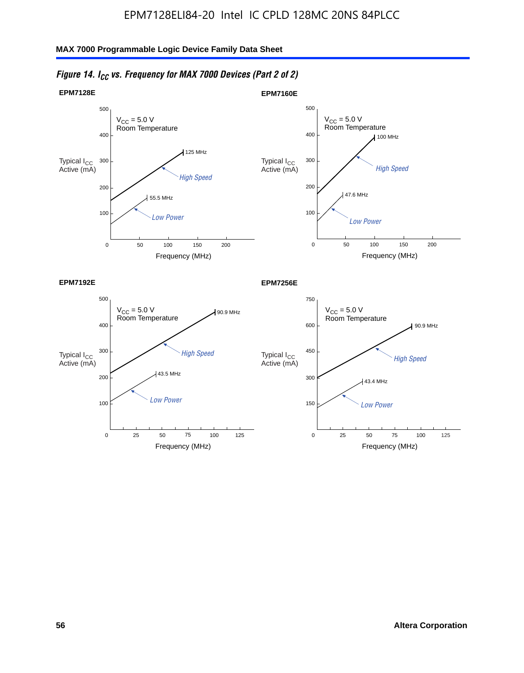

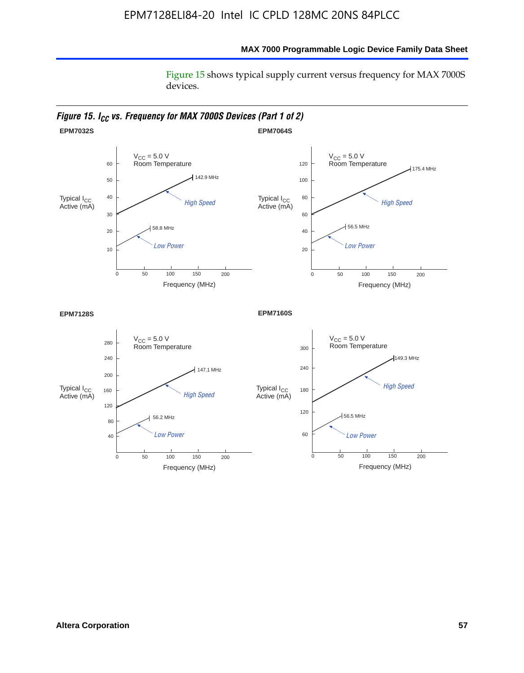#### **MAX 7000 Programmable Logic Device Family Data Sheet**

Figure 15 shows typical supply current versus frequency for MAX 7000S devices.

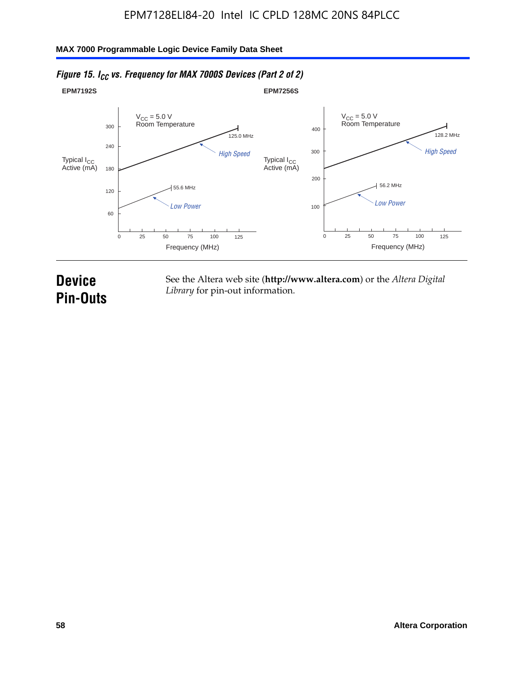

#### *Figure 15. I<sub>CC</sub> vs. Frequency for MAX 7000S Devices (Part 2 of 2)*

# **Device Pin-Outs**

See the Altera web site (**http://www.altera.com**) or the *Altera Digital Library* for pin-out information.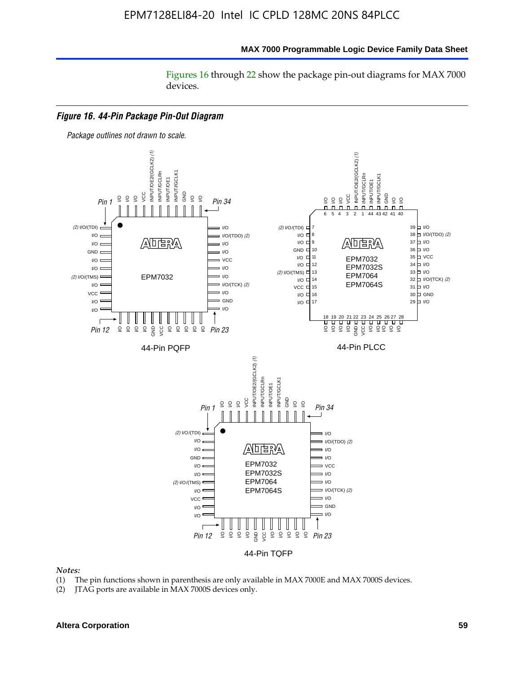#### **MAX 7000 Programmable Logic Device Family Data Sheet**

Figures 16 through 22 show the package pin-out diagrams for MAX 7000 devices.



#### *Notes:*

- (1) The pin functions shown in parenthesis are only available in MAX 7000E and MAX 7000S devices.
- (2) JTAG ports are available in MAX 7000S devices only.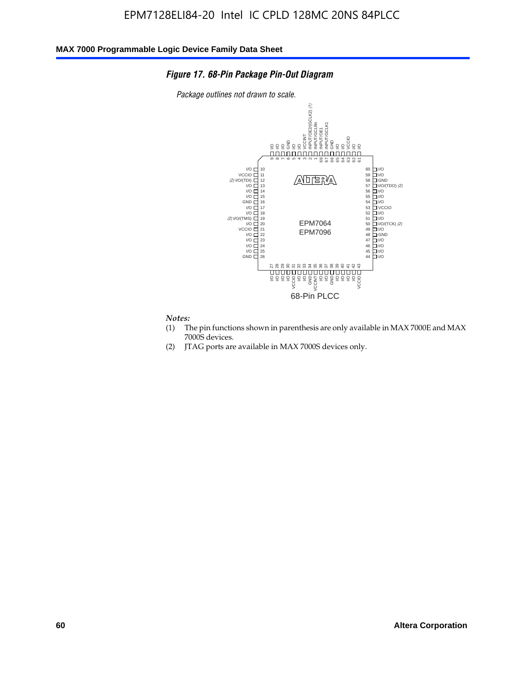#### *Figure 17. 68-Pin Package Pin-Out Diagram*

*Package outlines not drawn to scale.*



# *Notes:*<br>(1) T

- The pin functions shown in parenthesis are only available in MAX 7000E and MAX 7000S devices.
- (2) JTAG ports are available in MAX 7000S devices only.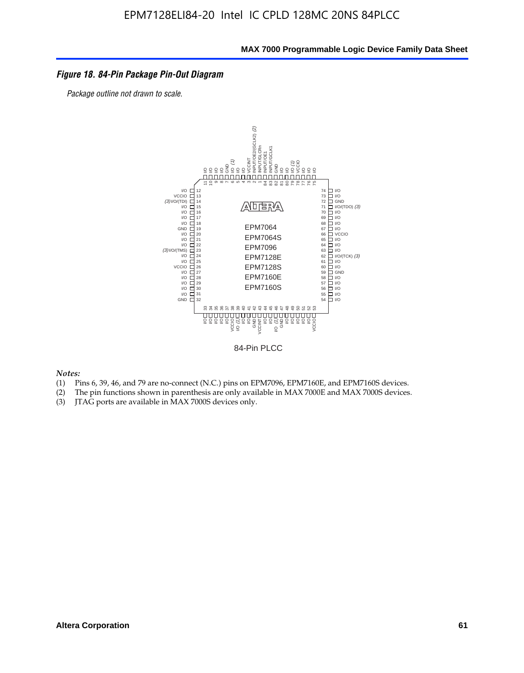#### *Figure 18. 84-Pin Package Pin-Out Diagram*

*Package outline not drawn to scale.*



84-Pin PLCC

*Notes:*

- (1) Pins 6, 39, 46, and 79 are no-connect (N.C.) pins on EPM7096, EPM7160E, and EPM7160S devices.
- (2) The pin functions shown in parenthesis are only available in MAX 7000E and MAX 7000S devices.
-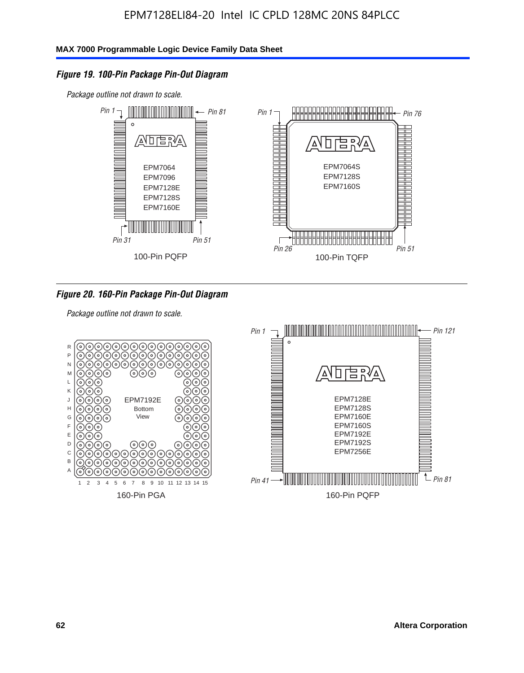#### *Figure 19. 100-Pin Package Pin-Out Diagram*

*Package outline not drawn to scale.*



*Figure 20. 160-Pin Package Pin-Out Diagram*

*Package outline not drawn to scale.*

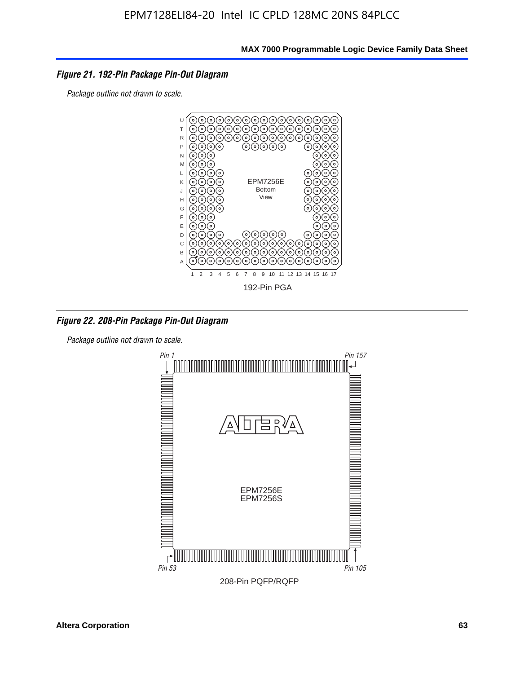#### *Figure 21. 192-Pin Package Pin-Out Diagram*

*Package outline not drawn to scale.*



*Figure 22. 208-Pin Package Pin-Out Diagram*

*Package outline not drawn to scale.*

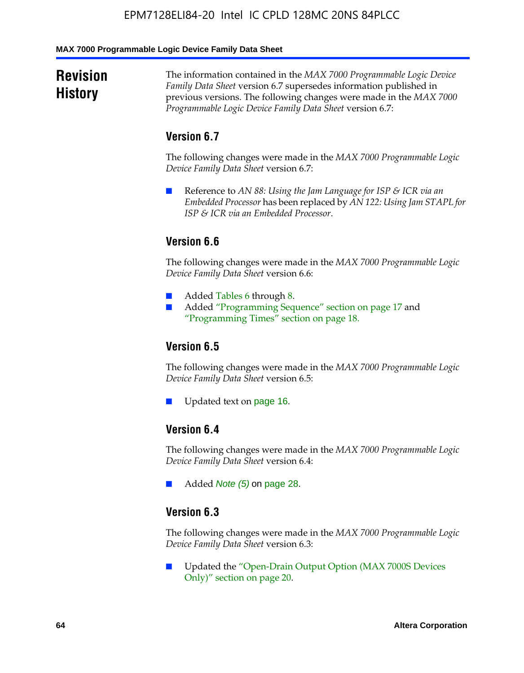#### **MAX 7000 Programmable Logic Device Family Data Sheet**

# **Revision History**

The information contained in the *MAX 7000 Programmable Logic Device Family Data Sheet* version 6.7 supersedes information published in previous versions. The following changes were made in the *MAX 7000 Programmable Logic Device Family Data Sheet* version 6.7:

#### **Version 6.7**

The following changes were made in the *MAX 7000 Programmable Logic Device Family Data Sheet* version 6.7:

■ Reference to *AN 88: Using the Jam Language for ISP & ICR via an Embedded Processor* has been replaced by *AN 122: Using Jam STAPL for ISP & ICR via an Embedded Processor*.

## **Version 6.6**

The following changes were made in the *MAX 7000 Programmable Logic Device Family Data Sheet* version 6.6:

- Added Tables 6 through 8.
- Added "Programming Sequence" section on page 17 and "Programming Times" section on page 18.

#### **Version 6.5**

The following changes were made in the *MAX 7000 Programmable Logic Device Family Data Sheet* version 6.5:

Updated text on page 16.

### **Version 6.4**

The following changes were made in the *MAX 7000 Programmable Logic Device Family Data Sheet* version 6.4:

■ Added *Note (5)* on page 28.

#### **Version 6.3**

The following changes were made in the *MAX 7000 Programmable Logic Device Family Data Sheet* version 6.3:

■ Updated the "Open-Drain Output Option (MAX 7000S Devices Only)" section on page 20.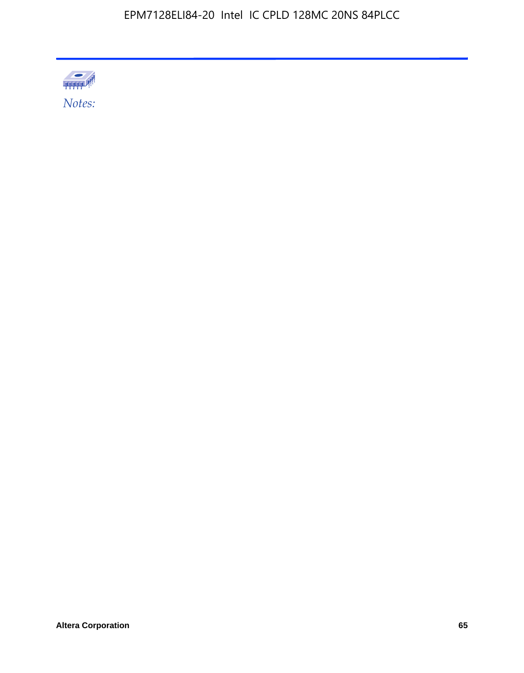

Altera Corporation 65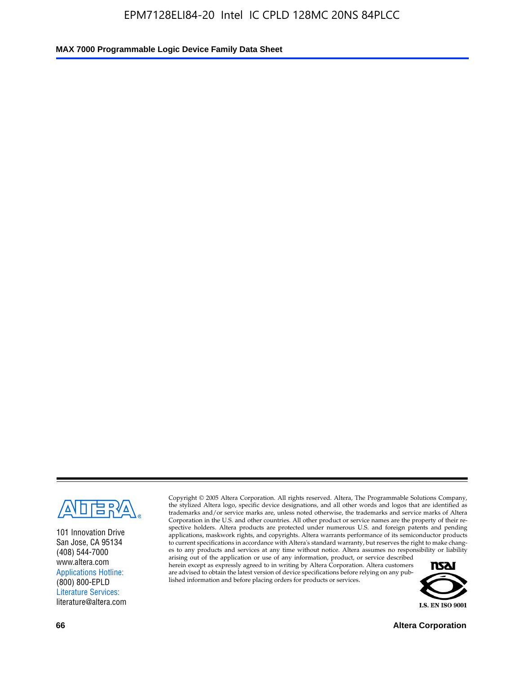

101 Innovation Drive San Jose, CA 95134 (408) 544-7000 www.altera.com Applications Hotline: (800) 800-EPLD Literature Services: literature@altera.com

Copyright © 2005 Altera Corporation. All rights reserved. Altera, The Programmable Solutions Company, the stylized Altera logo, specific device designations, and all other words and logos that are identified as trademarks and/or service marks are, unless noted otherwise, the trademarks and service marks of Altera Corporation in the U.S. and other countries. All other product or service names are the property of their respective holders. Altera products are protected under numerous U.S. and foreign patents and pending applications, maskwork rights, and copyrights. Altera warrants performance of its semiconductor products to current specifications in accordance with Altera's standard warranty, but reserves the right to make changes to any products and services at any time without notice. Altera assumes no responsibility or liability

arising out of the application or use of any information, product, or service described herein except as expressly agreed to in writing by Altera Corporation. Altera customers are advised to obtain the latest version of device specifications before relying on any published information and before placing orders for products or services.



**66 Altera Corporation**